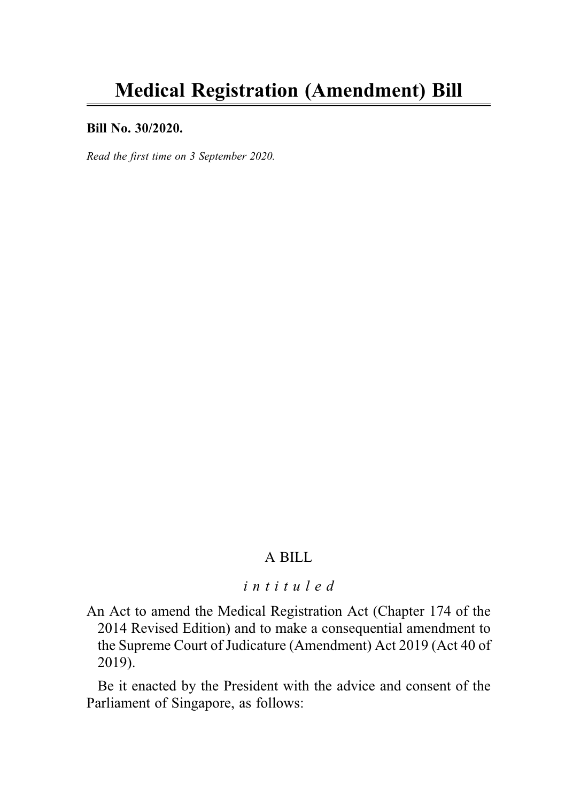#### Bill No. 30/2020.

Read the first time on 3 September 2020.

## A BILL

## intituled

An Act to amend the Medical Registration Act (Chapter 174 of the 2014 Revised Edition) and to make a consequential amendment to the Supreme Court of Judicature (Amendment) Act 2019 (Act 40 of 2019).

Be it enacted by the President with the advice and consent of the Parliament of Singapore, as follows: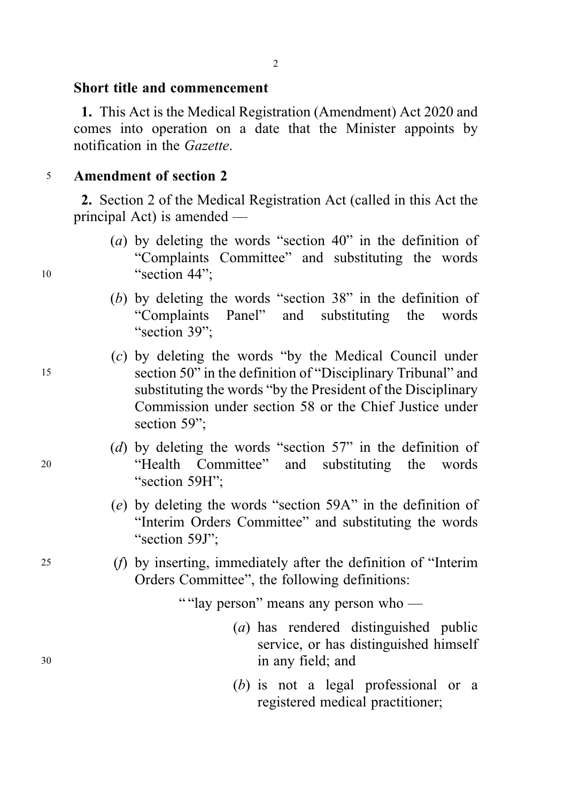### Short title and commencement

1. This Act is the Medical Registration (Amendment) Act 2020 and comes into operation on a date that the Minister appoints by notification in the Gazette.

## <sup>5</sup> Amendment of section 2

2. Section 2 of the Medical Registration Act (called in this Act the principal Act) is amended —

- (a) by deleting the words "section 40" in the definition of "Complaints Committee" and substituting the words 10 "section 44":
	- (b) by deleting the words "section 38" in the definition of "Complaints Panel" and substituting the words "section 39":
- (c) by deleting the words "by the Medical Council under <sup>15</sup> section 50" in the definition of "Disciplinary Tribunal" and substituting the words "by the President of the Disciplinary Commission under section 58 or the Chief Justice under section 59":
- (d) by deleting the words "section 57" in the definition of <sup>20</sup> "Health Committee" and substituting the words "section 59H":
	- (e) by deleting the words "section 59A" in the definition of "Interim Orders Committee" and substituting the words "section 59J":
- <sup>25</sup> (f) by inserting, immediately after the definition of "Interim Orders Committee", the following definitions:

" "lay person" means any person who —

- (a) has rendered distinguished public service, or has distinguished himself <sup>30</sup> in any field; and
	- (b) is not a legal professional or a registered medical practitioner;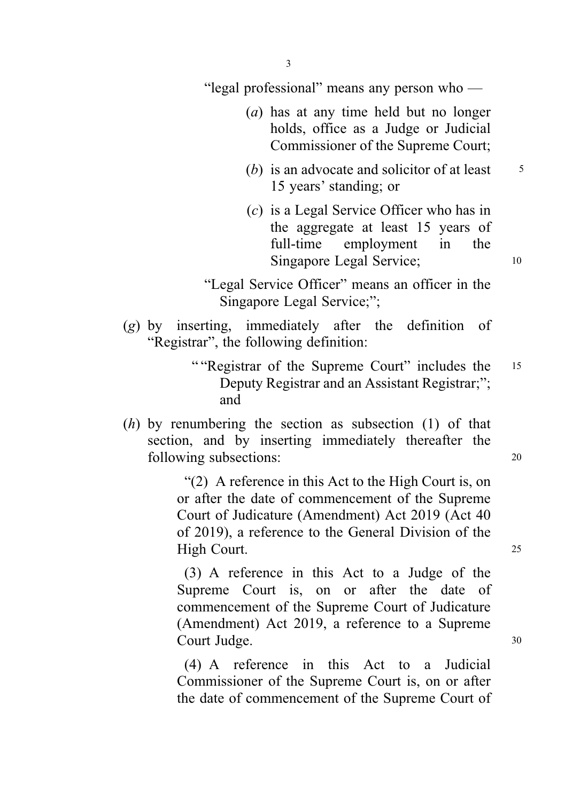"legal professional" means any person who —

- (a) has at any time held but no longer holds, office as a Judge or Judicial Commissioner of the Supreme Court;
- (b) is an advocate and solicitor of at least  $\frac{5}{5}$ 15 years' standing; or
- (c) is a Legal Service Officer who has in the aggregate at least 15 years of full-time employment in the Singapore Legal Service; 10

"Legal Service Officer" means an officer in the Singapore Legal Service;";

- (g) by inserting, immediately after the definition of "Registrar", the following definition:
	- " "Registrar of the Supreme Court" includes the 15 Deputy Registrar and an Assistant Registrar;"; and
- $(h)$  by renumbering the section as subsection  $(1)$  of that section, and by inserting immediately thereafter the following subsections: 20

"(2) A reference in this Act to the High Court is, on or after the date of commencement of the Supreme Court of Judicature (Amendment) Act 2019 (Act 40 of 2019), a reference to the General Division of the High Court. 25

(3) A reference in this Act to a Judge of the Supreme Court is, on or after the date of commencement of the Supreme Court of Judicature (Amendment) Act 2019, a reference to a Supreme Court Judge. 30

(4) A reference in this Act to a Judicial Commissioner of the Supreme Court is, on or after the date of commencement of the Supreme Court of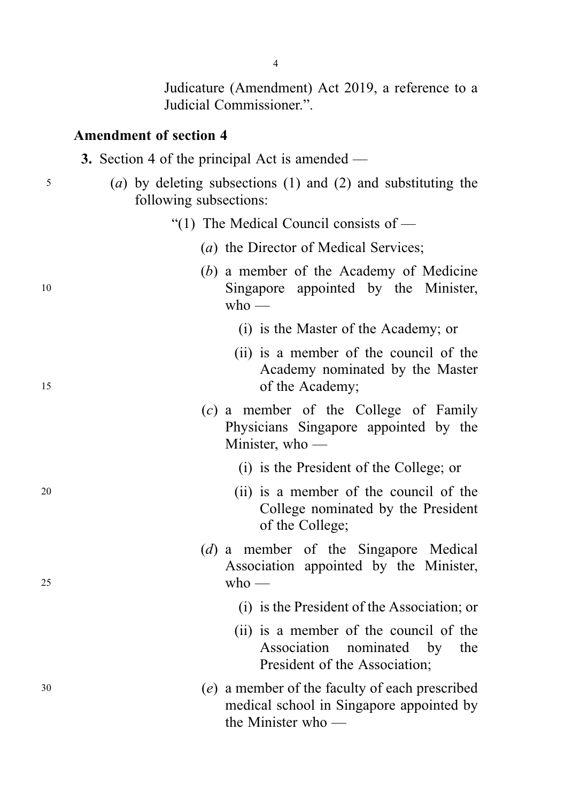Judicature (Amendment) Act 2019, a reference to a Judicial Commissioner.".

## Amendment of section 4

|  |  |  |  |  | 3. Section 4 of the principal Act is amended - |
|--|--|--|--|--|------------------------------------------------|
|--|--|--|--|--|------------------------------------------------|

- <sup>5</sup> (a) by deleting subsections (1) and (2) and substituting the following subsections:
	- "(1) The Medical Council consists of
		- (a) the Director of Medical Services;
- (b) a member of the Academy of Medicine <sup>10</sup> Singapore appointed by the Minister,  $w$ ho —
	- (i) is the Master of the Academy; or
- (ii) is a member of the council of the Academy nominated by the Master 15 of the Academy;
	- (c) a member of the College of Family Physicians Singapore appointed by the Minister, who —
		- (i) is the President of the College; or
- <sup>20</sup> (ii) is a member of the council of the College nominated by the President of the College;
- (d) a member of the Singapore Medical Association appointed by the Minister,  $25$  who —
	- (i) is the President of the Association; or
	- (ii) is a member of the council of the Association nominated by the President of the Association;
- <sup>30</sup> (e) a member of the faculty of each prescribed medical school in Singapore appointed by the Minister who —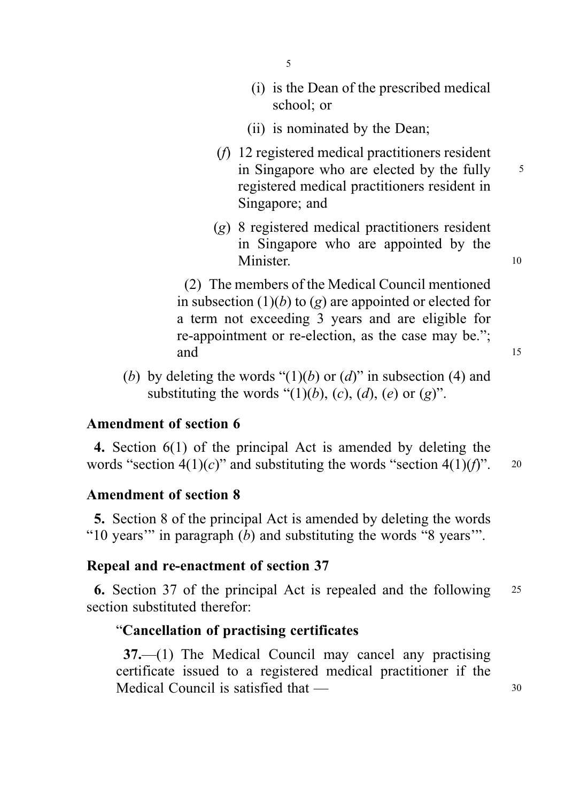- 5
- (i) is the Dean of the prescribed medical school; or
- (ii) is nominated by the Dean;
- (f) 12 registered medical practitioners resident in Singapore who are elected by the fully  $\frac{5}{5}$ registered medical practitioners resident in Singapore; and
- (g) 8 registered medical practitioners resident in Singapore who are appointed by the Minister. 10

(2) The members of the Medical Council mentioned in subsection  $(1)(b)$  to  $(g)$  are appointed or elected for a term not exceeding 3 years and are eligible for re-appointment or re-election, as the case may be."; and 15

(b) by deleting the words " $(1)(b)$  or  $(d)$ " in subsection (4) and substituting the words " $(1)(b)$ ,  $(c)$ ,  $(d)$ ,  $(e)$  or  $(g)$ ".

## Amendment of section 6

4. Section 6(1) of the principal Act is amended by deleting the words "section  $4(1)(c)$ " and substituting the words "section  $4(1)(f)$ ". 20

### Amendment of section 8

5. Section 8 of the principal Act is amended by deleting the words "10 years" in paragraph  $(b)$  and substituting the words "8 years".

#### Repeal and re-enactment of section 37

6. Section 37 of the principal Act is repealed and the following <sup>25</sup> section substituted therefor:

## "Cancellation of practising certificates

37.—(1) The Medical Council may cancel any practising certificate issued to a registered medical practitioner if the Medical Council is satisfied that — 30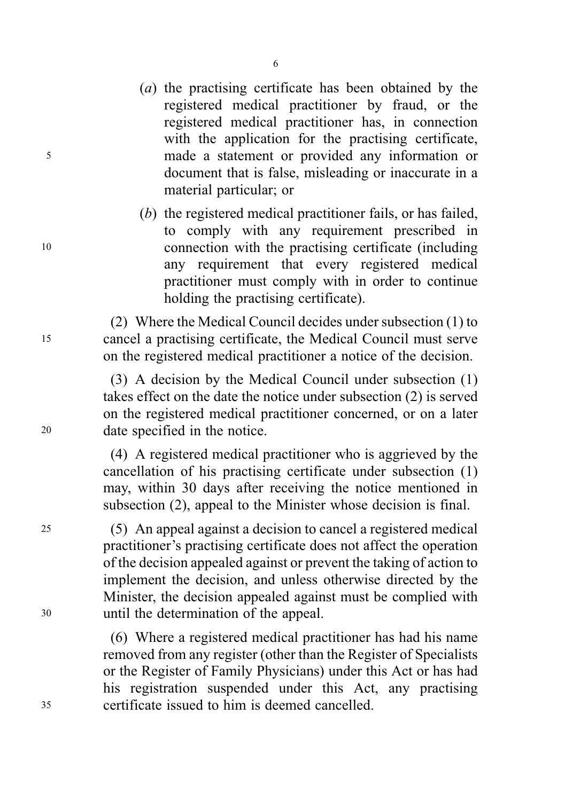(a) the practising certificate has been obtained by the registered medical practitioner by fraud, or the registered medical practitioner has, in connection with the application for the practising certificate, <sup>5</sup> made a statement or provided any information or document that is false, misleading or inaccurate in a material particular; or

(b) the registered medical practitioner fails, or has failed, to comply with any requirement prescribed in <sup>10</sup> connection with the practising certificate (including any requirement that every registered medical practitioner must comply with in order to continue holding the practising certificate).

(2) Where the Medical Council decides under subsection (1) to <sup>15</sup> cancel a practising certificate, the Medical Council must serve on the registered medical practitioner a notice of the decision.

(3) A decision by the Medical Council under subsection (1) takes effect on the date the notice under subsection (2) is served on the registered medical practitioner concerned, or on a later <sup>20</sup> date specified in the notice.

> (4) A registered medical practitioner who is aggrieved by the cancellation of his practising certificate under subsection (1) may, within 30 days after receiving the notice mentioned in subsection (2), appeal to the Minister whose decision is final.

<sup>25</sup> (5) An appeal against a decision to cancel a registered medical practitioner's practising certificate does not affect the operation of the decision appealed against or prevent the taking of action to implement the decision, and unless otherwise directed by the Minister, the decision appealed against must be complied with <sup>30</sup> until the determination of the appeal.

(6) Where a registered medical practitioner has had his name removed from any register (other than the Register of Specialists or the Register of Family Physicians) under this Act or has had his registration suspended under this Act, any practising <sup>35</sup> certificate issued to him is deemed cancelled.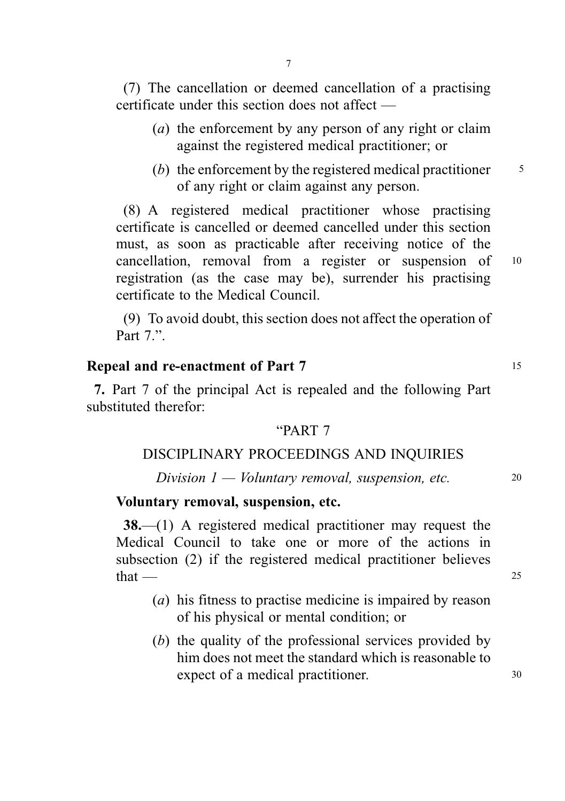(7) The cancellation or deemed cancellation of a practising certificate under this section does not affect —

- (a) the enforcement by any person of any right or claim against the registered medical practitioner; or
- (b) the enforcement by the registered medical practitioner  $\frac{5}{5}$ of any right or claim against any person.

(8) A registered medical practitioner whose practising certificate is cancelled or deemed cancelled under this section must, as soon as practicable after receiving notice of the cancellation, removal from a register or suspension of <sup>10</sup> registration (as the case may be), surrender his practising certificate to the Medical Council.

(9) To avoid doubt, this section does not affect the operation of Part  $7$ ."

## Repeal and re-enactment of Part 7 15

7. Part 7 of the principal Act is repealed and the following Part substituted therefor:

#### "PART 7

### DISCIPLINARY PROCEEDINGS AND INQUIRIES

### $Division\ 1 - Voluntary\ removal, suspension, etc.$  20

### Voluntary removal, suspension, etc.

38.—(1) A registered medical practitioner may request the Medical Council to take one or more of the actions in subsection (2) if the registered medical practitioner believes  $that$  — 25

- (a) his fitness to practise medicine is impaired by reason of his physical or mental condition; or
- (b) the quality of the professional services provided by him does not meet the standard which is reasonable to expect of a medical practitioner. 30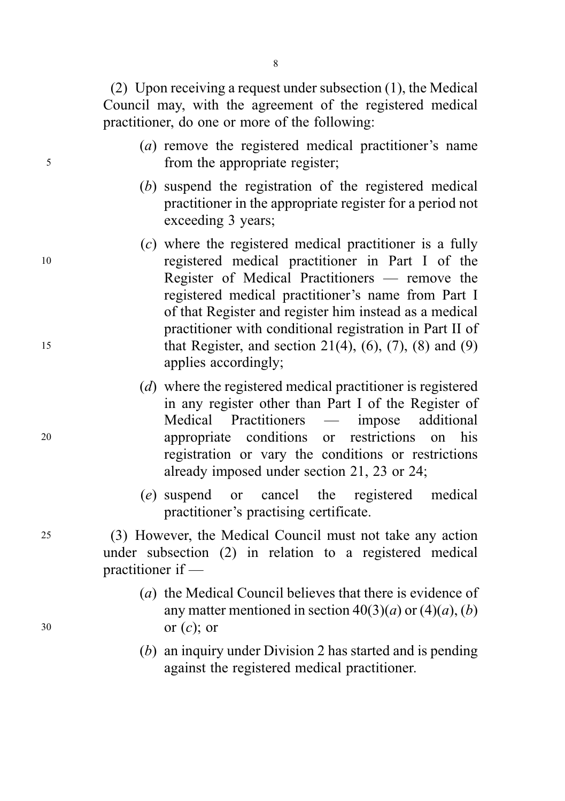(2) Upon receiving a request under subsection (1), the Medical Council may, with the agreement of the registered medical practitioner, do one or more of the following:

- (a) remove the registered medical practitioner's name <sup>5</sup> from the appropriate register;
	- (b) suspend the registration of the registered medical practitioner in the appropriate register for a period not exceeding 3 years;
- (c) where the registered medical practitioner is a fully <sup>10</sup> registered medical practitioner in Part I of the Register of Medical Practitioners — remove the registered medical practitioner's name from Part I of that Register and register him instead as a medical practitioner with conditional registration in Part II of 15 that Register, and section 21(4),  $(6)$ ,  $(7)$ ,  $(8)$  and  $(9)$ applies accordingly;
- (d) where the registered medical practitioner is registered in any register other than Part I of the Register of Medical Practitioners — impose additional <sup>20</sup> appropriate conditions or restrictions on his registration or vary the conditions or restrictions already imposed under section 21, 23 or 24;
	- (e) suspend or cancel the registered medical practitioner's practising certificate.

<sup>25</sup> (3) However, the Medical Council must not take any action under subsection (2) in relation to a registered medical practitioner if —

- (a) the Medical Council believes that there is evidence of any matter mentioned in section  $40(3)(a)$  or  $(4)(a)$ ,  $(b)$  $30 \quad \text{or } (c)$ ; or
	- (b) an inquiry under Division 2 has started and is pending against the registered medical practitioner.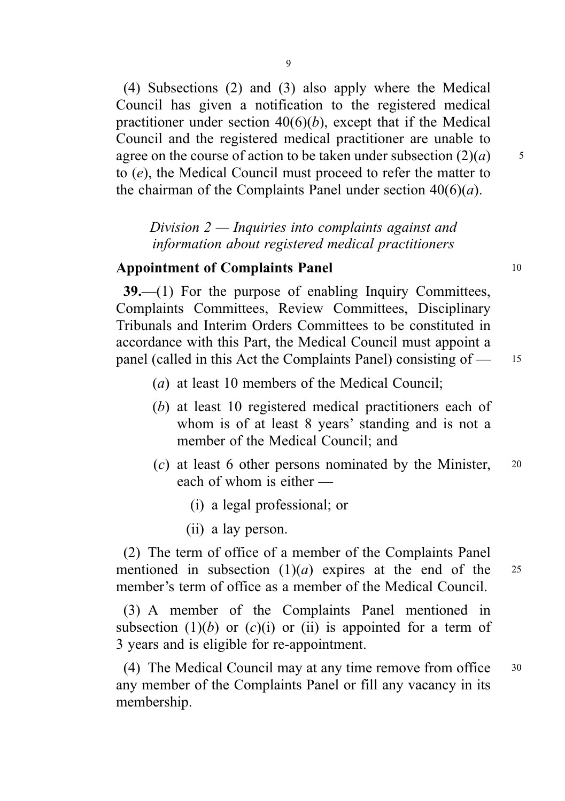(4) Subsections (2) and (3) also apply where the Medical Council has given a notification to the registered medical practitioner under section  $40(6)(b)$ , except that if the Medical Council and the registered medical practitioner are unable to agree on the course of action to be taken under subsection  $(2)(a)$  5 to (e), the Medical Council must proceed to refer the matter to the chairman of the Complaints Panel under section  $40(6)(a)$ .

Division 2 — Inquiries into complaints against and information about registered medical practitioners

# Appointment of Complaints Panel 10

39.—(1) For the purpose of enabling Inquiry Committees, Complaints Committees, Review Committees, Disciplinary Tribunals and Interim Orders Committees to be constituted in accordance with this Part, the Medical Council must appoint a panel (called in this Act the Complaints Panel) consisting of — <sup>15</sup>

- (a) at least 10 members of the Medical Council;
- (b) at least 10 registered medical practitioners each of whom is of at least 8 years' standing and is not a member of the Medical Council; and
- (c) at least 6 other persons nominated by the Minister, <sup>20</sup> each of whom is either —
	- (i) a legal professional; or
	- (ii) a lay person.

(2) The term of office of a member of the Complaints Panel mentioned in subsection  $(1)(a)$  expires at the end of the 25 member's term of office as a member of the Medical Council.

(3) A member of the Complaints Panel mentioned in subsection (1)(b) or (c)(i) or (ii) is appointed for a term of 3 years and is eligible for re-appointment.

(4) The Medical Council may at any time remove from office <sup>30</sup> any member of the Complaints Panel or fill any vacancy in its membership.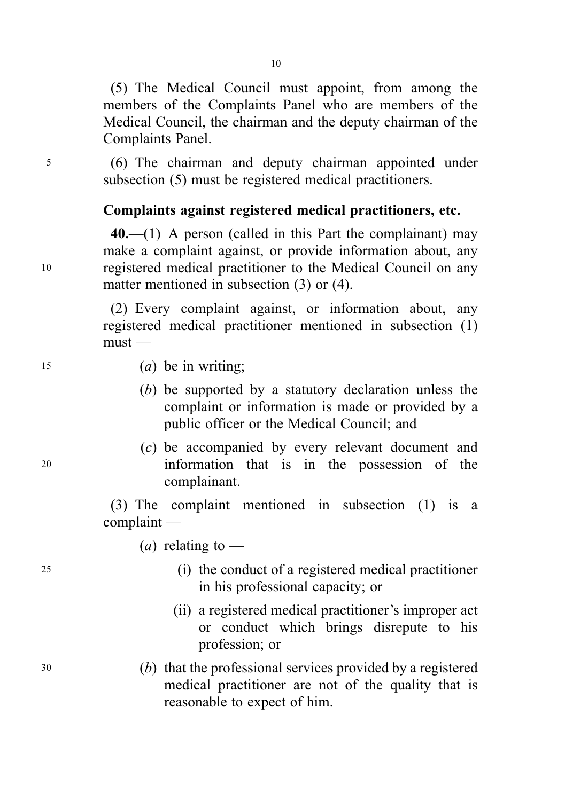(5) The Medical Council must appoint, from among the members of the Complaints Panel who are members of the Medical Council, the chairman and the deputy chairman of the Complaints Panel.

<sup>5</sup> (6) The chairman and deputy chairman appointed under subsection (5) must be registered medical practitioners.

# Complaints against registered medical practitioners, etc.

 $40$ ,—(1) A person (called in this Part the complainant) may make a complaint against, or provide information about, any <sup>10</sup> registered medical practitioner to the Medical Council on any matter mentioned in subsection (3) or (4).

> (2) Every complaint against, or information about, any registered medical practitioner mentioned in subsection (1) must —

- $(a)$  be in writing;
	- (b) be supported by a statutory declaration unless the complaint or information is made or provided by a public officer or the Medical Council; and
- (c) be accompanied by every relevant document and <sup>20</sup> information that is in the possession of the complainant.

(3) The complaint mentioned in subsection (1) is a complaint —

(*a*) relating to —

- <sup>25</sup> (i) the conduct of a registered medical practitioner in his professional capacity; or
	- (ii) a registered medical practitioner's improper act or conduct which brings disrepute to his profession; or
- <sup>30</sup> (b) that the professional services provided by a registered medical practitioner are not of the quality that is reasonable to expect of him.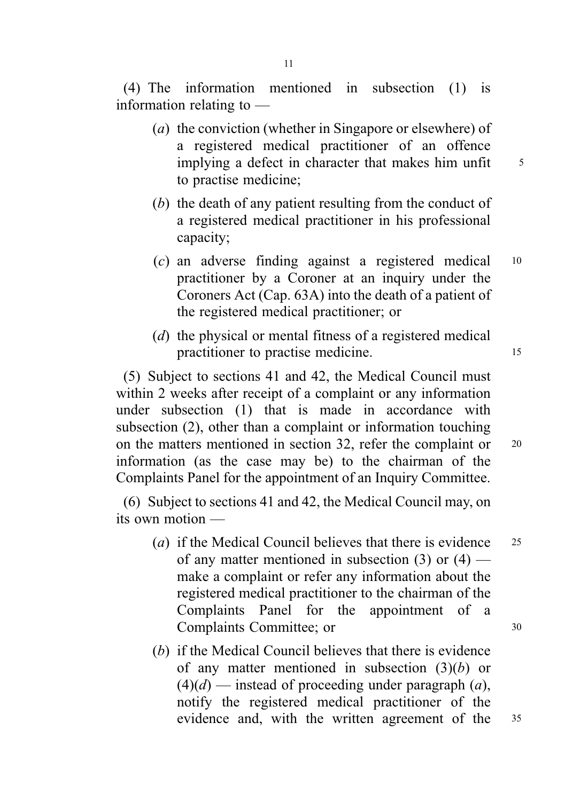(4) The information mentioned in subsection (1) is information relating to —

- (a) the conviction (whether in Singapore or elsewhere) of a registered medical practitioner of an offence implying a defect in character that makes him unfit  $\frac{5}{5}$ to practise medicine;
- (b) the death of any patient resulting from the conduct of a registered medical practitioner in his professional capacity;
- (c) an adverse finding against a registered medical <sup>10</sup> practitioner by a Coroner at an inquiry under the Coroners Act (Cap. 63A) into the death of a patient of the registered medical practitioner; or
- (d) the physical or mental fitness of a registered medical practitioner to practise medicine.

(5) Subject to sections 41 and 42, the Medical Council must within 2 weeks after receipt of a complaint or any information under subsection (1) that is made in accordance with subsection (2), other than a complaint or information touching on the matters mentioned in section 32, refer the complaint or 20 information (as the case may be) to the chairman of the Complaints Panel for the appointment of an Inquiry Committee.

(6) Subject to sections 41 and 42, the Medical Council may, on its own motion —

- (a) if the Medical Council believes that there is evidence  $25$ of any matter mentioned in subsection  $(3)$  or  $(4)$  make a complaint or refer any information about the registered medical practitioner to the chairman of the Complaints Panel for the appointment of a Complaints Committee: or 30
- (b) if the Medical Council believes that there is evidence of any matter mentioned in subsection  $(3)(b)$  or  $(4)(d)$  — instead of proceeding under paragraph  $(a)$ , notify the registered medical practitioner of the evidence and, with the written agreement of the <sup>35</sup>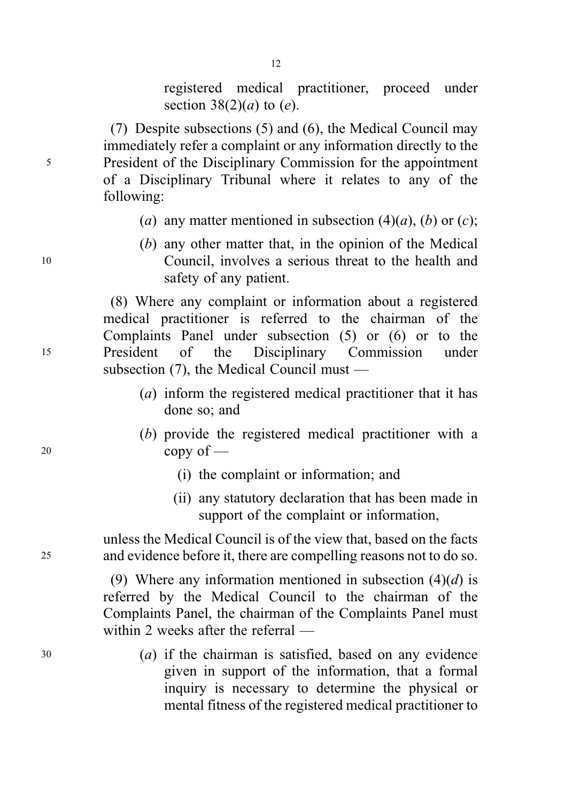registered medical practitioner, proceed under section  $38(2)(a)$  to  $(e)$ .

(7) Despite subsections (5) and (6), the Medical Council may immediately refer a complaint or any information directly to the <sup>5</sup> President of the Disciplinary Commission for the appointment of a Disciplinary Tribunal where it relates to any of the following:

- (a) any matter mentioned in subsection  $(4)(a)$ ,  $(b)$  or  $(c)$ ;
- (b) any other matter that, in the opinion of the Medical <sup>10</sup> Council, involves a serious threat to the health and safety of any patient.

(8) Where any complaint or information about a registered medical practitioner is referred to the chairman of the Complaints Panel under subsection (5) or (6) or to the <sup>15</sup> President of the Disciplinary Commission under subsection (7), the Medical Council must —

- (a) inform the registered medical practitioner that it has done so; and
- (b) provide the registered medical practitioner with a <sup>20</sup> copy of —
	- (i) the complaint or information; and
	- (ii) any statutory declaration that has been made in support of the complaint or information,

unless the Medical Council is of the view that, based on the facts <sup>25</sup> and evidence before it, there are compelling reasons not to do so.

> (9) Where any information mentioned in subsection  $(4)(d)$  is referred by the Medical Council to the chairman of the Complaints Panel, the chairman of the Complaints Panel must within 2 weeks after the referral —

 $(a)$  if the chairman is satisfied, based on any evidence given in support of the information, that a formal inquiry is necessary to determine the physical or mental fitness of the registered medical practitioner to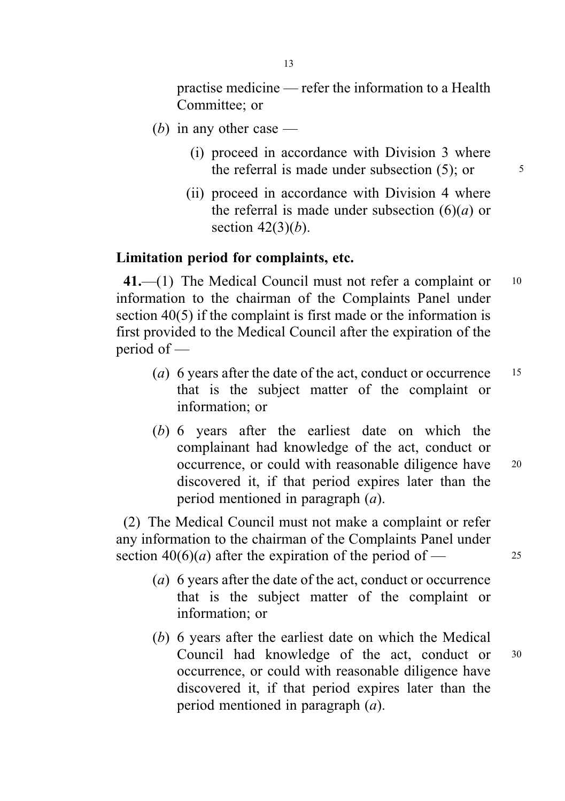practise medicine — refer the information to a Health Committee; or

- (b) in any other case  $-$ 
	- (i) proceed in accordance with Division 3 where the referral is made under subsection  $(5)$ ; or  $\qquad \qquad$  5
	- (ii) proceed in accordance with Division 4 where the referral is made under subsection  $(6)(a)$  or section  $42(3)(b)$ .

### Limitation period for complaints, etc.

41.—(1) The Medical Council must not refer a complaint or 10 information to the chairman of the Complaints Panel under section 40(5) if the complaint is first made or the information is first provided to the Medical Council after the expiration of the period of —

- (a) 6 years after the date of the act, conduct or occurrence  $15$ that is the subject matter of the complaint or information; or
- (b) 6 years after the earliest date on which the complainant had knowledge of the act, conduct or occurrence, or could with reasonable diligence have 20 discovered it, if that period expires later than the period mentioned in paragraph (a).

(2) The Medical Council must not make a complaint or refer any information to the chairman of the Complaints Panel under section  $40(6)(a)$  after the expiration of the period of — 25

- (a) 6 years after the date of the act, conduct or occurrence that is the subject matter of the complaint or information; or
- (b) 6 years after the earliest date on which the Medical Council had knowledge of the act, conduct or <sup>30</sup> occurrence, or could with reasonable diligence have discovered it, if that period expires later than the period mentioned in paragraph (a).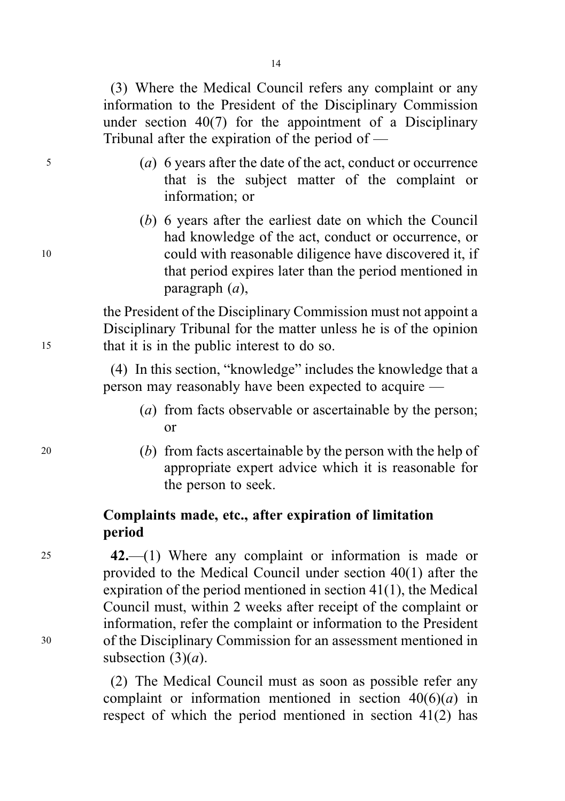(3) Where the Medical Council refers any complaint or any information to the President of the Disciplinary Commission under section 40(7) for the appointment of a Disciplinary Tribunal after the expiration of the period of —

- <sup>5</sup> (a) 6 years after the date of the act, conduct or occurrence that is the subject matter of the complaint or information; or
- (b) 6 years after the earliest date on which the Council had knowledge of the act, conduct or occurrence, or <sup>10</sup> could with reasonable diligence have discovered it, if that period expires later than the period mentioned in paragraph (a),

the President of the Disciplinary Commission must not appoint a Disciplinary Tribunal for the matter unless he is of the opinion <sup>15</sup> that it is in the public interest to do so.

> (4) In this section, "knowledge" includes the knowledge that a person may reasonably have been expected to acquire —

- (a) from facts observable or ascertainable by the person: or
- <sup>20</sup> (b) from facts ascertainable by the person with the help of appropriate expert advice which it is reasonable for the person to seek.

# Complaints made, etc., after expiration of limitation period

<sup>25</sup> 42.—(1) Where any complaint or information is made or provided to the Medical Council under section 40(1) after the expiration of the period mentioned in section 41(1), the Medical Council must, within 2 weeks after receipt of the complaint or information, refer the complaint or information to the President <sup>30</sup> of the Disciplinary Commission for an assessment mentioned in subsection  $(3)(a)$ .

> (2) The Medical Council must as soon as possible refer any complaint or information mentioned in section  $40(6)(a)$  in respect of which the period mentioned in section 41(2) has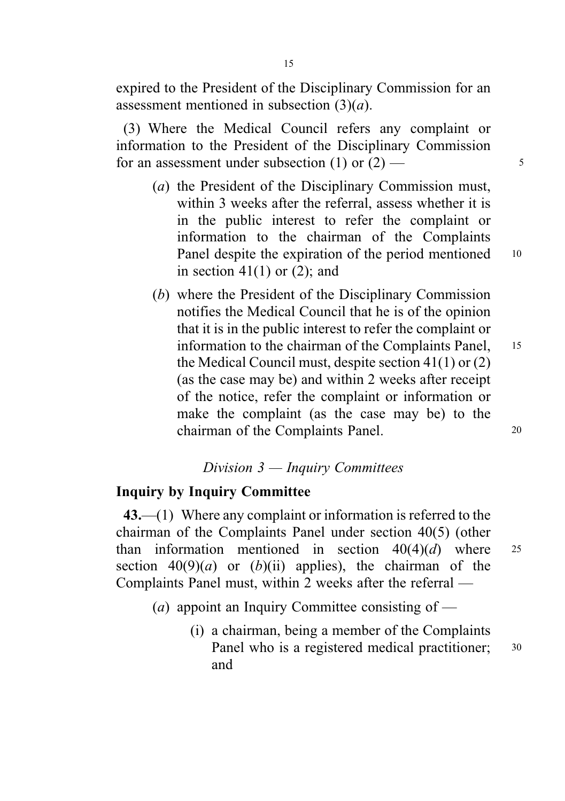expired to the President of the Disciplinary Commission for an assessment mentioned in subsection  $(3)(a)$ .

(3) Where the Medical Council refers any complaint or information to the President of the Disciplinary Commission for an assessment under subsection  $(1)$  or  $(2)$  — 5

- (a) the President of the Disciplinary Commission must, within 3 weeks after the referral, assess whether it is in the public interest to refer the complaint or information to the chairman of the Complaints Panel despite the expiration of the period mentioned 10 in section  $41(1)$  or  $(2)$ ; and
- (b) where the President of the Disciplinary Commission notifies the Medical Council that he is of the opinion that it is in the public interest to refer the complaint or information to the chairman of the Complaints Panel, 15 the Medical Council must, despite section 41(1) or (2) (as the case may be) and within 2 weeks after receipt of the notice, refer the complaint or information or make the complaint (as the case may be) to the chairman of the Complaints Panel. 20

# Division 3 — Inquiry Committees

## Inquiry by Inquiry Committee

43.—(1) Where any complaint or information is referred to the chairman of the Complaints Panel under section 40(5) (other than information mentioned in section  $40(4)(d)$  where 25 section  $40(9)(a)$  or  $(b)(ii)$  applies), the chairman of the Complaints Panel must, within 2 weeks after the referral —

- (*a*) appoint an Inquiry Committee consisting of
	- (i) a chairman, being a member of the Complaints Panel who is a registered medical practitioner; 30 and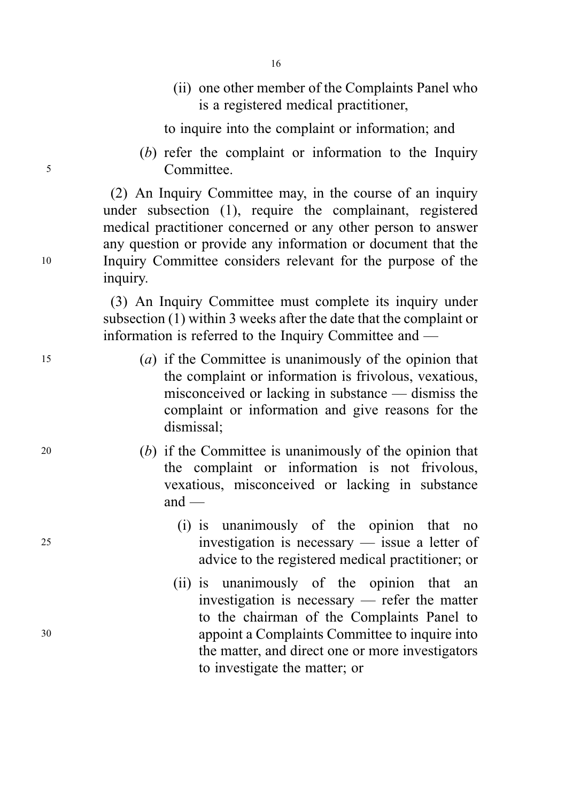(ii) one other member of the Complaints Panel who is a registered medical practitioner,

to inquire into the complaint or information; and

(b) refer the complaint or information to the Inquiry <sup>5</sup> Committee.

(2) An Inquiry Committee may, in the course of an inquiry under subsection (1), require the complainant, registered medical practitioner concerned or any other person to answer any question or provide any information or document that the <sup>10</sup> Inquiry Committee considers relevant for the purpose of the inquiry.

> (3) An Inquiry Committee must complete its inquiry under subsection (1) within 3 weeks after the date that the complaint or information is referred to the Inquiry Committee and —

- <sup>15</sup> (a) if the Committee is unanimously of the opinion that the complaint or information is frivolous, vexatious, misconceived or lacking in substance — dismiss the complaint or information and give reasons for the dismissal;
- <sup>20</sup> (b) if the Committee is unanimously of the opinion that the complaint or information is not frivolous, vexatious, misconceived or lacking in substance  $and$  —
- (i) is unanimously of the opinion that no <sup>25</sup> investigation is necessary — issue a letter of advice to the registered medical practitioner; or
- (ii) is unanimously of the opinion that an investigation is necessary — refer the matter to the chairman of the Complaints Panel to <sup>30</sup> appoint a Complaints Committee to inquire into the matter, and direct one or more investigators to investigate the matter; or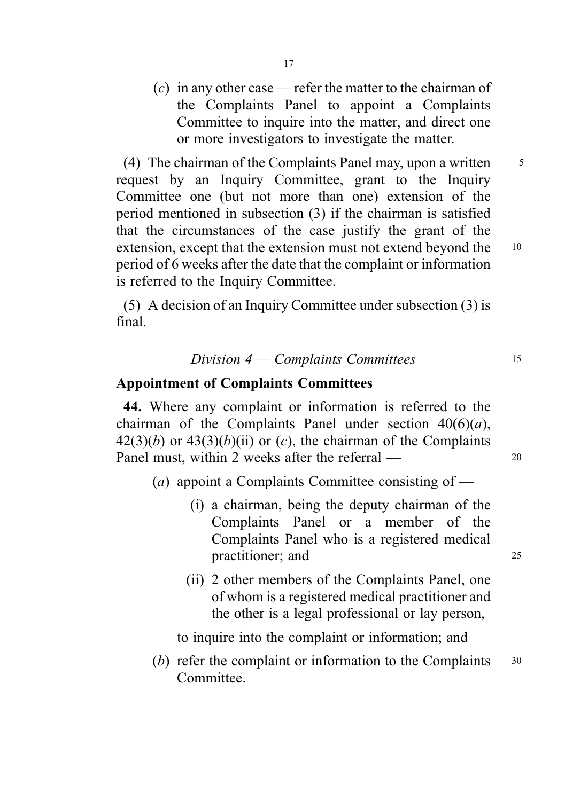(c) in any other case — refer the matter to the chairman of the Complaints Panel to appoint a Complaints Committee to inquire into the matter, and direct one or more investigators to investigate the matter.

(4) The chairman of the Complaints Panel may, upon a written  $\frac{5}{5}$ request by an Inquiry Committee, grant to the Inquiry Committee one (but not more than one) extension of the period mentioned in subsection (3) if the chairman is satisfied that the circumstances of the case justify the grant of the extension, except that the extension must not extend beyond the 10 period of 6 weeks after the date that the complaint or information is referred to the Inquiry Committee.

(5) A decision of an Inquiry Committee under subsection (3) is final.

### Division 4 — Complaints Committees <sup>15</sup>

### Appointment of Complaints Committees

44. Where any complaint or information is referred to the chairman of the Complaints Panel under section  $40(6)(a)$ ,  $42(3)(b)$  or  $43(3)(b)(ii)$  or (c), the chairman of the Complaints Panel must, within 2 weeks after the referral — 20

- (a) appoint a Complaints Committee consisting of  $-$ 
	- (i) a chairman, being the deputy chairman of the Complaints Panel or a member of the Complaints Panel who is a registered medical practitioner; and 25
	- (ii) 2 other members of the Complaints Panel, one of whom is a registered medical practitioner and the other is a legal professional or lay person,

to inquire into the complaint or information; and

 $(b)$  refer the complaint or information to the Complaints  $30$ Committee.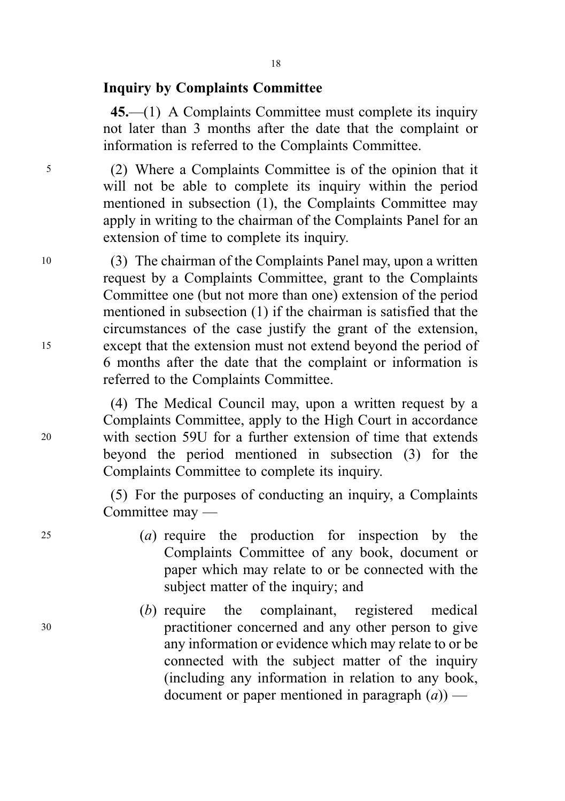## Inquiry by Complaints Committee

45.—(1) A Complaints Committee must complete its inquiry not later than 3 months after the date that the complaint or information is referred to the Complaints Committee.

<sup>5</sup> (2) Where a Complaints Committee is of the opinion that it will not be able to complete its inquiry within the period mentioned in subsection (1), the Complaints Committee may apply in writing to the chairman of the Complaints Panel for an extension of time to complete its inquiry.

<sup>10</sup> (3) The chairman of the Complaints Panel may, upon a written request by a Complaints Committee, grant to the Complaints Committee one (but not more than one) extension of the period mentioned in subsection (1) if the chairman is satisfied that the circumstances of the case justify the grant of the extension, <sup>15</sup> except that the extension must not extend beyond the period of 6 months after the date that the complaint or information is referred to the Complaints Committee.

(4) The Medical Council may, upon a written request by a Complaints Committee, apply to the High Court in accordance <sup>20</sup> with section 59U for a further extension of time that extends beyond the period mentioned in subsection (3) for the Complaints Committee to complete its inquiry.

> (5) For the purposes of conducting an inquiry, a Complaints Committee may —

- <sup>25</sup> (a) require the production for inspection by the Complaints Committee of any book, document or paper which may relate to or be connected with the subject matter of the inquiry; and
- (b) require the complainant, registered medical <sup>30</sup> practitioner concerned and any other person to give any information or evidence which may relate to or be connected with the subject matter of the inquiry (including any information in relation to any book, document or paper mentioned in paragraph  $(a)$ ) —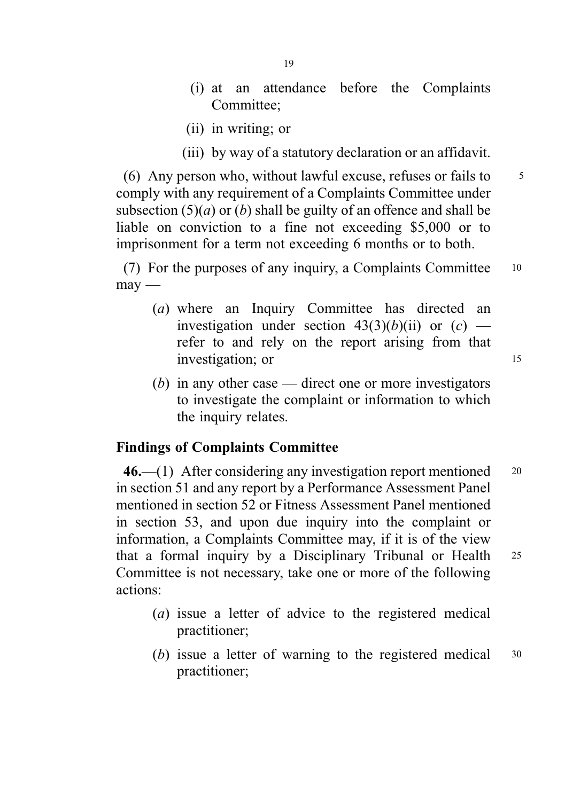- (i) at an attendance before the Complaints Committee;
- (ii) in writing; or
- (iii) by way of a statutory declaration or an affidavit.

(6) Any person who, without lawful excuse, refuses or fails to  $\frac{5}{5}$ comply with any requirement of a Complaints Committee under subsection  $(5)(a)$  or  $(b)$  shall be guilty of an offence and shall be liable on conviction to a fine not exceeding \$5,000 or to imprisonment for a term not exceeding 6 months or to both.

(7) For the purposes of any inquiry, a Complaints Committee <sup>10</sup>  $m$ av —

- (a) where an Inquiry Committee has directed an investigation under section  $43(3)(b)(ii)$  or  $(c)$  refer to and rely on the report arising from that investigation; or 15
- (b) in any other case direct one or more investigators to investigate the complaint or information to which the inquiry relates.

## Findings of Complaints Committee

 $46$ —(1) After considering any investigation report mentioned  $20$ in section 51 and any report by a Performance Assessment Panel mentioned in section 52 or Fitness Assessment Panel mentioned in section 53, and upon due inquiry into the complaint or information, a Complaints Committee may, if it is of the view that a formal inquiry by a Disciplinary Tribunal or Health <sup>25</sup> Committee is not necessary, take one or more of the following actions:

- (a) issue a letter of advice to the registered medical practitioner;
- (b) issue a letter of warning to the registered medical  $30$ practitioner;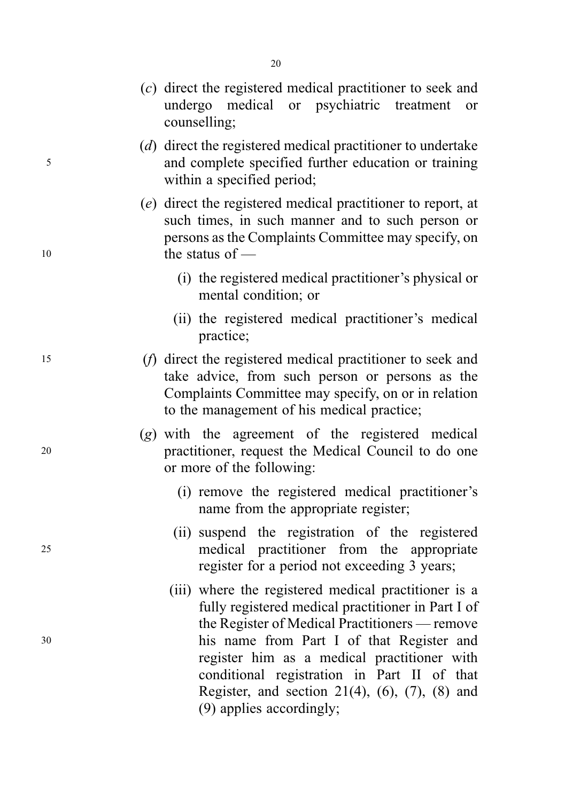|    | (c) direct the registered medical practitioner to seek and<br>undergo medical or psychiatric<br>treatment<br>or<br>counselling;                                                                                                                                                                         |
|----|---------------------------------------------------------------------------------------------------------------------------------------------------------------------------------------------------------------------------------------------------------------------------------------------------------|
| 5  | (d) direct the registered medical practitioner to undertake<br>and complete specified further education or training<br>within a specified period;                                                                                                                                                       |
| 10 | (e) direct the registered medical practitioner to report, at<br>such times, in such manner and to such person or<br>persons as the Complaints Committee may specify, on<br>the status of $-$                                                                                                            |
|    | (i) the registered medical practitioner's physical or<br>mental condition; or                                                                                                                                                                                                                           |
|    | (ii) the registered medical practitioner's medical<br>practice;                                                                                                                                                                                                                                         |
| 15 | (f) direct the registered medical practitioner to seek and<br>take advice, from such person or persons as the<br>Complaints Committee may specify, on or in relation<br>to the management of his medical practice;                                                                                      |
| 20 | (g) with the agreement of the registered medical<br>practitioner, request the Medical Council to do one<br>or more of the following:                                                                                                                                                                    |
|    | (i) remove the registered medical practitioner's<br>name from the appropriate register;                                                                                                                                                                                                                 |
| 25 | (ii) suspend the registration of the registered<br>medical practitioner from the appropriate<br>register for a period not exceeding 3 years;                                                                                                                                                            |
| 30 | (iii) where the registered medical practitioner is a<br>fully registered medical practitioner in Part I of<br>the Register of Medical Practitioners — remove<br>his name from Part I of that Register and<br>register him as a medical practitioner with<br>conditional registration in Part II of that |
|    | Register, and section $21(4)$ , $(6)$ , $(7)$ , $(8)$ and<br>(9) applies accordingly;                                                                                                                                                                                                                   |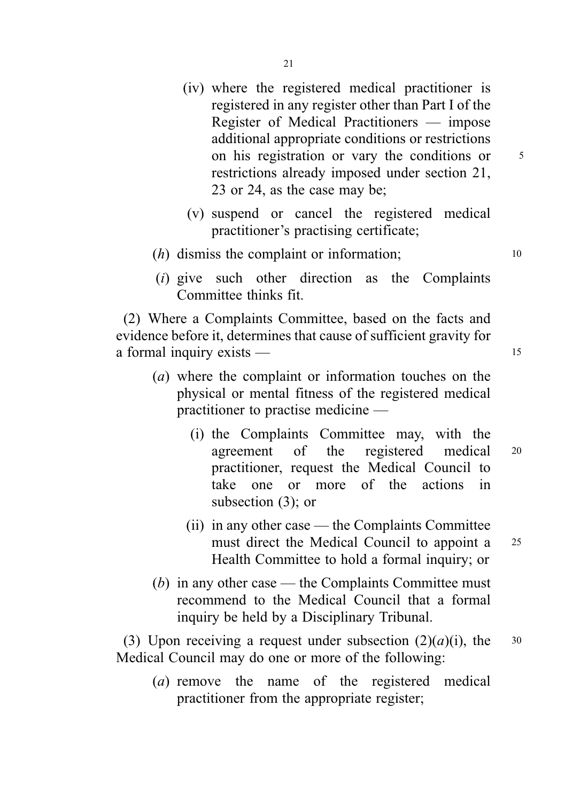- (iv) where the registered medical practitioner is registered in any register other than Part I of the Register of Medical Practitioners — impose additional appropriate conditions or restrictions on his registration or vary the conditions or  $5$ restrictions already imposed under section 21, 23 or 24, as the case may be;
- (v) suspend or cancel the registered medical practitioner's practising certificate;
- $(h)$  dismiss the complaint or information; 10
- (i) give such other direction as the Complaints Committee thinks fit.

(2) Where a Complaints Committee, based on the facts and evidence before it, determines that cause of sufficient gravity for a formal inquiry exists — 15

- (a) where the complaint or information touches on the physical or mental fitness of the registered medical practitioner to practise medicine —
	- (i) the Complaints Committee may, with the agreement of the registered medical <sup>20</sup> practitioner, request the Medical Council to take one or more of the actions in subsection (3); or
	- (ii) in any other case the Complaints Committee must direct the Medical Council to appoint a 25 Health Committee to hold a formal inquiry; or
- (b) in any other case the Complaints Committee must recommend to the Medical Council that a formal inquiry be held by a Disciplinary Tribunal.

(3) Upon receiving a request under subsection  $(2)(a)(i)$ , the 30 Medical Council may do one or more of the following:

(a) remove the name of the registered medical practitioner from the appropriate register;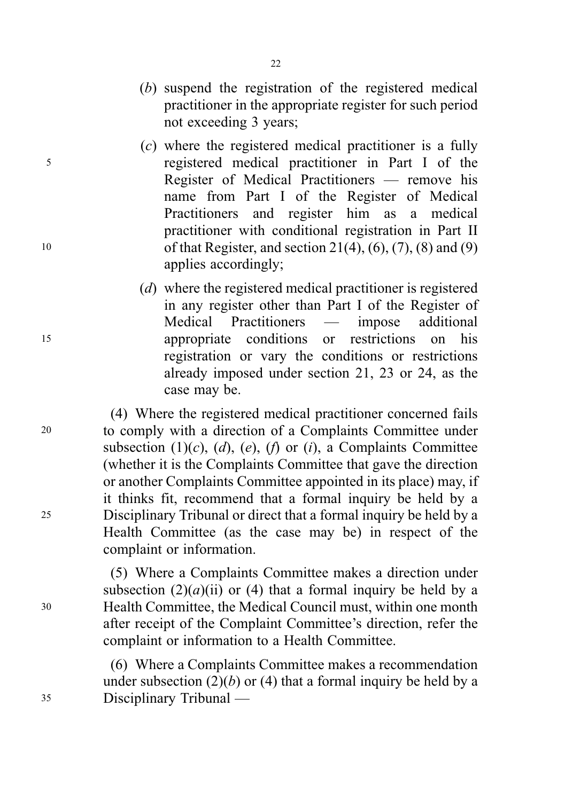- (b) suspend the registration of the registered medical practitioner in the appropriate register for such period not exceeding 3 years;
- (c) where the registered medical practitioner is a fully <sup>5</sup> registered medical practitioner in Part I of the Register of Medical Practitioners — remove his name from Part I of the Register of Medical Practitioners and register him as a medical practitioner with conditional registration in Part II <sup>10</sup> of that Register, and section 21(4), (6), (7), (8) and (9) applies accordingly;
- (d) where the registered medical practitioner is registered in any register other than Part I of the Register of Medical Practitioners — impose additional <sup>15</sup> appropriate conditions or restrictions on his registration or vary the conditions or restrictions already imposed under section 21, 23 or 24, as the case may be.

(4) Where the registered medical practitioner concerned fails <sup>20</sup> to comply with a direction of a Complaints Committee under subsection (1)(c), (d), (e), (f) or (i), a Complaints Committee (whether it is the Complaints Committee that gave the direction or another Complaints Committee appointed in its place) may, if it thinks fit, recommend that a formal inquiry be held by a <sup>25</sup> Disciplinary Tribunal or direct that a formal inquiry be held by a Health Committee (as the case may be) in respect of the complaint or information.

(5) Where a Complaints Committee makes a direction under subsection  $(2)(a)(ii)$  or (4) that a formal inquiry be held by a <sup>30</sup> Health Committee, the Medical Council must, within one month after receipt of the Complaint Committee's direction, refer the complaint or information to a Health Committee.

(6) Where a Complaints Committee makes a recommendation under subsection  $(2)(b)$  or  $(4)$  that a formal inquiry be held by a <sup>35</sup> Disciplinary Tribunal —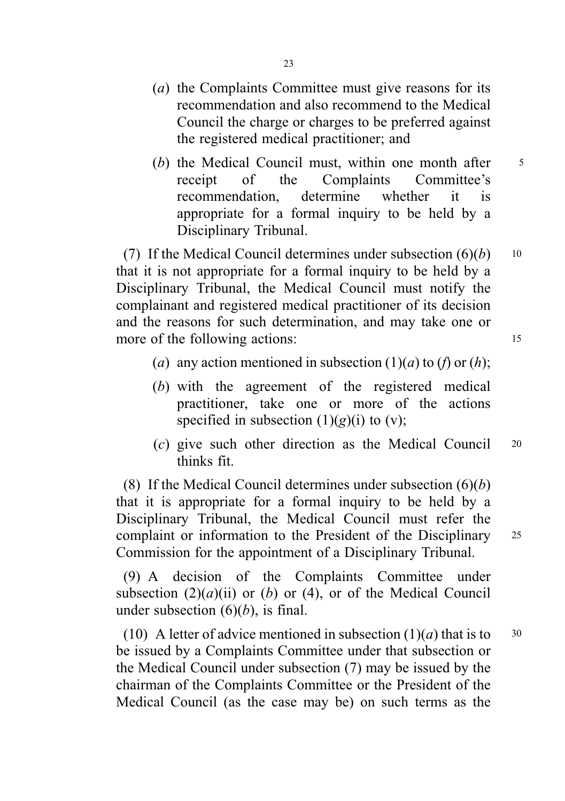- (a) the Complaints Committee must give reasons for its recommendation and also recommend to the Medical Council the charge or charges to be preferred against the registered medical practitioner; and
- (b) the Medical Council must, within one month after  $\frac{5}{5}$ receipt of the Complaints Committee's recommendation, determine whether it is appropriate for a formal inquiry to be held by a Disciplinary Tribunal.

(7) If the Medical Council determines under subsection  $(6)(b)$  10 that it is not appropriate for a formal inquiry to be held by a Disciplinary Tribunal, the Medical Council must notify the complainant and registered medical practitioner of its decision and the reasons for such determination, and may take one or more of the following actions: 15

(a) any action mentioned in subsection  $(1)(a)$  to  $(f)$  or  $(h)$ ;

- (b) with the agreement of the registered medical practitioner, take one or more of the actions specified in subsection  $(1)(g)(i)$  to  $(v)$ ;
- (c) give such other direction as the Medical Council <sup>20</sup> thinks fit.

(8) If the Medical Council determines under subsection  $(6)(b)$ that it is appropriate for a formal inquiry to be held by a Disciplinary Tribunal, the Medical Council must refer the complaint or information to the President of the Disciplinary <sup>25</sup> Commission for the appointment of a Disciplinary Tribunal.

(9) A decision of the Complaints Committee under subsection  $(2)(a)(ii)$  or  $(b)$  or  $(4)$ , or of the Medical Council under subsection  $(6)(b)$ , is final.

(10) A letter of advice mentioned in subsection  $(1)(a)$  that is to  $30$ be issued by a Complaints Committee under that subsection or the Medical Council under subsection (7) may be issued by the chairman of the Complaints Committee or the President of the Medical Council (as the case may be) on such terms as the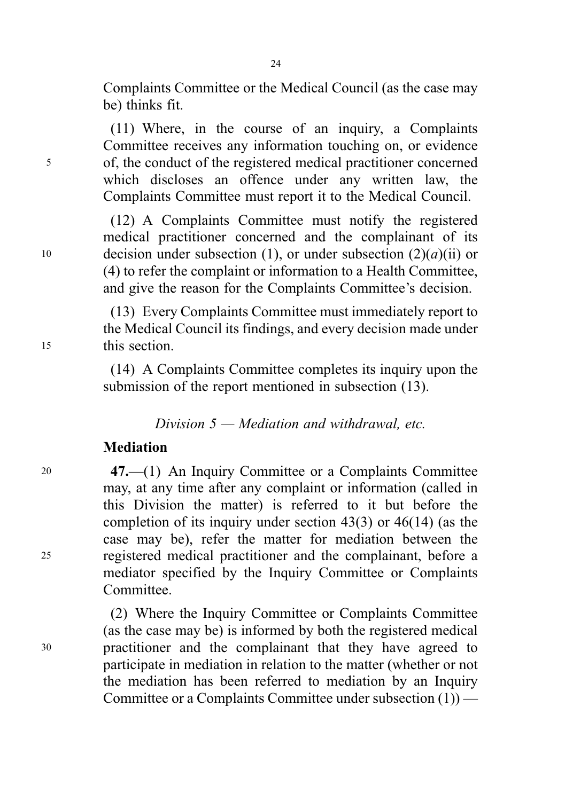Complaints Committee or the Medical Council (as the case may be) thinks fit.

(11) Where, in the course of an inquiry, a Complaints Committee receives any information touching on, or evidence <sup>5</sup> of, the conduct of the registered medical practitioner concerned which discloses an offence under any written law, the Complaints Committee must report it to the Medical Council.

(12) A Complaints Committee must notify the registered medical practitioner concerned and the complainant of its 10 decision under subsection (1), or under subsection  $(2)(a)(ii)$  or (4) to refer the complaint or information to a Health Committee, and give the reason for the Complaints Committee's decision.

(13) Every Complaints Committee must immediately report to the Medical Council its findings, and every decision made under <sup>15</sup> this section.

> (14) A Complaints Committee completes its inquiry upon the submission of the report mentioned in subsection (13).

> > Division  $5$  — Mediation and withdrawal, etc.

### Mediation

<sup>20</sup> 47.—(1) An Inquiry Committee or a Complaints Committee may, at any time after any complaint or information (called in this Division the matter) is referred to it but before the completion of its inquiry under section 43(3) or 46(14) (as the case may be), refer the matter for mediation between the <sup>25</sup> registered medical practitioner and the complainant, before a mediator specified by the Inquiry Committee or Complaints Committee.

(2) Where the Inquiry Committee or Complaints Committee (as the case may be) is informed by both the registered medical <sup>30</sup> practitioner and the complainant that they have agreed to participate in mediation in relation to the matter (whether or not the mediation has been referred to mediation by an Inquiry Committee or a Complaints Committee under subsection (1)) —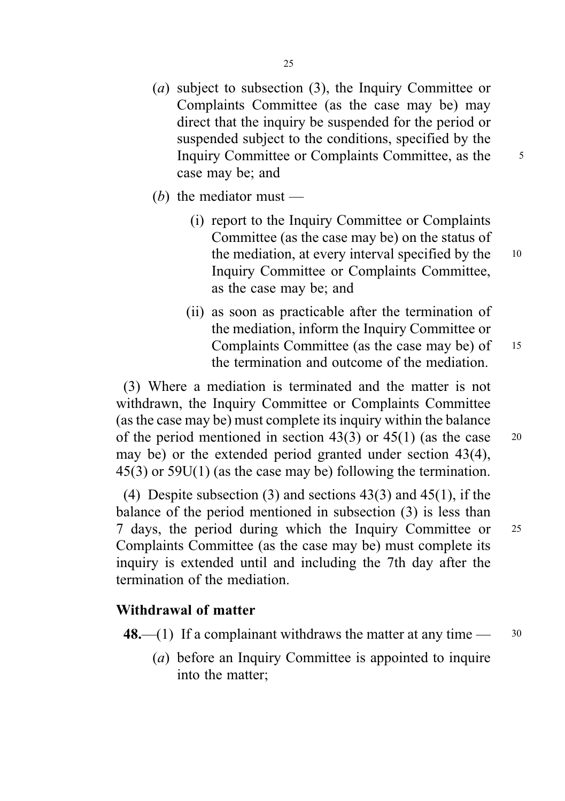- (a) subject to subsection (3), the Inquiry Committee or Complaints Committee (as the case may be) may direct that the inquiry be suspended for the period or suspended subject to the conditions, specified by the Inquiry Committee or Complaints Committee, as the <sup>5</sup> case may be; and
- (b) the mediator must  $-$ 
	- (i) report to the Inquiry Committee or Complaints Committee (as the case may be) on the status of the mediation, at every interval specified by the 10 Inquiry Committee or Complaints Committee, as the case may be; and
	- (ii) as soon as practicable after the termination of the mediation, inform the Inquiry Committee or Complaints Committee (as the case may be) of 15 the termination and outcome of the mediation.

(3) Where a mediation is terminated and the matter is not withdrawn, the Inquiry Committee or Complaints Committee (as the case may be) must complete its inquiry within the balance of the period mentioned in section 43(3) or  $45(1)$  (as the case 20 may be) or the extended period granted under section 43(4), 45(3) or 59U(1) (as the case may be) following the termination.

(4) Despite subsection (3) and sections  $43(3)$  and  $45(1)$ , if the balance of the period mentioned in subsection (3) is less than 7 days, the period during which the Inquiry Committee or <sup>25</sup> Complaints Committee (as the case may be) must complete its inquiry is extended until and including the 7th day after the termination of the mediation.

## Withdrawal of matter

**48.**—(1) If a complainant withdraws the matter at any time —  $30$ 

(a) before an Inquiry Committee is appointed to inquire into the matter;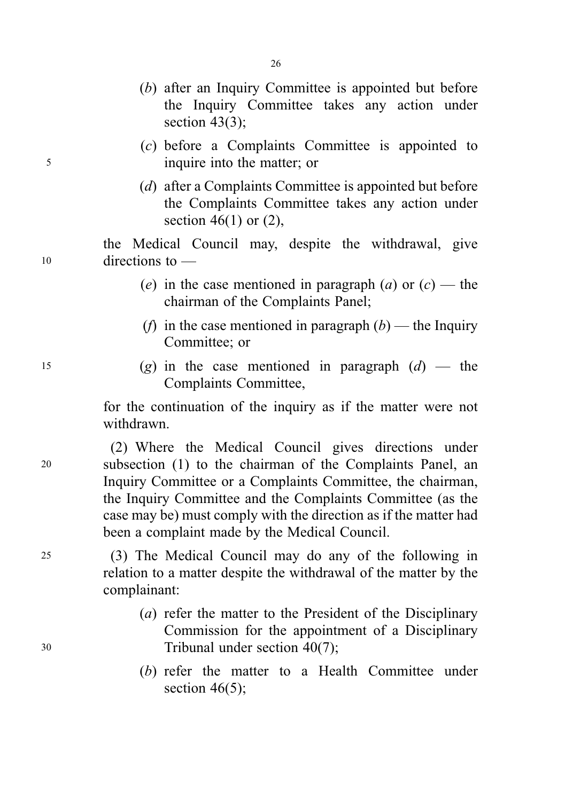- (b) after an Inquiry Committee is appointed but before the Inquiry Committee takes any action under section  $43(3)$ ;
- (c) before a Complaints Committee is appointed to <sup>5</sup> inquire into the matter; or
	- (d) after a Complaints Committee is appointed but before the Complaints Committee takes any action under section  $46(1)$  or  $(2)$ ,

the Medical Council may, despite the withdrawal, give <sup>10</sup> directions to —

- (e) in the case mentioned in paragraph (a) or  $(c)$  the chairman of the Complaints Panel;
- (f) in the case mentioned in paragraph  $(b)$  the Inquiry Committee; or
- 15 (g) in the case mentioned in paragraph  $(d)$  the Complaints Committee,

for the continuation of the inquiry as if the matter were not withdrawn.

(2) Where the Medical Council gives directions under <sup>20</sup> subsection (1) to the chairman of the Complaints Panel, an Inquiry Committee or a Complaints Committee, the chairman, the Inquiry Committee and the Complaints Committee (as the case may be) must comply with the direction as if the matter had been a complaint made by the Medical Council.

<sup>25</sup> (3) The Medical Council may do any of the following in relation to a matter despite the withdrawal of the matter by the complainant:

- (a) refer the matter to the President of the Disciplinary Commission for the appointment of a Disciplinary <sup>30</sup> Tribunal under section 40(7);
	- (b) refer the matter to a Health Committee under section  $46(5)$ ;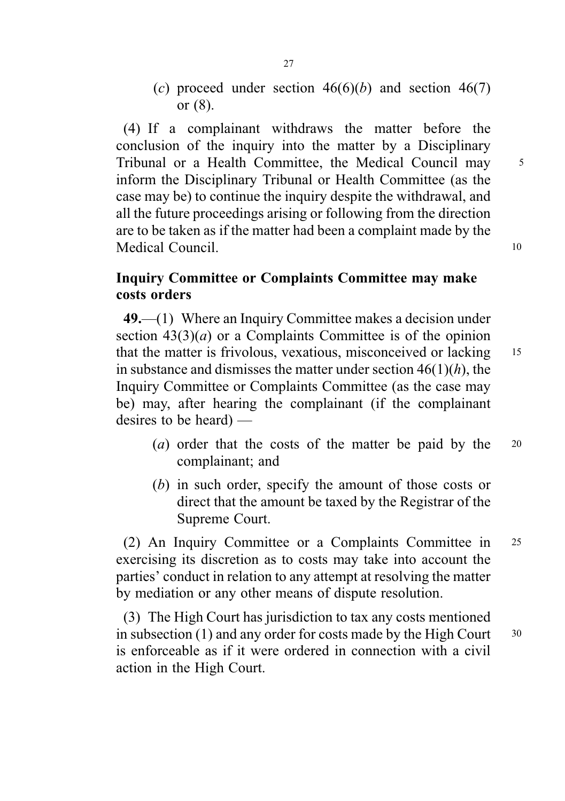(c) proceed under section  $46(6)(b)$  and section  $46(7)$ or (8).

(4) If a complainant withdraws the matter before the conclusion of the inquiry into the matter by a Disciplinary Tribunal or a Health Committee, the Medical Council may 5 inform the Disciplinary Tribunal or Health Committee (as the case may be) to continue the inquiry despite the withdrawal, and all the future proceedings arising or following from the direction are to be taken as if the matter had been a complaint made by the Medical Council. 10

# Inquiry Committee or Complaints Committee may make costs orders

49.—(1) Where an Inquiry Committee makes a decision under section  $43(3)(a)$  or a Complaints Committee is of the opinion that the matter is frivolous, vexatious, misconceived or lacking 15 in substance and dismisses the matter under section  $46(1)(h)$ , the Inquiry Committee or Complaints Committee (as the case may be) may, after hearing the complainant (if the complainant desires to be heard) —

- (*a*) order that the costs of the matter be paid by the  $20$ complainant; and
- (b) in such order, specify the amount of those costs or direct that the amount be taxed by the Registrar of the Supreme Court.

(2) An Inquiry Committee or a Complaints Committee in <sup>25</sup> exercising its discretion as to costs may take into account the parties' conduct in relation to any attempt at resolving the matter by mediation or any other means of dispute resolution.

(3) The High Court has jurisdiction to tax any costs mentioned in subsection  $(1)$  and any order for costs made by the High Court  $30$ is enforceable as if it were ordered in connection with a civil action in the High Court.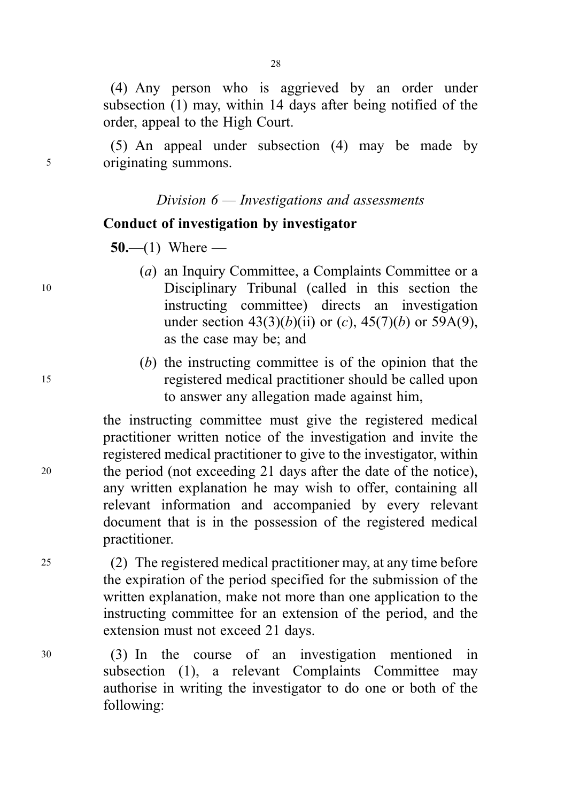(4) Any person who is aggrieved by an order under subsection (1) may, within 14 days after being notified of the order, appeal to the High Court.

(5) An appeal under subsection (4) may be made by <sup>5</sup> originating summons.

### Division  $6$  — Investigations and assessments

# Conduct of investigation by investigator

 $50- (1)$  Where —

- (a) an Inquiry Committee, a Complaints Committee or a <sup>10</sup> Disciplinary Tribunal (called in this section the instructing committee) directs an investigation under section  $43(3)(b)(ii)$  or  $(c)$ ,  $45(7)(b)$  or  $59A(9)$ , as the case may be; and
- (b) the instructing committee is of the opinion that the <sup>15</sup> registered medical practitioner should be called upon to answer any allegation made against him,

the instructing committee must give the registered medical practitioner written notice of the investigation and invite the registered medical practitioner to give to the investigator, within <sup>20</sup> the period (not exceeding 21 days after the date of the notice), any written explanation he may wish to offer, containing all relevant information and accompanied by every relevant document that is in the possession of the registered medical practitioner.

<sup>25</sup> (2) The registered medical practitioner may, at any time before the expiration of the period specified for the submission of the written explanation, make not more than one application to the instructing committee for an extension of the period, and the extension must not exceed 21 days.

<sup>30</sup> (3) In the course of an investigation mentioned in subsection (1), a relevant Complaints Committee may authorise in writing the investigator to do one or both of the following: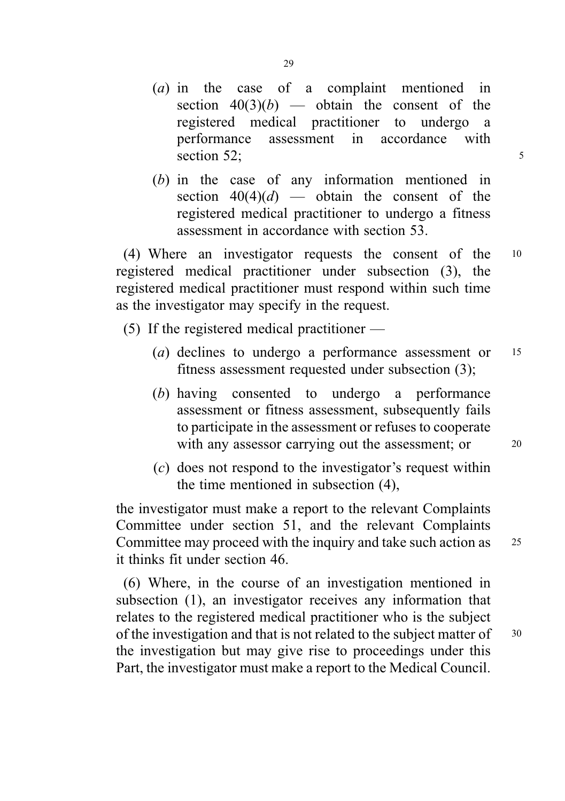- (a) in the case of a complaint mentioned in section  $40(3)(b)$  — obtain the consent of the registered medical practitioner to undergo a performance assessment in accordance with section 52:  $\frac{52}{5}$
- (b) in the case of any information mentioned in section  $40(4)(d)$  — obtain the consent of the registered medical practitioner to undergo a fitness assessment in accordance with section 53.

(4) Where an investigator requests the consent of the <sup>10</sup> registered medical practitioner under subsection (3), the registered medical practitioner must respond within such time as the investigator may specify in the request.

- (5) If the registered medical practitioner
	- (*a*) declines to undergo a performance assessment or 15 fitness assessment requested under subsection (3);
	- (b) having consented to undergo a performance assessment or fitness assessment, subsequently fails to participate in the assessment or refuses to cooperate with any assessor carrying out the assessment; or 20
	- (c) does not respond to the investigator's request within the time mentioned in subsection (4),

the investigator must make a report to the relevant Complaints Committee under section 51, and the relevant Complaints Committee may proceed with the inquiry and take such action as 25 it thinks fit under section 46.

(6) Where, in the course of an investigation mentioned in subsection (1), an investigator receives any information that relates to the registered medical practitioner who is the subject of the investigation and that is not related to the subject matter of  $30$ the investigation but may give rise to proceedings under this Part, the investigator must make a report to the Medical Council.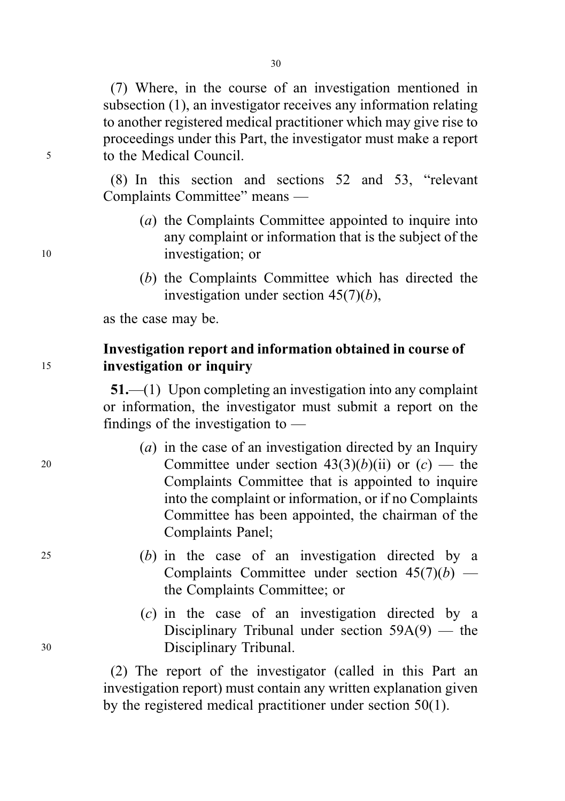(7) Where, in the course of an investigation mentioned in subsection (1), an investigator receives any information relating to another registered medical practitioner which may give rise to proceedings under this Part, the investigator must make a report <sup>5</sup> to the Medical Council.

> (8) In this section and sections 52 and 53, "relevant Complaints Committee" means —

- (a) the Complaints Committee appointed to inquire into any complaint or information that is the subject of the <sup>10</sup> investigation; or
	- (b) the Complaints Committee which has directed the investigation under section  $45(7)(b)$ ,

as the case may be.

# Investigation report and information obtained in course of <sup>15</sup> investigation or inquiry

51.—(1) Upon completing an investigation into any complaint or information, the investigator must submit a report on the findings of the investigation to —

- (a) in the case of an investigation directed by an Inquiry 20 Committee under section  $43(3)(b)(ii)$  or  $(c)$  — the Complaints Committee that is appointed to inquire into the complaint or information, or if no Complaints Committee has been appointed, the chairman of the Complaints Panel;
- <sup>25</sup> (b) in the case of an investigation directed by a Complaints Committee under section  $45(7)(b)$  the Complaints Committee; or
- (c) in the case of an investigation directed by a Disciplinary Tribunal under section 59A(9) — the <sup>30</sup> Disciplinary Tribunal.

(2) The report of the investigator (called in this Part an investigation report) must contain any written explanation given by the registered medical practitioner under section 50(1).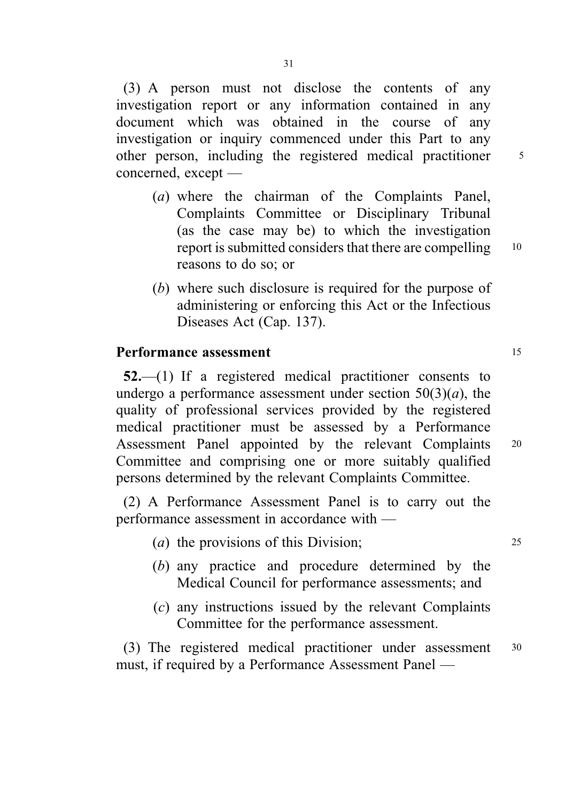(3) A person must not disclose the contents of any investigation report or any information contained in any document which was obtained in the course of any investigation or inquiry commenced under this Part to any other person, including the registered medical practitioner 5 concerned, except —

- (a) where the chairman of the Complaints Panel, Complaints Committee or Disciplinary Tribunal (as the case may be) to which the investigation report is submitted considers that there are compelling <sup>10</sup> reasons to do so; or
- (b) where such disclosure is required for the purpose of administering or enforcing this Act or the Infectious Diseases Act (Cap. 137).

## **Performance assessment** 15

52.—(1) If a registered medical practitioner consents to undergo a performance assessment under section  $50(3)(a)$ , the quality of professional services provided by the registered medical practitioner must be assessed by a Performance Assessment Panel appointed by the relevant Complaints <sup>20</sup> Committee and comprising one or more suitably qualified persons determined by the relevant Complaints Committee.

(2) A Performance Assessment Panel is to carry out the performance assessment in accordance with —

- (a) the provisions of this Division; <sup>25</sup>
- (b) any practice and procedure determined by the Medical Council for performance assessments; and
- (c) any instructions issued by the relevant Complaints Committee for the performance assessment.

(3) The registered medical practitioner under assessment <sup>30</sup> must, if required by a Performance Assessment Panel —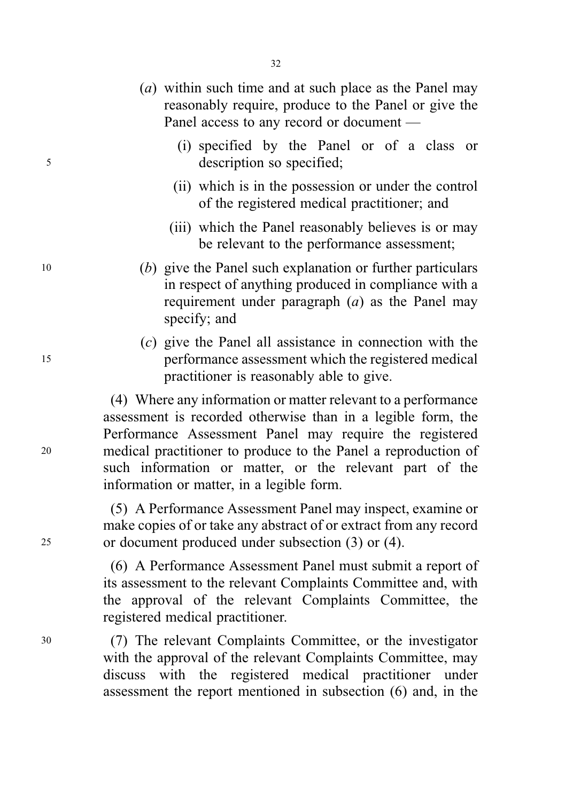- (a) within such time and at such place as the Panel may reasonably require, produce to the Panel or give the Panel access to any record or document —
- (i) specified by the Panel or of a class or <sup>5</sup> description so specified;
	- (ii) which is in the possession or under the control of the registered medical practitioner; and
	- (iii) which the Panel reasonably believes is or may be relevant to the performance assessment;
- <sup>10</sup> (b) give the Panel such explanation or further particulars in respect of anything produced in compliance with a requirement under paragraph  $(a)$  as the Panel may specify; and
- (c) give the Panel all assistance in connection with the <sup>15</sup> performance assessment which the registered medical practitioner is reasonably able to give.

(4) Where any information or matter relevant to a performance assessment is recorded otherwise than in a legible form, the Performance Assessment Panel may require the registered <sup>20</sup> medical practitioner to produce to the Panel a reproduction of such information or matter, or the relevant part of the information or matter, in a legible form.

(5) A Performance Assessment Panel may inspect, examine or make copies of or take any abstract of or extract from any record <sup>25</sup> or document produced under subsection (3) or (4).

> (6) A Performance Assessment Panel must submit a report of its assessment to the relevant Complaints Committee and, with the approval of the relevant Complaints Committee, the registered medical practitioner.

<sup>30</sup> (7) The relevant Complaints Committee, or the investigator with the approval of the relevant Complaints Committee, may discuss with the registered medical practitioner under assessment the report mentioned in subsection (6) and, in the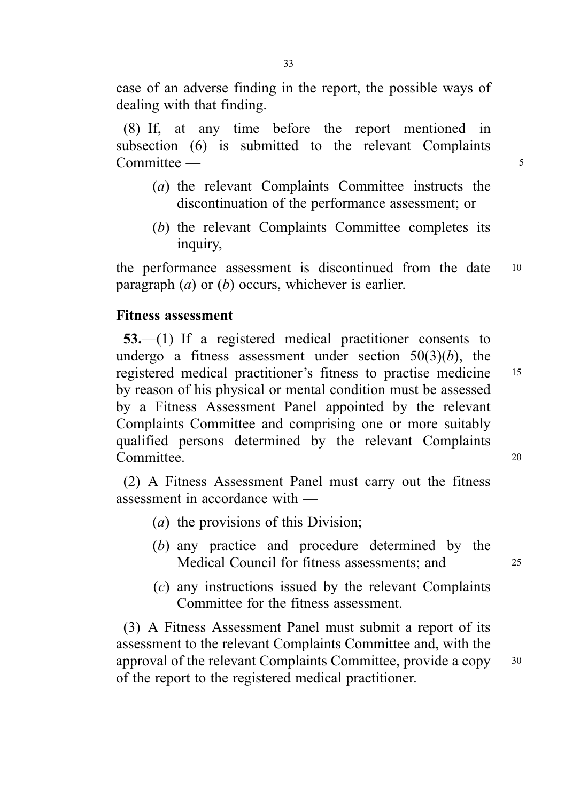case of an adverse finding in the report, the possible ways of dealing with that finding.

(8) If, at any time before the report mentioned in subsection (6) is submitted to the relevant Complaints Committee — 5

- (a) the relevant Complaints Committee instructs the discontinuation of the performance assessment; or
- (b) the relevant Complaints Committee completes its inquiry,

the performance assessment is discontinued from the date <sup>10</sup> paragraph  $(a)$  or  $(b)$  occurs, whichever is earlier.

## Fitness assessment

53.—(1) If a registered medical practitioner consents to undergo a fitness assessment under section  $50(3)(b)$ , the registered medical practitioner's fitness to practise medicine <sup>15</sup> by reason of his physical or mental condition must be assessed by a Fitness Assessment Panel appointed by the relevant Complaints Committee and comprising one or more suitably qualified persons determined by the relevant Complaints Committee. 20

(2) A Fitness Assessment Panel must carry out the fitness assessment in accordance with —

- (a) the provisions of this Division;
- (b) any practice and procedure determined by the Medical Council for fitness assessments; and 25
- (c) any instructions issued by the relevant Complaints Committee for the fitness assessment.

(3) A Fitness Assessment Panel must submit a report of its assessment to the relevant Complaints Committee and, with the approval of the relevant Complaints Committee, provide a copy <sup>30</sup> of the report to the registered medical practitioner.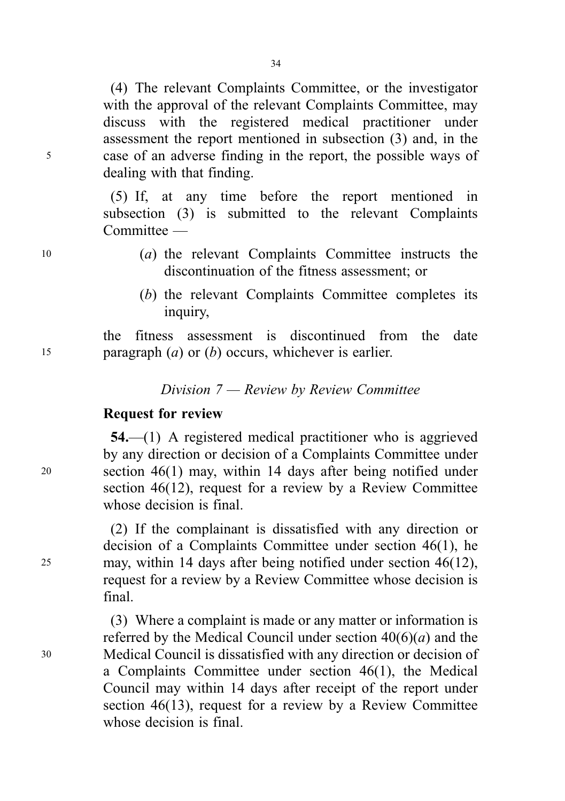(4) The relevant Complaints Committee, or the investigator with the approval of the relevant Complaints Committee, may discuss with the registered medical practitioner under assessment the report mentioned in subsection (3) and, in the <sup>5</sup> case of an adverse finding in the report, the possible ways of dealing with that finding.

> (5) If, at any time before the report mentioned in subsection (3) is submitted to the relevant Complaints Committee —

- <sup>10</sup> (a) the relevant Complaints Committee instructs the discontinuation of the fitness assessment; or
	- (b) the relevant Complaints Committee completes its inquiry,

the fitness assessment is discontinued from the date 15 paragraph  $(a)$  or  $(b)$  occurs, whichever is earlier.

Division 7 — Review by Review Committee

# Request for review

54.—(1) A registered medical practitioner who is aggrieved by any direction or decision of a Complaints Committee under <sup>20</sup> section 46(1) may, within 14 days after being notified under section 46(12), request for a review by a Review Committee whose decision is final.

(2) If the complainant is dissatisfied with any direction or decision of a Complaints Committee under section 46(1), he <sup>25</sup> may, within 14 days after being notified under section 46(12), request for a review by a Review Committee whose decision is final.

(3) Where a complaint is made or any matter or information is referred by the Medical Council under section  $40(6)(a)$  and the <sup>30</sup> Medical Council is dissatisfied with any direction or decision of a Complaints Committee under section 46(1), the Medical Council may within 14 days after receipt of the report under section 46(13), request for a review by a Review Committee whose decision is final.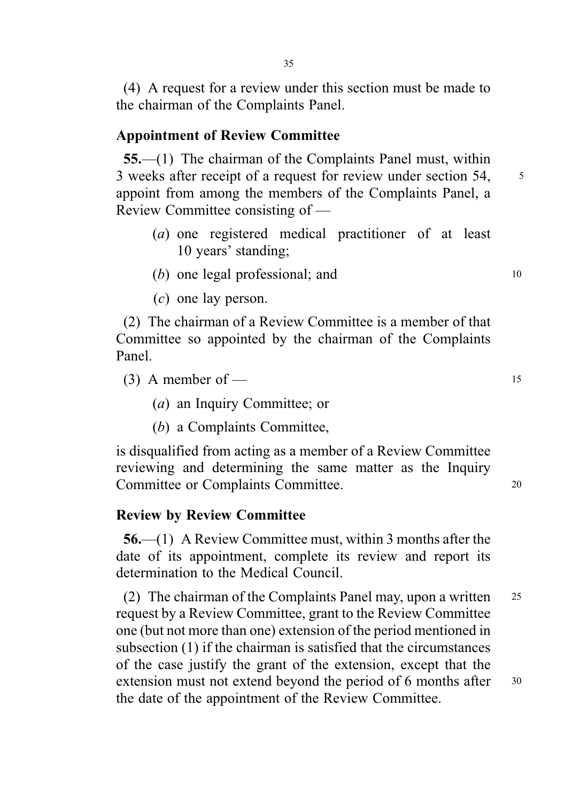(4) A request for a review under this section must be made to the chairman of the Complaints Panel.

### Appointment of Review Committee

55.—(1) The chairman of the Complaints Panel must, within 3 weeks after receipt of a request for review under section 54, 5 appoint from among the members of the Complaints Panel, a Review Committee consisting of —

- (a) one registered medical practitioner of at least 10 years' standing;
- $(b)$  one legal professional; and  $10$
- (c) one lay person.

(2) The chairman of a Review Committee is a member of that Committee so appointed by the chairman of the Complaints Panel.

(3) A member of  $-$  15

- (a) an Inquiry Committee; or
- (b) a Complaints Committee,

is disqualified from acting as a member of a Review Committee reviewing and determining the same matter as the Inquiry Committee or Complaints Committee. <sup>20</sup>

#### Review by Review Committee

56.—(1) A Review Committee must, within 3 months after the date of its appointment, complete its review and report its determination to the Medical Council.

(2) The chairman of the Complaints Panel may, upon a written <sup>25</sup> request by a Review Committee, grant to the Review Committee one (but not more than one) extension of the period mentioned in subsection (1) if the chairman is satisfied that the circumstances of the case justify the grant of the extension, except that the extension must not extend beyond the period of 6 months after 30 the date of the appointment of the Review Committee.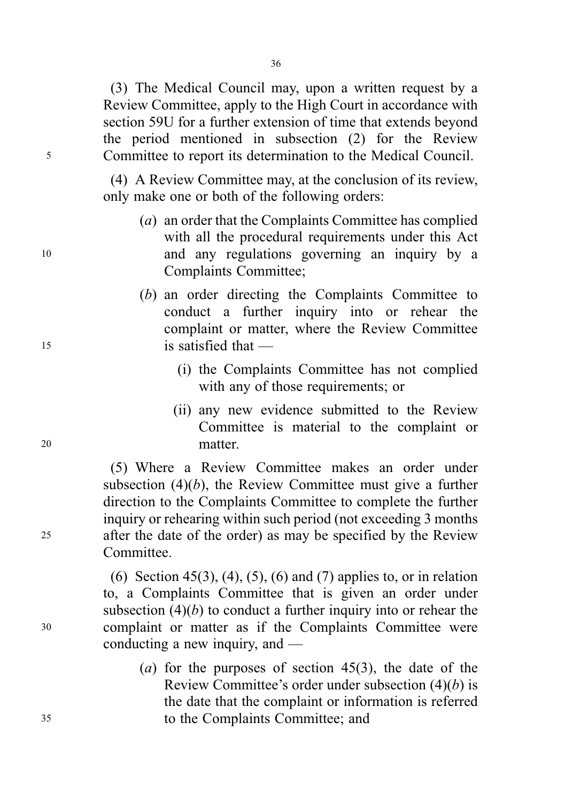36

(3) The Medical Council may, upon a written request by a Review Committee, apply to the High Court in accordance with section 59U for a further extension of time that extends beyond the period mentioned in subsection (2) for the Review <sup>5</sup> Committee to report its determination to the Medical Council.

> (4) A Review Committee may, at the conclusion of its review, only make one or both of the following orders:

- (a) an order that the Complaints Committee has complied with all the procedural requirements under this Act <sup>10</sup> and any regulations governing an inquiry by a Complaints Committee;
- (b) an order directing the Complaints Committee to conduct a further inquiry into or rehear the complaint or matter, where the Review Committee <sup>15</sup> is satisfied that —
	- (i) the Complaints Committee has not complied with any of those requirements; or
- (ii) any new evidence submitted to the Review Committee is material to the complaint or <sup>20</sup> matter.

(5) Where a Review Committee makes an order under subsection  $(4)(b)$ , the Review Committee must give a further direction to the Complaints Committee to complete the further inquiry or rehearing within such period (not exceeding 3 months <sup>25</sup> after the date of the order) as may be specified by the Review Committee.

(6) Section 45(3), (4), (5), (6) and (7) applies to, or in relation to, a Complaints Committee that is given an order under subsection  $(4)(b)$  to conduct a further inquiry into or rehear the <sup>30</sup> complaint or matter as if the Complaints Committee were conducting a new inquiry, and —

(a) for the purposes of section  $45(3)$ , the date of the Review Committee's order under subsection  $(4)(b)$  is the date that the complaint or information is referred <sup>35</sup> to the Complaints Committee; and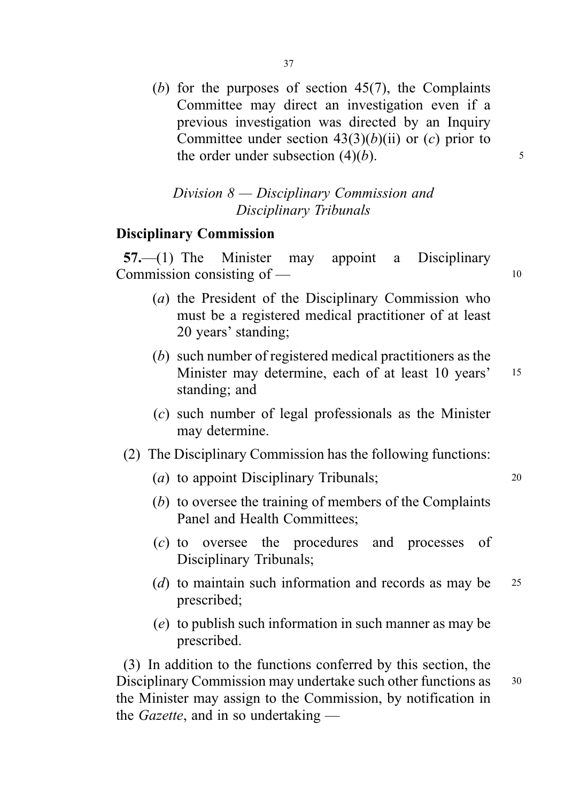(b) for the purposes of section  $45(7)$ , the Complaints Committee may direct an investigation even if a previous investigation was directed by an Inquiry Committee under section  $43(3)(b)(ii)$  or  $(c)$  prior to the order under subsection  $(4)(b)$ .  $\frac{5}{2}$ 

# Division 8 — Disciplinary Commission and Disciplinary Tribunals

# Disciplinary Commission

57.—(1) The Minister may appoint a Disciplinary Commission consisting of  $\qquad$  10

- (a) the President of the Disciplinary Commission who must be a registered medical practitioner of at least 20 years' standing;
- (b) such number of registered medical practitioners as the Minister may determine, each of at least 10 years' 15 standing; and
- (c) such number of legal professionals as the Minister may determine.
- (2) The Disciplinary Commission has the following functions:
	- (*a*) to appoint Disciplinary Tribunals; 20
	- (b) to oversee the training of members of the Complaints Panel and Health Committees;
	- (c) to oversee the procedures and processes of Disciplinary Tribunals;
	- (d) to maintain such information and records as may be  $25$ prescribed;
	- (e) to publish such information in such manner as may be prescribed.

(3) In addition to the functions conferred by this section, the Disciplinary Commission may undertake such other functions as 30 the Minister may assign to the Commission, by notification in the *Gazette*, and in so undertaking  $-$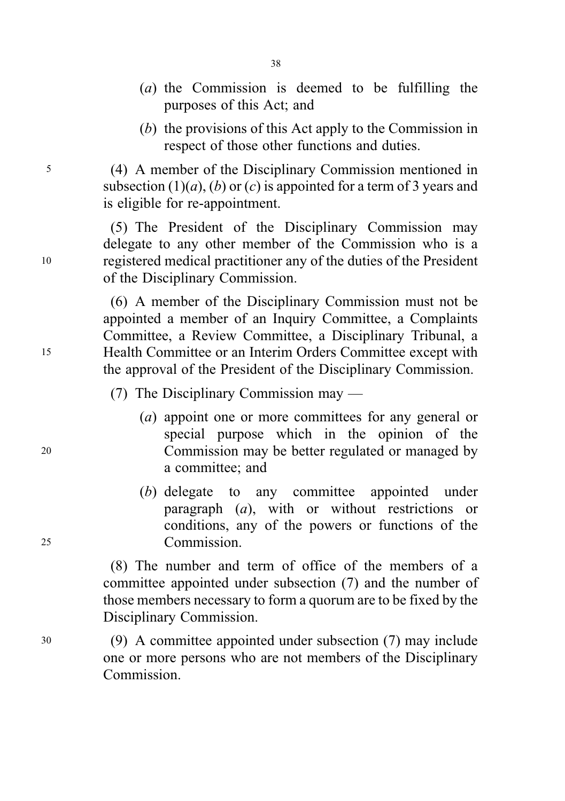- (a) the Commission is deemed to be fulfilling the purposes of this Act; and
- (b) the provisions of this Act apply to the Commission in respect of those other functions and duties.

<sup>5</sup> (4) A member of the Disciplinary Commission mentioned in subsection  $(1)(a)$ ,  $(b)$  or  $(c)$  is appointed for a term of 3 years and is eligible for re-appointment.

(5) The President of the Disciplinary Commission may delegate to any other member of the Commission who is a <sup>10</sup> registered medical practitioner any of the duties of the President of the Disciplinary Commission.

(6) A member of the Disciplinary Commission must not be appointed a member of an Inquiry Committee, a Complaints Committee, a Review Committee, a Disciplinary Tribunal, a <sup>15</sup> Health Committee or an Interim Orders Committee except with the approval of the President of the Disciplinary Commission.

(7) The Disciplinary Commission may —

- (a) appoint one or more committees for any general or special purpose which in the opinion of the <sup>20</sup> Commission may be better regulated or managed by a committee; and
- (b) delegate to any committee appointed under paragraph (a), with or without restrictions or conditions, any of the powers or functions of the <sup>25</sup> Commission.

(8) The number and term of office of the members of a committee appointed under subsection (7) and the number of those members necessary to form a quorum are to be fixed by the Disciplinary Commission.

<sup>30</sup> (9) A committee appointed under subsection (7) may include one or more persons who are not members of the Disciplinary **Commission**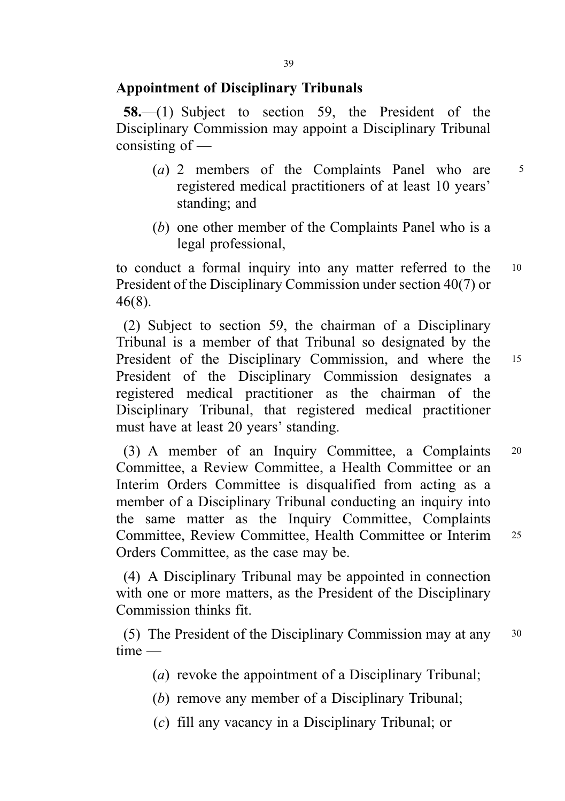## Appointment of Disciplinary Tribunals

58.—(1) Subject to section 59, the President of the Disciplinary Commission may appoint a Disciplinary Tribunal consisting of —

- (a) 2 members of the Complaints Panel who are  $5$ registered medical practitioners of at least 10 years' standing; and
- (b) one other member of the Complaints Panel who is a legal professional,

to conduct a formal inquiry into any matter referred to the <sup>10</sup> President of the Disciplinary Commission under section 40(7) or 46(8).

(2) Subject to section 59, the chairman of a Disciplinary Tribunal is a member of that Tribunal so designated by the President of the Disciplinary Commission, and where the 15 President of the Disciplinary Commission designates a registered medical practitioner as the chairman of the Disciplinary Tribunal, that registered medical practitioner must have at least 20 years' standing.

(3) A member of an Inquiry Committee, a Complaints <sup>20</sup> Committee, a Review Committee, a Health Committee or an Interim Orders Committee is disqualified from acting as a member of a Disciplinary Tribunal conducting an inquiry into the same matter as the Inquiry Committee, Complaints Committee, Review Committee, Health Committee or Interim <sup>25</sup> Orders Committee, as the case may be.

(4) A Disciplinary Tribunal may be appointed in connection with one or more matters, as the President of the Disciplinary Commission thinks fit.

(5) The President of the Disciplinary Commission may at any <sup>30</sup> time —

- (a) revoke the appointment of a Disciplinary Tribunal;
- (b) remove any member of a Disciplinary Tribunal;
- (c) fill any vacancy in a Disciplinary Tribunal; or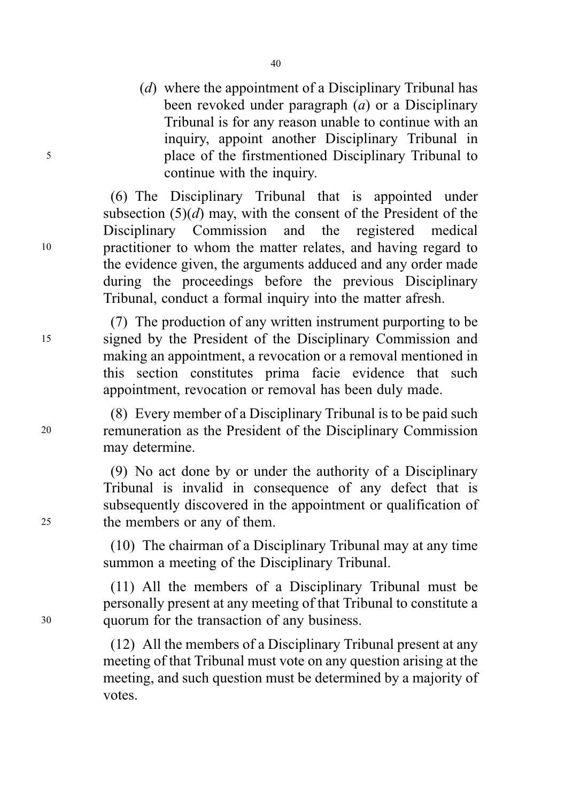(*d*) where the appointment of a Disciplinary Tribunal has been revoked under paragraph  $(a)$  or a Disciplinary Tribunal is for any reason unable to continue with an inquiry, appoint another Disciplinary Tribunal in <sup>5</sup> place of the firstmentioned Disciplinary Tribunal to continue with the inquiry.

(6) The Disciplinary Tribunal that is appointed under subsection  $(5)(d)$  may, with the consent of the President of the Disciplinary Commission and the registered medical <sup>10</sup> practitioner to whom the matter relates, and having regard to the evidence given, the arguments adduced and any order made during the proceedings before the previous Disciplinary Tribunal, conduct a formal inquiry into the matter afresh.

(7) The production of any written instrument purporting to be <sup>15</sup> signed by the President of the Disciplinary Commission and making an appointment, a revocation or a removal mentioned in this section constitutes prima facie evidence that such appointment, revocation or removal has been duly made.

(8) Every member of a Disciplinary Tribunal is to be paid such <sup>20</sup> remuneration as the President of the Disciplinary Commission may determine.

(9) No act done by or under the authority of a Disciplinary Tribunal is invalid in consequence of any defect that is subsequently discovered in the appointment or qualification of <sup>25</sup> the members or any of them.

> (10) The chairman of a Disciplinary Tribunal may at any time summon a meeting of the Disciplinary Tribunal.

(11) All the members of a Disciplinary Tribunal must be personally present at any meeting of that Tribunal to constitute a <sup>30</sup> quorum for the transaction of any business.

> (12) All the members of a Disciplinary Tribunal present at any meeting of that Tribunal must vote on any question arising at the meeting, and such question must be determined by a majority of votes.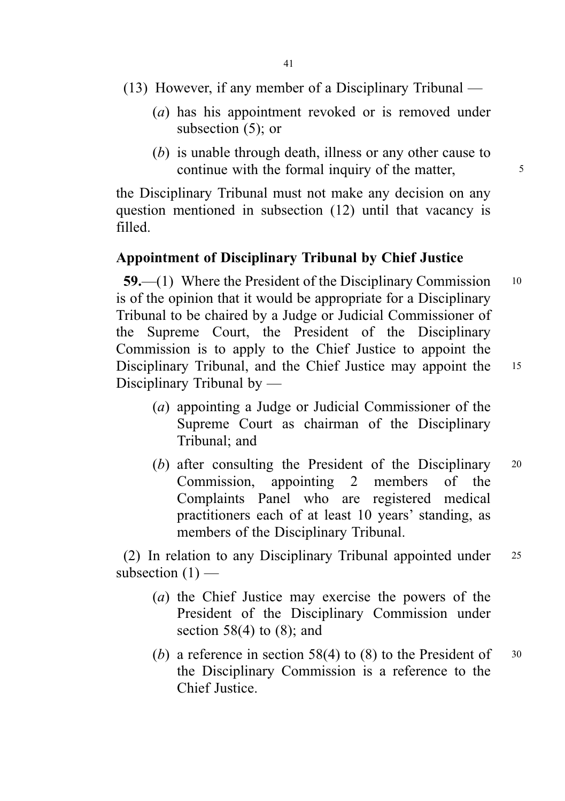- (13) However, if any member of a Disciplinary Tribunal
	- (a) has his appointment revoked or is removed under subsection (5); or
	- (b) is unable through death, illness or any other cause to continue with the formal inquiry of the matter,

the Disciplinary Tribunal must not make any decision on any question mentioned in subsection (12) until that vacancy is filled.

#### Appointment of Disciplinary Tribunal by Chief Justice

59.—(1) Where the President of the Disciplinary Commission <sup>10</sup> is of the opinion that it would be appropriate for a Disciplinary Tribunal to be chaired by a Judge or Judicial Commissioner of the Supreme Court, the President of the Disciplinary Commission is to apply to the Chief Justice to appoint the Disciplinary Tribunal, and the Chief Justice may appoint the 15 Disciplinary Tribunal by —

- 
- (a) appointing a Judge or Judicial Commissioner of the Supreme Court as chairman of the Disciplinary Tribunal; and
- (b) after consulting the President of the Disciplinary 20 Commission, appointing 2 members of the Complaints Panel who are registered medical practitioners each of at least 10 years' standing, as members of the Disciplinary Tribunal.

(2) In relation to any Disciplinary Tribunal appointed under <sup>25</sup> subsection  $(1)$  —

- (a) the Chief Justice may exercise the powers of the President of the Disciplinary Commission under section  $58(4)$  to  $(8)$ ; and
- (b) a reference in section 58(4) to (8) to the President of  $30$ the Disciplinary Commission is a reference to the Chief Justice.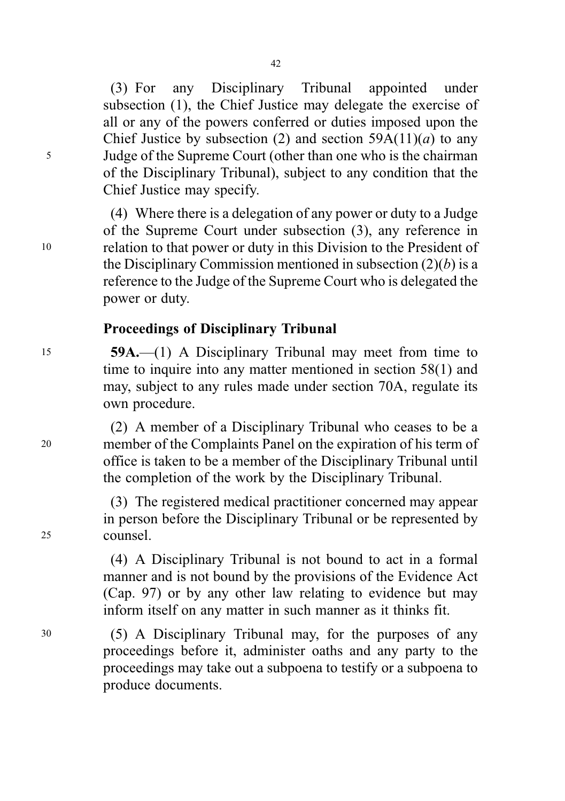(3) For any Disciplinary Tribunal appointed under subsection (1), the Chief Justice may delegate the exercise of all or any of the powers conferred or duties imposed upon the Chief Justice by subsection (2) and section  $59A(11)(a)$  to any <sup>5</sup> Judge of the Supreme Court (other than one who is the chairman of the Disciplinary Tribunal), subject to any condition that the Chief Justice may specify.

(4) Where there is a delegation of any power or duty to a Judge of the Supreme Court under subsection (3), any reference in <sup>10</sup> relation to that power or duty in this Division to the President of the Disciplinary Commission mentioned in subsection  $(2)(b)$  is a reference to the Judge of the Supreme Court who is delegated the power or duty.

## Proceedings of Disciplinary Tribunal

<sup>15</sup> 59A.—(1) A Disciplinary Tribunal may meet from time to time to inquire into any matter mentioned in section 58(1) and may, subject to any rules made under section 70A, regulate its own procedure.

(2) A member of a Disciplinary Tribunal who ceases to be a <sup>20</sup> member of the Complaints Panel on the expiration of his term of office is taken to be a member of the Disciplinary Tribunal until the completion of the work by the Disciplinary Tribunal.

(3) The registered medical practitioner concerned may appear in person before the Disciplinary Tribunal or be represented by <sup>25</sup> counsel.

> (4) A Disciplinary Tribunal is not bound to act in a formal manner and is not bound by the provisions of the Evidence Act (Cap. 97) or by any other law relating to evidence but may inform itself on any matter in such manner as it thinks fit.

<sup>30</sup> (5) A Disciplinary Tribunal may, for the purposes of any proceedings before it, administer oaths and any party to the proceedings may take out a subpoena to testify or a subpoena to produce documents.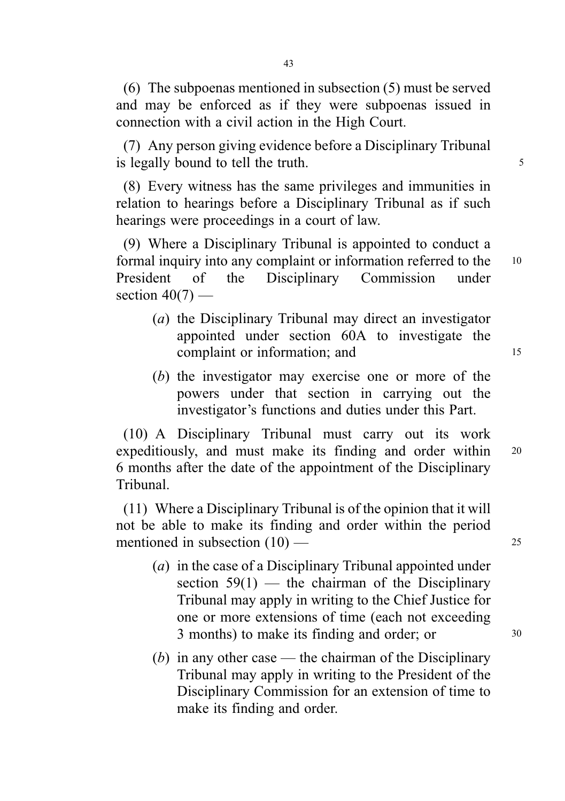(6) The subpoenas mentioned in subsection (5) must be served and may be enforced as if they were subpoenas issued in connection with a civil action in the High Court.

(7) Any person giving evidence before a Disciplinary Tribunal is legally bound to tell the truth.

(8) Every witness has the same privileges and immunities in relation to hearings before a Disciplinary Tribunal as if such hearings were proceedings in a court of law.

(9) Where a Disciplinary Tribunal is appointed to conduct a formal inquiry into any complaint or information referred to the <sup>10</sup> President of the Disciplinary Commission under section  $40(7)$  —

- (a) the Disciplinary Tribunal may direct an investigator appointed under section 60A to investigate the complaint or information; and 15
- (b) the investigator may exercise one or more of the powers under that section in carrying out the investigator's functions and duties under this Part.

(10) A Disciplinary Tribunal must carry out its work expeditiously, and must make its finding and order within <sup>20</sup> 6 months after the date of the appointment of the Disciplinary Tribunal.

(11) Where a Disciplinary Tribunal is of the opinion that it will not be able to make its finding and order within the period mentioned in subsection  $(10)$  — 25

- (a) in the case of a Disciplinary Tribunal appointed under section  $59(1)$  — the chairman of the Disciplinary Tribunal may apply in writing to the Chief Justice for one or more extensions of time (each not exceeding 3 months) to make its finding and order; or  $30$
- (b) in any other case the chairman of the Disciplinary Tribunal may apply in writing to the President of the Disciplinary Commission for an extension of time to make its finding and order.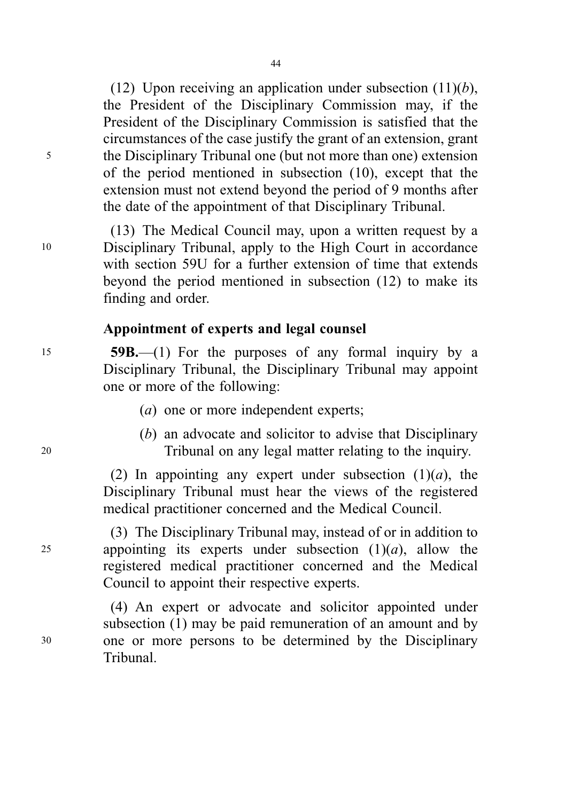(12) Upon receiving an application under subsection  $(11)(b)$ , the President of the Disciplinary Commission may, if the President of the Disciplinary Commission is satisfied that the circumstances of the case justify the grant of an extension, grant <sup>5</sup> the Disciplinary Tribunal one (but not more than one) extension of the period mentioned in subsection (10), except that the extension must not extend beyond the period of 9 months after the date of the appointment of that Disciplinary Tribunal.

(13) The Medical Council may, upon a written request by a <sup>10</sup> Disciplinary Tribunal, apply to the High Court in accordance with section 59U for a further extension of time that extends beyond the period mentioned in subsection (12) to make its finding and order.

## Appointment of experts and legal counsel

<sup>15</sup> 59B.—(1) For the purposes of any formal inquiry by a Disciplinary Tribunal, the Disciplinary Tribunal may appoint one or more of the following:

- (a) one or more independent experts;
- (b) an advocate and solicitor to advise that Disciplinary <sup>20</sup> Tribunal on any legal matter relating to the inquiry.

(2) In appointing any expert under subsection  $(1)(a)$ , the Disciplinary Tribunal must hear the views of the registered medical practitioner concerned and the Medical Council.

(3) The Disciplinary Tribunal may, instead of or in addition to 25 appointing its experts under subsection  $(1)(a)$ , allow the registered medical practitioner concerned and the Medical Council to appoint their respective experts.

(4) An expert or advocate and solicitor appointed under subsection (1) may be paid remuneration of an amount and by <sup>30</sup> one or more persons to be determined by the Disciplinary Tribunal.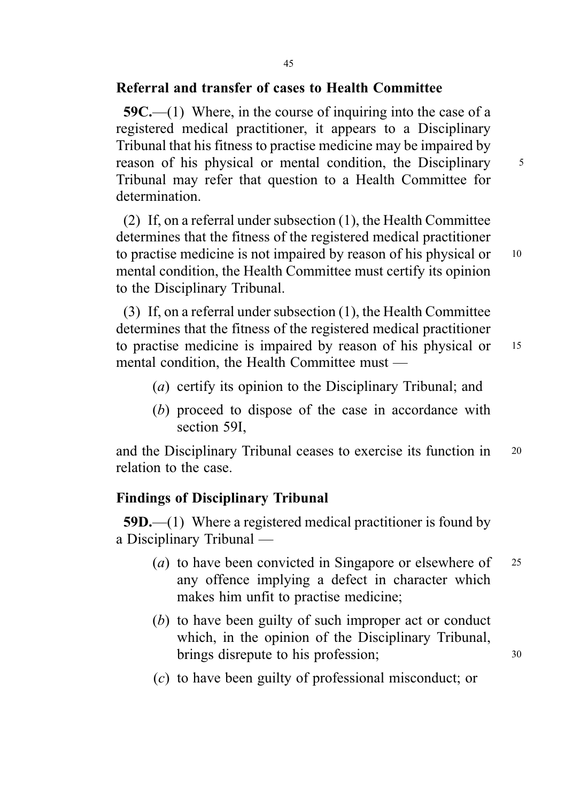# Referral and transfer of cases to Health Committee

59C.—(1) Where, in the course of inquiring into the case of a registered medical practitioner, it appears to a Disciplinary Tribunal that his fitness to practise medicine may be impaired by reason of his physical or mental condition, the Disciplinary 5 Tribunal may refer that question to a Health Committee for determination.

(2) If, on a referral under subsection (1), the Health Committee determines that the fitness of the registered medical practitioner to practise medicine is not impaired by reason of his physical or 10 mental condition, the Health Committee must certify its opinion to the Disciplinary Tribunal.

(3) If, on a referral under subsection (1), the Health Committee determines that the fitness of the registered medical practitioner to practise medicine is impaired by reason of his physical or 15 mental condition, the Health Committee must —

- (a) certify its opinion to the Disciplinary Tribunal; and
- (b) proceed to dispose of the case in accordance with section 59I,

and the Disciplinary Tribunal ceases to exercise its function in <sup>20</sup> relation to the case.

# Findings of Disciplinary Tribunal

59D.—(1) Where a registered medical practitioner is found by a Disciplinary Tribunal —

- (*a*) to have been convicted in Singapore or elsewhere of  $25$ any offence implying a defect in character which makes him unfit to practise medicine;
- (b) to have been guilty of such improper act or conduct which, in the opinion of the Disciplinary Tribunal, brings disrepute to his profession; 30
- (c) to have been guilty of professional misconduct; or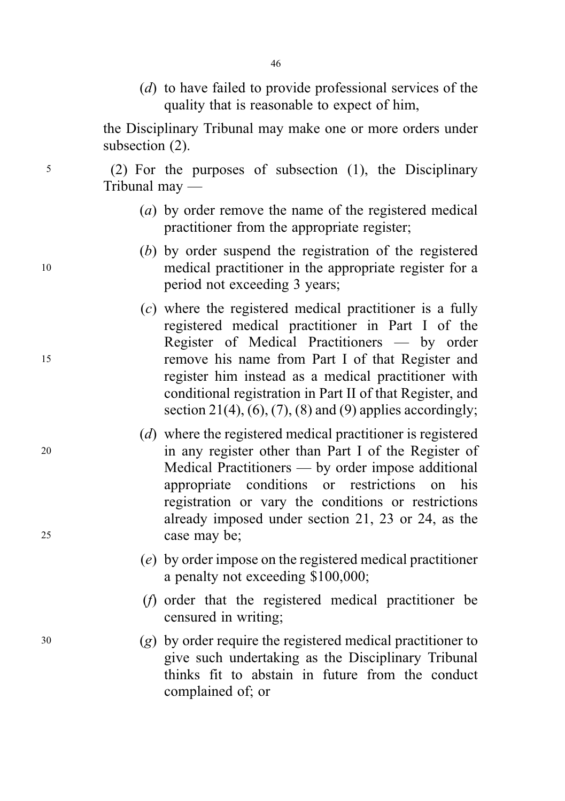(d) to have failed to provide professional services of the quality that is reasonable to expect of him,

the Disciplinary Tribunal may make one or more orders under subsection  $(2)$ .

<sup>5</sup> (2) For the purposes of subsection (1), the Disciplinary Tribunal may —

- (a) by order remove the name of the registered medical practitioner from the appropriate register;
- (b) by order suspend the registration of the registered <sup>10</sup> medical practitioner in the appropriate register for a period not exceeding 3 years;
- (c) where the registered medical practitioner is a fully registered medical practitioner in Part I of the Register of Medical Practitioners — by order <sup>15</sup> remove his name from Part I of that Register and register him instead as a medical practitioner with conditional registration in Part II of that Register, and section  $21(4)$ ,  $(6)$ ,  $(7)$ ,  $(8)$  and  $(9)$  applies accordingly;
- (d) where the registered medical practitioner is registered <sup>20</sup> in any register other than Part I of the Register of Medical Practitioners — by order impose additional appropriate conditions or restrictions on his registration or vary the conditions or restrictions already imposed under section 21, 23 or 24, as the <sup>25</sup> case may be;
	- (e) by order impose on the registered medical practitioner a penalty not exceeding \$100,000;
	- (f) order that the registered medical practitioner be censured in writing;
- <sup>30</sup> (g) by order require the registered medical practitioner to give such undertaking as the Disciplinary Tribunal thinks fit to abstain in future from the conduct complained of; or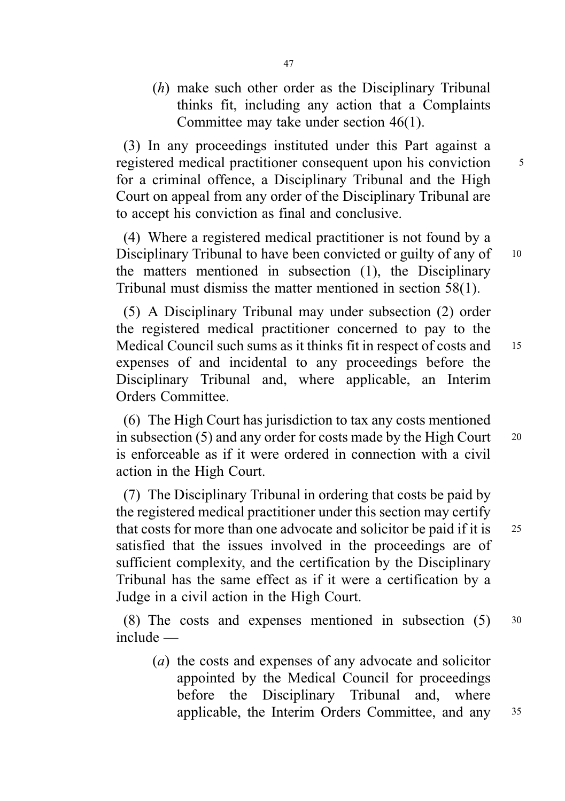(h) make such other order as the Disciplinary Tribunal thinks fit, including any action that a Complaints Committee may take under section 46(1).

(3) In any proceedings instituted under this Part against a registered medical practitioner consequent upon his conviction <sup>5</sup> for a criminal offence, a Disciplinary Tribunal and the High Court on appeal from any order of the Disciplinary Tribunal are to accept his conviction as final and conclusive.

(4) Where a registered medical practitioner is not found by a Disciplinary Tribunal to have been convicted or guilty of any of 10 the matters mentioned in subsection (1), the Disciplinary Tribunal must dismiss the matter mentioned in section 58(1).

(5) A Disciplinary Tribunal may under subsection (2) order the registered medical practitioner concerned to pay to the Medical Council such sums as it thinks fit in respect of costs and 15 expenses of and incidental to any proceedings before the Disciplinary Tribunal and, where applicable, an Interim Orders Committee.

(6) The High Court has jurisdiction to tax any costs mentioned in subsection  $(5)$  and any order for costs made by the High Court  $20$ is enforceable as if it were ordered in connection with a civil action in the High Court.

(7) The Disciplinary Tribunal in ordering that costs be paid by the registered medical practitioner under this section may certify that costs for more than one advocate and solicitor be paid if it is 25 satisfied that the issues involved in the proceedings are of sufficient complexity, and the certification by the Disciplinary Tribunal has the same effect as if it were a certification by a Judge in a civil action in the High Court.

(8) The costs and expenses mentioned in subsection (5) <sup>30</sup> include —

(a) the costs and expenses of any advocate and solicitor appointed by the Medical Council for proceedings before the Disciplinary Tribunal and, where applicable, the Interim Orders Committee, and any <sup>35</sup>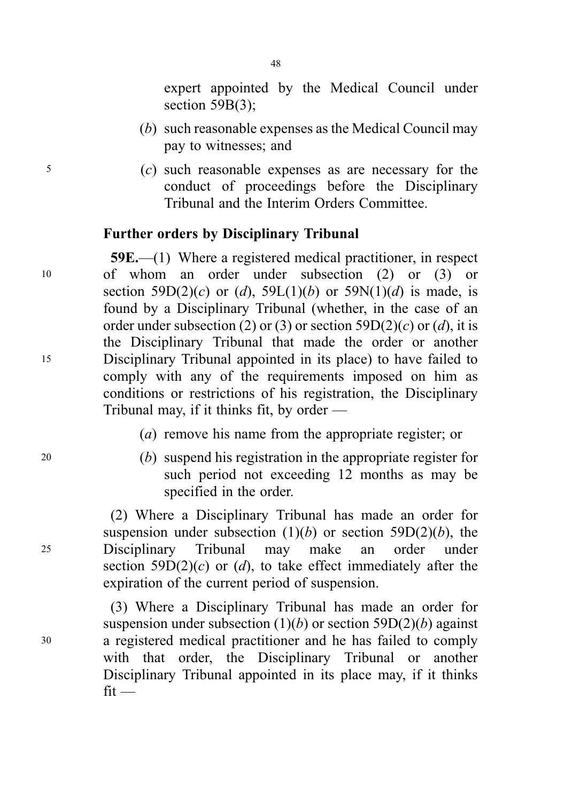expert appointed by the Medical Council under section 59B(3);

- (b) such reasonable expenses as the Medical Council may pay to witnesses; and
- <sup>5</sup> (c) such reasonable expenses as are necessary for the conduct of proceedings before the Disciplinary Tribunal and the Interim Orders Committee.

#### Further orders by Disciplinary Tribunal

59E.—(1) Where a registered medical practitioner, in respect <sup>10</sup> of whom an order under subsection (2) or (3) or section 59D(2)(c) or (d), 59L(1)(b) or 59N(1)(d) is made, is found by a Disciplinary Tribunal (whether, in the case of an order under subsection (2) or (3) or section 59D(2)(c) or (d), it is the Disciplinary Tribunal that made the order or another <sup>15</sup> Disciplinary Tribunal appointed in its place) to have failed to comply with any of the requirements imposed on him as conditions or restrictions of his registration, the Disciplinary Tribunal may, if it thinks fit, by order —

(a) remove his name from the appropriate register; or

<sup>20</sup> (b) suspend his registration in the appropriate register for such period not exceeding 12 months as may be specified in the order.

(2) Where a Disciplinary Tribunal has made an order for suspension under subsection  $(1)(b)$  or section 59D(2)(b), the <sup>25</sup> Disciplinary Tribunal may make an order under section 59D(2)(c) or (d), to take effect immediately after the expiration of the current period of suspension.

(3) Where a Disciplinary Tribunal has made an order for suspension under subsection  $(1)(b)$  or section 59D(2)(b) against <sup>30</sup> a registered medical practitioner and he has failed to comply with that order, the Disciplinary Tribunal or another Disciplinary Tribunal appointed in its place may, if it thinks  $fit -$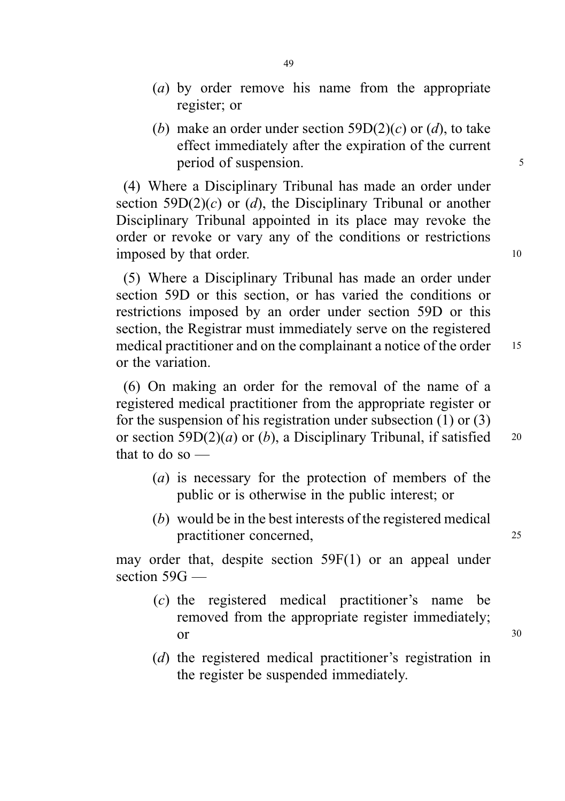- (a) by order remove his name from the appropriate register; or
- (b) make an order under section  $59D(2)(c)$  or (d), to take effect immediately after the expiration of the current period of suspension. 5

(4) Where a Disciplinary Tribunal has made an order under section 59D(2)(c) or (d), the Disciplinary Tribunal or another Disciplinary Tribunal appointed in its place may revoke the order or revoke or vary any of the conditions or restrictions imposed by that order. 10

(5) Where a Disciplinary Tribunal has made an order under section 59D or this section, or has varied the conditions or restrictions imposed by an order under section 59D or this section, the Registrar must immediately serve on the registered medical practitioner and on the complainant a notice of the order 15 or the variation.

(6) On making an order for the removal of the name of a registered medical practitioner from the appropriate register or for the suspension of his registration under subsection (1) or (3) or section 59D(2)(*a*) or (*b*), a Disciplinary Tribunal, if satisfied  $^{20}$ that to do so —

- (a) is necessary for the protection of members of the public or is otherwise in the public interest; or
- (b) would be in the best interests of the registered medical practitioner concerned, 25

may order that, despite section 59F(1) or an appeal under section 59G —

- (c) the registered medical practitioner's name be removed from the appropriate register immediately;  $or$   $30$
- (d) the registered medical practitioner's registration in the register be suspended immediately.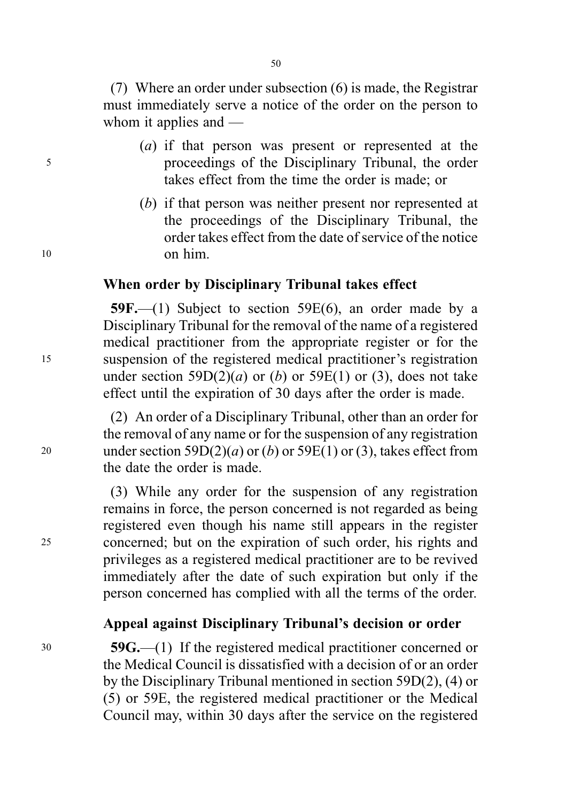50

(7) Where an order under subsection (6) is made, the Registrar must immediately serve a notice of the order on the person to whom it applies and —

- (a) if that person was present or represented at the <sup>5</sup> proceedings of the Disciplinary Tribunal, the order takes effect from the time the order is made; or
- (b) if that person was neither present nor represented at the proceedings of the Disciplinary Tribunal, the order takes effect from the date of service of the notice <sup>10</sup> on him.

## When order by Disciplinary Tribunal takes effect

59F.—(1) Subject to section 59E(6), an order made by a Disciplinary Tribunal for the removal of the name of a registered medical practitioner from the appropriate register or for the <sup>15</sup> suspension of the registered medical practitioner's registration under section 59D(2)(*a*) or (*b*) or 59E(1) or (3), does not take effect until the expiration of 30 days after the order is made.

(2) An order of a Disciplinary Tribunal, other than an order for the removal of any name or for the suspension of any registration 20 under section 59D(2)(*a*) or (*b*) or 59E(1) or (3), takes effect from the date the order is made.

(3) While any order for the suspension of any registration remains in force, the person concerned is not regarded as being registered even though his name still appears in the register <sup>25</sup> concerned; but on the expiration of such order, his rights and privileges as a registered medical practitioner are to be revived immediately after the date of such expiration but only if the person concerned has complied with all the terms of the order.

### Appeal against Disciplinary Tribunal's decision or order

<sup>30</sup> 59G.—(1) If the registered medical practitioner concerned or the Medical Council is dissatisfied with a decision of or an order by the Disciplinary Tribunal mentioned in section 59D(2), (4) or (5) or 59E, the registered medical practitioner or the Medical Council may, within 30 days after the service on the registered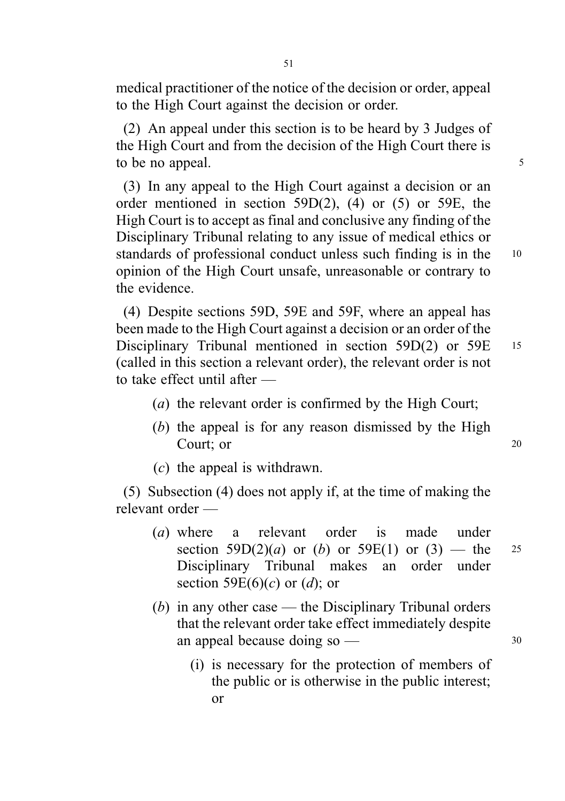medical practitioner of the notice of the decision or order, appeal to the High Court against the decision or order.

(2) An appeal under this section is to be heard by 3 Judges of the High Court and from the decision of the High Court there is to be no appeal.

(3) In any appeal to the High Court against a decision or an order mentioned in section 59D(2), (4) or (5) or 59E, the High Court is to accept as final and conclusive any finding of the Disciplinary Tribunal relating to any issue of medical ethics or standards of professional conduct unless such finding is in the 10 opinion of the High Court unsafe, unreasonable or contrary to the evidence.

(4) Despite sections 59D, 59E and 59F, where an appeal has been made to the High Court against a decision or an order of the Disciplinary Tribunal mentioned in section 59D(2) or 59E <sup>15</sup> (called in this section a relevant order), the relevant order is not to take effect until after —

- (a) the relevant order is confirmed by the High Court;
- (b) the appeal is for any reason dismissed by the High Court; or 20
- (c) the appeal is withdrawn.

(5) Subsection (4) does not apply if, at the time of making the relevant order —

- (a) where a relevant order is made under section  $59D(2)(a)$  or (b) or  $59E(1)$  or (3) — the 25 Disciplinary Tribunal makes an order under section 59 $E(6)(c)$  or  $(d)$ ; or
- (b) in any other case the Disciplinary Tribunal orders that the relevant order take effect immediately despite an appeal because doing  $\text{so} \rightarrow$  30
	- (i) is necessary for the protection of members of the public or is otherwise in the public interest; or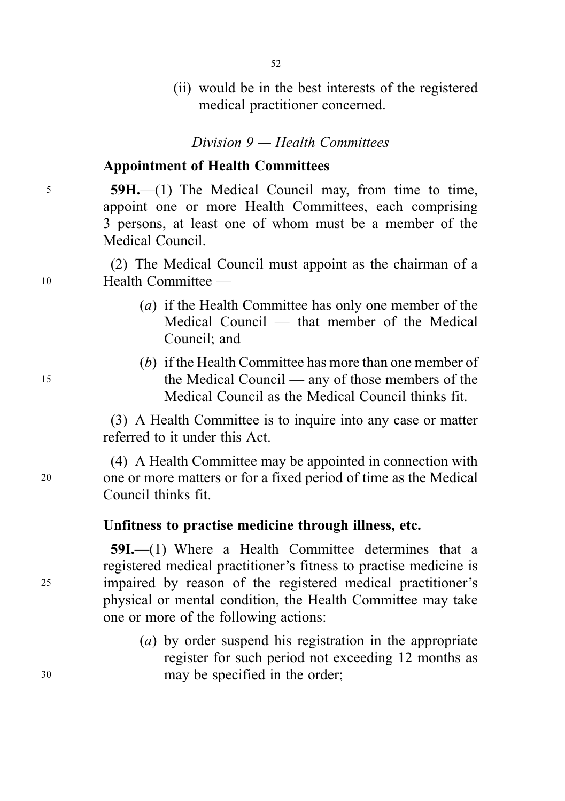- 52
- (ii) would be in the best interests of the registered medical practitioner concerned.

Division 9 — Health Committees

# Appointment of Health Committees

<sup>5</sup> 59H.—(1) The Medical Council may, from time to time, appoint one or more Health Committees, each comprising 3 persons, at least one of whom must be a member of the Medical Council.

(2) The Medical Council must appoint as the chairman of a <sup>10</sup> Health Committee —

- (a) if the Health Committee has only one member of the Medical Council — that member of the Medical Council; and
- (b) if the Health Committee has more than one member of <sup>15</sup> the Medical Council — any of those members of the Medical Council as the Medical Council thinks fit.

(3) A Health Committee is to inquire into any case or matter referred to it under this Act.

(4) A Health Committee may be appointed in connection with <sup>20</sup> one or more matters or for a fixed period of time as the Medical Council thinks fit.

# Unfitness to practise medicine through illness, etc.

59I.—(1) Where a Health Committee determines that a registered medical practitioner's fitness to practise medicine is <sup>25</sup> impaired by reason of the registered medical practitioner's physical or mental condition, the Health Committee may take one or more of the following actions:

(a) by order suspend his registration in the appropriate register for such period not exceeding 12 months as <sup>30</sup> may be specified in the order;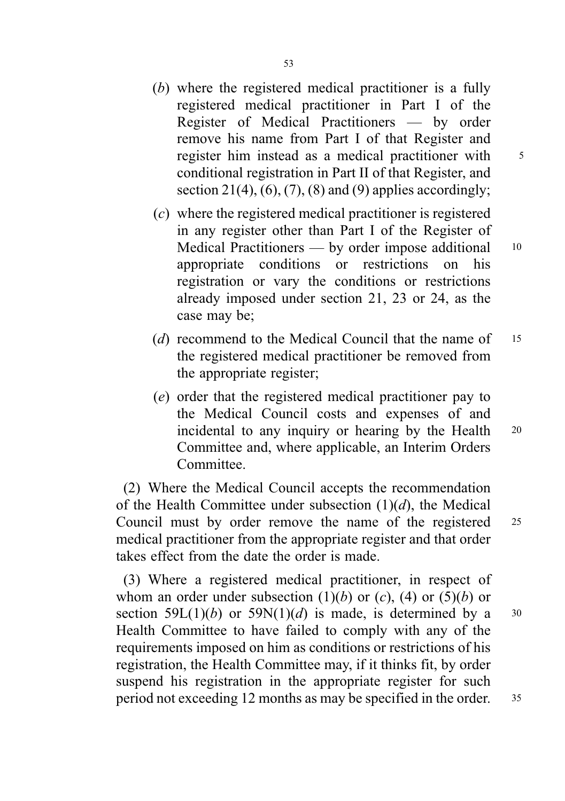53

- Register of Medical Practitioners by order remove his name from Part I of that Register and register him instead as a medical practitioner with <sup>5</sup> conditional registration in Part II of that Register, and section 21(4),  $(6)$ ,  $(7)$ ,  $(8)$  and  $(9)$  applies accordingly;
- (c) where the registered medical practitioner is registered in any register other than Part I of the Register of Medical Practitioners — by order impose additional 10 appropriate conditions or restrictions on his registration or vary the conditions or restrictions already imposed under section 21, 23 or 24, as the case may be;
- (d) recommend to the Medical Council that the name of 15 the registered medical practitioner be removed from the appropriate register;
- (e) order that the registered medical practitioner pay to the Medical Council costs and expenses of and incidental to any inquiry or hearing by the Health 20 Committee and, where applicable, an Interim Orders Committee.

(2) Where the Medical Council accepts the recommendation of the Health Committee under subsection  $(1)(d)$ , the Medical Council must by order remove the name of the registered <sup>25</sup> medical practitioner from the appropriate register and that order takes effect from the date the order is made.

(3) Where a registered medical practitioner, in respect of whom an order under subsection  $(1)(b)$  or  $(c)$ ,  $(4)$  or  $(5)(b)$  or section 59L(1)(b) or 59N(1)(d) is made, is determined by a  $30$ Health Committee to have failed to comply with any of the requirements imposed on him as conditions or restrictions of his registration, the Health Committee may, if it thinks fit, by order suspend his registration in the appropriate register for such period not exceeding 12 months as may be specified in the order. <sup>35</sup>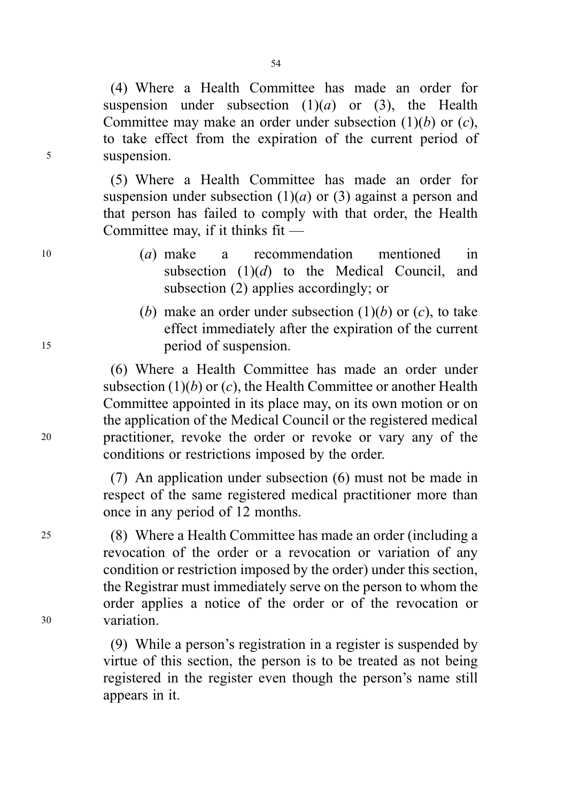(4) Where a Health Committee has made an order for suspension under subsection  $(1)(a)$  or  $(3)$ , the Health Committee may make an order under subsection  $(1)(b)$  or  $(c)$ , to take effect from the expiration of the current period of <sup>5</sup> suspension.

> (5) Where a Health Committee has made an order for suspension under subsection  $(1)(a)$  or  $(3)$  against a person and that person has failed to comply with that order, the Health Committee may, if it thinks fit —

- <sup>10</sup> (a) make a recommendation mentioned in subsection  $(1)(d)$  to the Medical Council, and subsection (2) applies accordingly; or
- (b) make an order under subsection  $(1)(b)$  or  $(c)$ , to take effect immediately after the expiration of the current <sup>15</sup> period of suspension.

(6) Where a Health Committee has made an order under subsection  $(1)(b)$  or  $(c)$ , the Health Committee or another Health Committee appointed in its place may, on its own motion or on the application of the Medical Council or the registered medical <sup>20</sup> practitioner, revoke the order or revoke or vary any of the conditions or restrictions imposed by the order.

> (7) An application under subsection (6) must not be made in respect of the same registered medical practitioner more than once in any period of 12 months.

<sup>25</sup> (8) Where a Health Committee has made an order (including a revocation of the order or a revocation or variation of any condition or restriction imposed by the order) under this section, the Registrar must immediately serve on the person to whom the order applies a notice of the order or of the revocation or <sup>30</sup> variation.

> (9) While a person's registration in a register is suspended by virtue of this section, the person is to be treated as not being registered in the register even though the person's name still appears in it.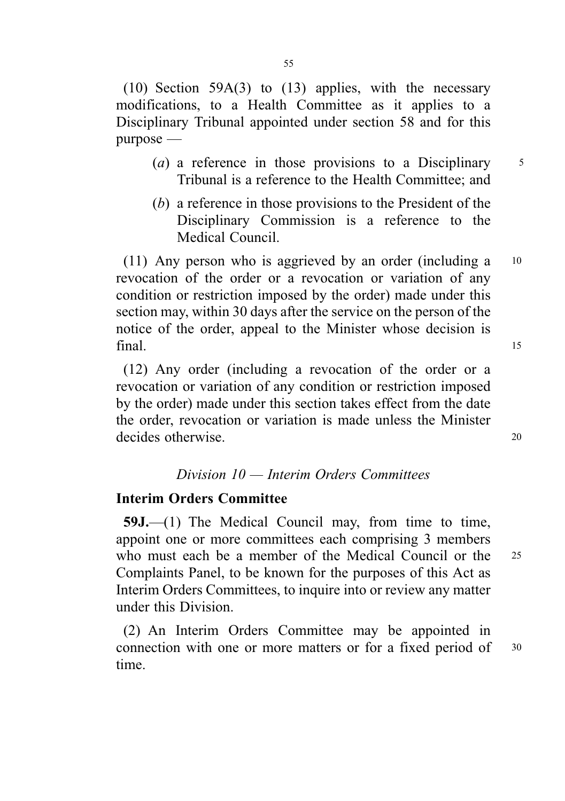(10) Section 59A(3) to (13) applies, with the necessary modifications, to a Health Committee as it applies to a Disciplinary Tribunal appointed under section 58 and for this purpose —

- (a) a reference in those provisions to a Disciplinary  $\frac{5}{5}$ Tribunal is a reference to the Health Committee; and
- (b) a reference in those provisions to the President of the Disciplinary Commission is a reference to the Medical Council.

(11) Any person who is aggrieved by an order (including a <sup>10</sup> revocation of the order or a revocation or variation of any condition or restriction imposed by the order) made under this section may, within 30 days after the service on the person of the notice of the order, appeal to the Minister whose decision is  $final.$  15

(12) Any order (including a revocation of the order or a revocation or variation of any condition or restriction imposed by the order) made under this section takes effect from the date the order, revocation or variation is made unless the Minister decides otherwise. 20

## Division 10 — Interim Orders Committees

### Interim Orders Committee

59J.—(1) The Medical Council may, from time to time, appoint one or more committees each comprising 3 members who must each be a member of the Medical Council or the <sup>25</sup> Complaints Panel, to be known for the purposes of this Act as Interim Orders Committees, to inquire into or review any matter under this Division.

(2) An Interim Orders Committee may be appointed in connection with one or more matters or for a fixed period of 30 time.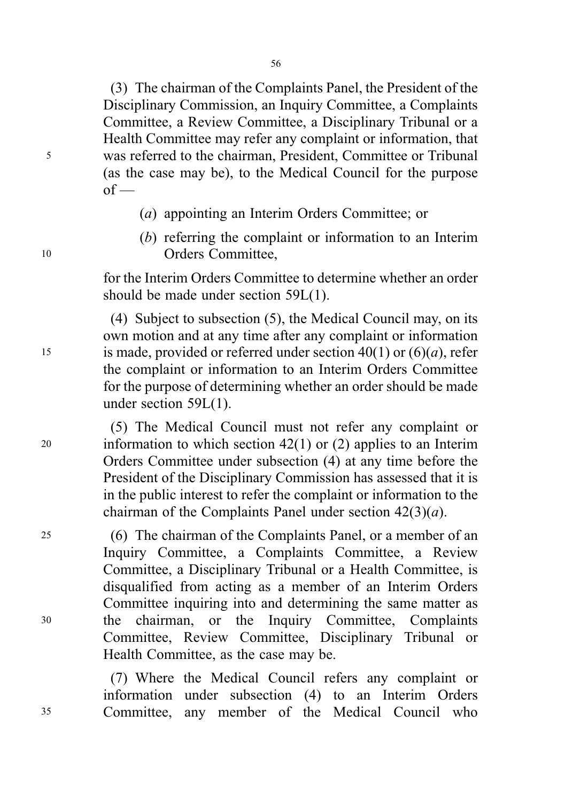(3) The chairman of the Complaints Panel, the President of the Disciplinary Commission, an Inquiry Committee, a Complaints Committee, a Review Committee, a Disciplinary Tribunal or a Health Committee may refer any complaint or information, that <sup>5</sup> was referred to the chairman, President, Committee or Tribunal (as the case may be), to the Medical Council for the purpose  $of$  —

- (a) appointing an Interim Orders Committee; or
- (b) referring the complaint or information to an Interim <sup>10</sup> Orders Committee,

for the Interim Orders Committee to determine whether an order should be made under section 59L(1).

(4) Subject to subsection (5), the Medical Council may, on its own motion and at any time after any complaint or information 15 is made, provided or referred under section  $40(1)$  or  $(6)(a)$ , refer the complaint or information to an Interim Orders Committee for the purpose of determining whether an order should be made under section 59L(1).

(5) The Medical Council must not refer any complaint or 20 information to which section  $42(1)$  or (2) applies to an Interim Orders Committee under subsection (4) at any time before the President of the Disciplinary Commission has assessed that it is in the public interest to refer the complaint or information to the chairman of the Complaints Panel under section  $42(3)(a)$ .

<sup>25</sup> (6) The chairman of the Complaints Panel, or a member of an Inquiry Committee, a Complaints Committee, a Review Committee, a Disciplinary Tribunal or a Health Committee, is disqualified from acting as a member of an Interim Orders Committee inquiring into and determining the same matter as <sup>30</sup> the chairman, or the Inquiry Committee, Complaints Committee, Review Committee, Disciplinary Tribunal or Health Committee, as the case may be.

(7) Where the Medical Council refers any complaint or information under subsection (4) to an Interim Orders <sup>35</sup> Committee, any member of the Medical Council who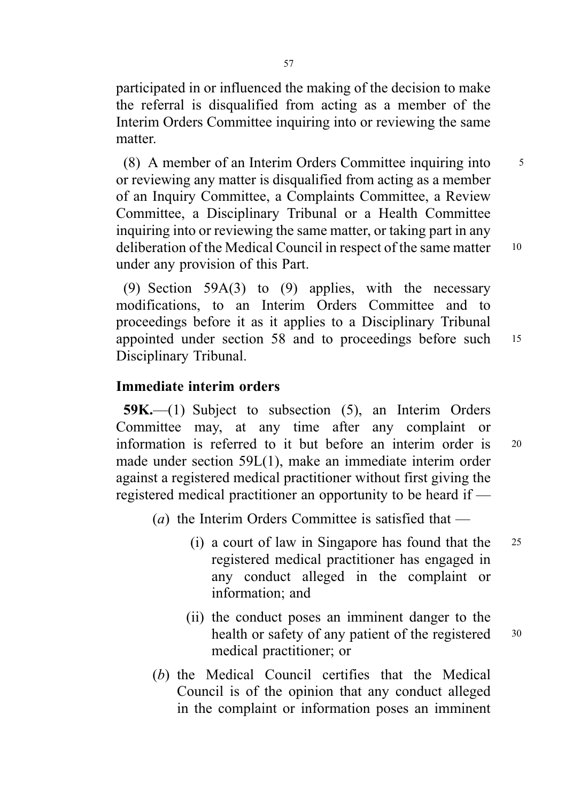participated in or influenced the making of the decision to make the referral is disqualified from acting as a member of the Interim Orders Committee inquiring into or reviewing the same matter.

(8) A member of an Interim Orders Committee inquiring into <sup>5</sup> or reviewing any matter is disqualified from acting as a member of an Inquiry Committee, a Complaints Committee, a Review Committee, a Disciplinary Tribunal or a Health Committee inquiring into or reviewing the same matter, or taking part in any deliberation of the Medical Council in respect of the same matter 10 under any provision of this Part.

(9) Section 59A(3) to (9) applies, with the necessary modifications, to an Interim Orders Committee and to proceedings before it as it applies to a Disciplinary Tribunal appointed under section 58 and to proceedings before such <sup>15</sup> Disciplinary Tribunal.

## Immediate interim orders

59K.—(1) Subject to subsection (5), an Interim Orders Committee may, at any time after any complaint or information is referred to it but before an interim order is <sup>20</sup> made under section 59L(1), make an immediate interim order against a registered medical practitioner without first giving the registered medical practitioner an opportunity to be heard if —

- (a) the Interim Orders Committee is satisfied that  $-$ 
	- (i) a court of law in Singapore has found that the <sup>25</sup> registered medical practitioner has engaged in any conduct alleged in the complaint or information; and
	- (ii) the conduct poses an imminent danger to the health or safety of any patient of the registered 30 medical practitioner; or
- (b) the Medical Council certifies that the Medical Council is of the opinion that any conduct alleged in the complaint or information poses an imminent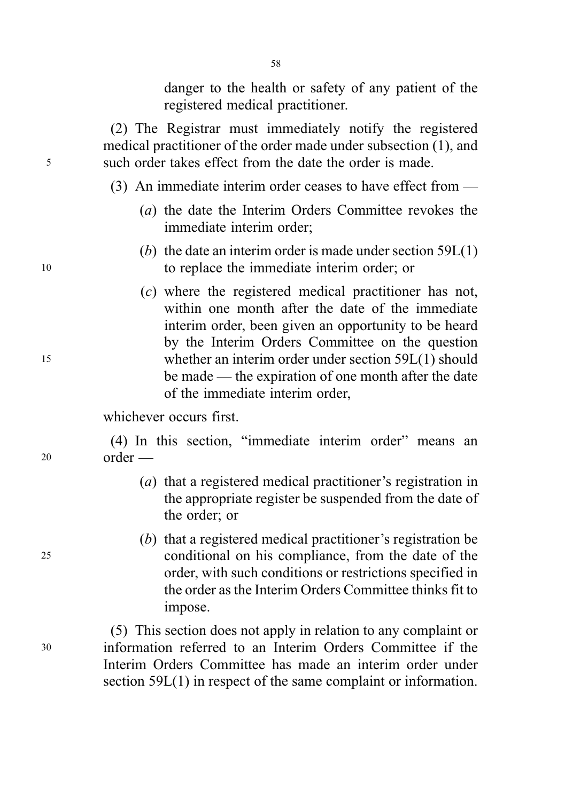danger to the health or safety of any patient of the registered medical practitioner.

(2) The Registrar must immediately notify the registered medical practitioner of the order made under subsection (1), and <sup>5</sup> such order takes effect from the date the order is made.

- (3) An immediate interim order ceases to have effect from
	- (a) the date the Interim Orders Committee revokes the immediate interim order;
- (b) the date an interim order is made under section  $59L(1)$ <sup>10</sup> to replace the immediate interim order; or
- (c) where the registered medical practitioner has not, within one month after the date of the immediate interim order, been given an opportunity to be heard by the Interim Orders Committee on the question <sup>15</sup> whether an interim order under section 59L(1) should be made — the expiration of one month after the date of the immediate interim order,

whichever occurs first.

(4) In this section, "immediate interim order" means an <sup>20</sup> order —

- (a) that a registered medical practitioner's registration in the appropriate register be suspended from the date of the order; or
- (b) that a registered medical practitioner's registration be <sup>25</sup> conditional on his compliance, from the date of the order, with such conditions or restrictions specified in the order as the Interim Orders Committee thinks fit to impose.

(5) This section does not apply in relation to any complaint or <sup>30</sup> information referred to an Interim Orders Committee if the Interim Orders Committee has made an interim order under section 59L(1) in respect of the same complaint or information.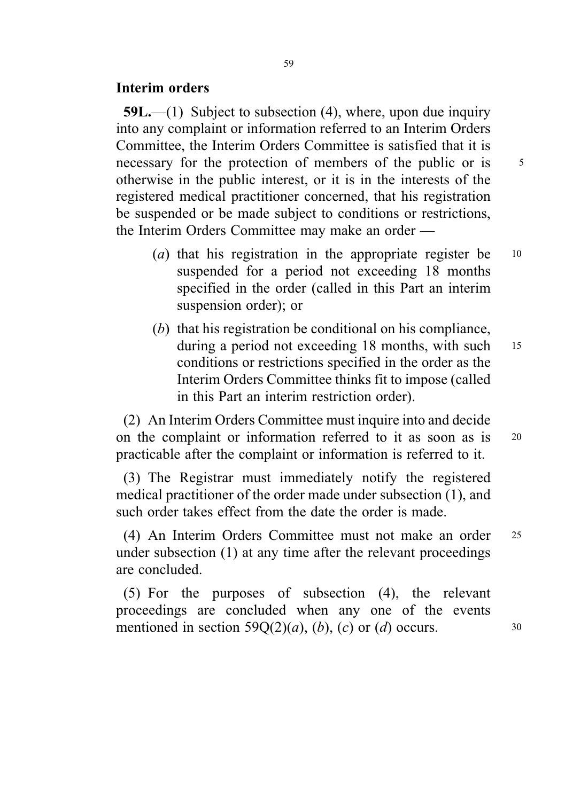### Interim orders

 $59L$ ,—(1) Subject to subsection (4), where, upon due inquiry into any complaint or information referred to an Interim Orders Committee, the Interim Orders Committee is satisfied that it is necessary for the protection of members of the public or is  $5<sup>5</sup>$ otherwise in the public interest, or it is in the interests of the registered medical practitioner concerned, that his registration be suspended or be made subject to conditions or restrictions, the Interim Orders Committee may make an order —

- (*a*) that his registration in the appropriate register be  $10$ suspended for a period not exceeding 18 months specified in the order (called in this Part an interim suspension order); or
- (b) that his registration be conditional on his compliance, during a period not exceeding 18 months, with such 15 conditions or restrictions specified in the order as the Interim Orders Committee thinks fit to impose (called in this Part an interim restriction order).

(2) An Interim Orders Committee must inquire into and decide on the complaint or information referred to it as soon as is 20 practicable after the complaint or information is referred to it.

(3) The Registrar must immediately notify the registered medical practitioner of the order made under subsection (1), and such order takes effect from the date the order is made.

(4) An Interim Orders Committee must not make an order <sup>25</sup> under subsection (1) at any time after the relevant proceedings are concluded.

(5) For the purposes of subsection (4), the relevant proceedings are concluded when any one of the events mentioned in section  $59Q(2)(a)$ , (b), (c) or (d) occurs. 30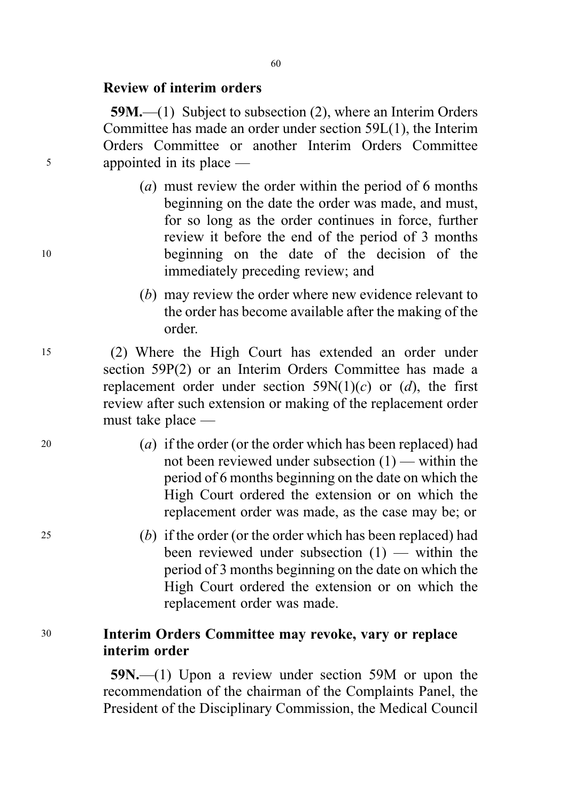## Review of interim orders

59M.—(1) Subject to subsection (2), where an Interim Orders Committee has made an order under section 59L(1), the Interim Orders Committee or another Interim Orders Committee <sup>5</sup> appointed in its place —

- (a) must review the order within the period of 6 months beginning on the date the order was made, and must, for so long as the order continues in force, further review it before the end of the period of 3 months <sup>10</sup> beginning on the date of the decision of the immediately preceding review; and
	- (b) may review the order where new evidence relevant to the order has become available after the making of the order.

<sup>15</sup> (2) Where the High Court has extended an order under section 59P(2) or an Interim Orders Committee has made a replacement order under section  $59N(1)(c)$  or  $(d)$ , the first review after such extension or making of the replacement order must take place —

- 20 (a) if the order (or the order which has been replaced) had not been reviewed under subsection (1) — within the period of 6 months beginning on the date on which the High Court ordered the extension or on which the replacement order was made, as the case may be; or
- <sup>25</sup> (b) if the order (or the order which has been replaced) had been reviewed under subsection (1) — within the period of 3 months beginning on the date on which the High Court ordered the extension or on which the replacement order was made.

# <sup>30</sup> Interim Orders Committee may revoke, vary or replace interim order

59N.—(1) Upon a review under section 59M or upon the recommendation of the chairman of the Complaints Panel, the President of the Disciplinary Commission, the Medical Council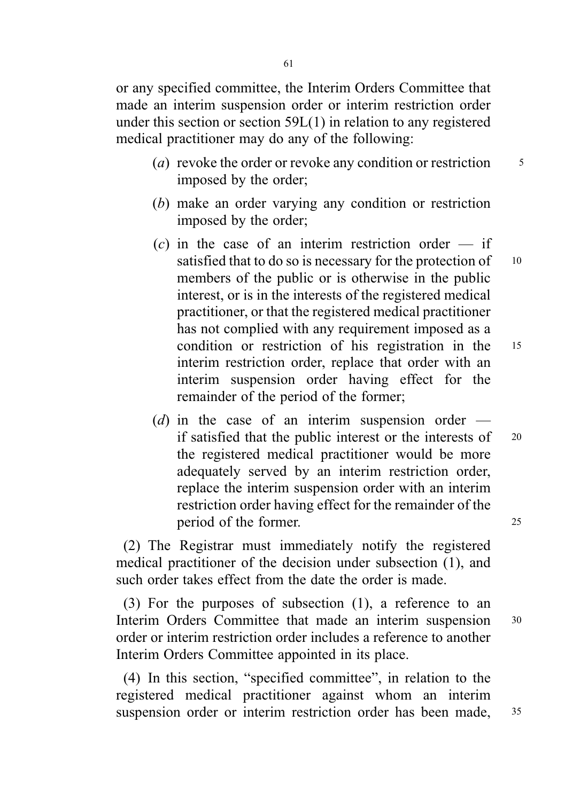or any specified committee, the Interim Orders Committee that made an interim suspension order or interim restriction order under this section or section 59L(1) in relation to any registered medical practitioner may do any of the following:

- (*a*) revoke the order or revoke any condition or restriction  $\frac{5}{5}$ imposed by the order;
- (b) make an order varying any condition or restriction imposed by the order;
- $(c)$  in the case of an interim restriction order if satisfied that to do so is necessary for the protection of  $10$ members of the public or is otherwise in the public interest, or is in the interests of the registered medical practitioner, or that the registered medical practitioner has not complied with any requirement imposed as a condition or restriction of his registration in the <sup>15</sup> interim restriction order, replace that order with an interim suspension order having effect for the remainder of the period of the former;
- (d) in the case of an interim suspension order  $$ if satisfied that the public interest or the interests of <sup>20</sup> the registered medical practitioner would be more adequately served by an interim restriction order, replace the interim suspension order with an interim restriction order having effect for the remainder of the period of the former. 25

(2) The Registrar must immediately notify the registered medical practitioner of the decision under subsection (1), and such order takes effect from the date the order is made.

(3) For the purposes of subsection (1), a reference to an Interim Orders Committee that made an interim suspension 30 order or interim restriction order includes a reference to another Interim Orders Committee appointed in its place.

(4) In this section, "specified committee", in relation to the registered medical practitioner against whom an interim suspension order or interim restriction order has been made, 35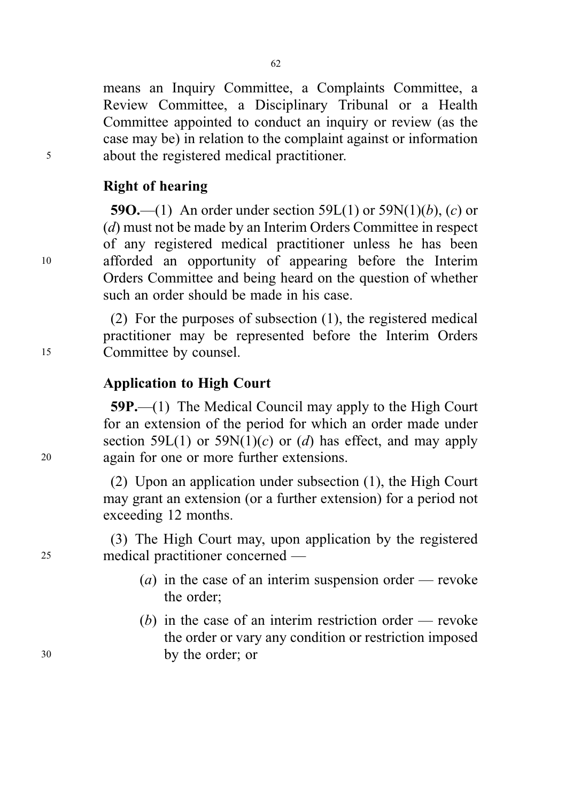means an Inquiry Committee, a Complaints Committee, a Review Committee, a Disciplinary Tribunal or a Health Committee appointed to conduct an inquiry or review (as the case may be) in relation to the complaint against or information <sup>5</sup> about the registered medical practitioner.

## Right of hearing

59O.—(1) An order under section 59L(1) or 59N(1)(b), (c) or (d) must not be made by an Interim Orders Committee in respect of any registered medical practitioner unless he has been <sup>10</sup> afforded an opportunity of appearing before the Interim Orders Committee and being heard on the question of whether such an order should be made in his case.

(2) For the purposes of subsection (1), the registered medical practitioner may be represented before the Interim Orders <sup>15</sup> Committee by counsel.

# Application to High Court

59P.—(1) The Medical Council may apply to the High Court for an extension of the period for which an order made under section 59L(1) or 59N(1)(c) or (d) has effect, and may apply <sup>20</sup> again for one or more further extensions.

> (2) Upon an application under subsection (1), the High Court may grant an extension (or a further extension) for a period not exceeding 12 months.

(3) The High Court may, upon application by the registered <sup>25</sup> medical practitioner concerned —

- (*a*) in the case of an interim suspension order revoke the order;
- (b) in the case of an interim restriction order revoke the order or vary any condition or restriction imposed <sup>30</sup> by the order; or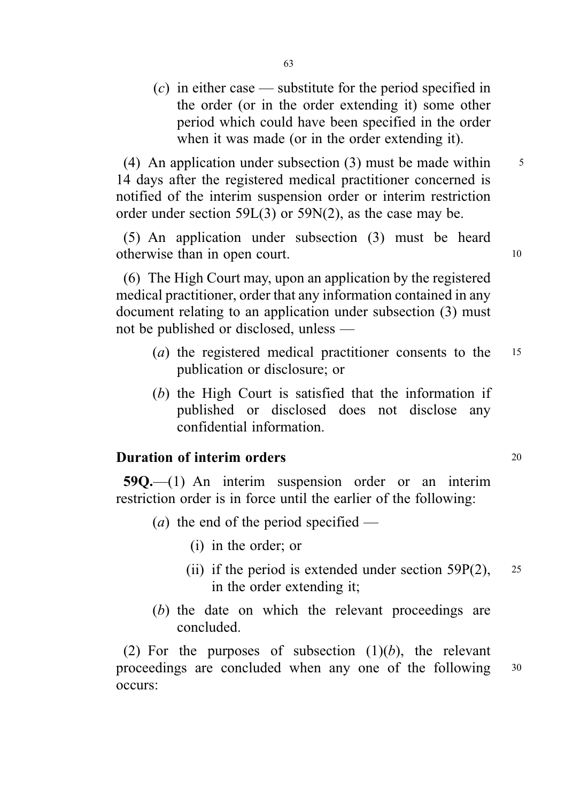(c) in either case — substitute for the period specified in the order (or in the order extending it) some other period which could have been specified in the order when it was made (or in the order extending it).

(4) An application under subsection (3) must be made within  $\frac{5}{5}$ 14 days after the registered medical practitioner concerned is notified of the interim suspension order or interim restriction order under section 59L(3) or 59N(2), as the case may be.

(5) An application under subsection (3) must be heard otherwise than in open court. 10

(6) The High Court may, upon an application by the registered medical practitioner, order that any information contained in any document relating to an application under subsection (3) must not be published or disclosed, unless —

- (a) the registered medical practitioner consents to the <sup>15</sup> publication or disclosure; or
- (b) the High Court is satisfied that the information if published or disclosed does not disclose any confidential information.

# **Duration of interim orders** 20

59Q.—(1) An interim suspension order or an interim restriction order is in force until the earlier of the following:

- (*a*) the end of the period specified
	- (i) in the order; or
	- (ii) if the period is extended under section  $59P(2)$ , 25 in the order extending it;
- (b) the date on which the relevant proceedings are concluded.

(2) For the purposes of subsection  $(1)(b)$ , the relevant proceedings are concluded when any one of the following <sup>30</sup> occurs: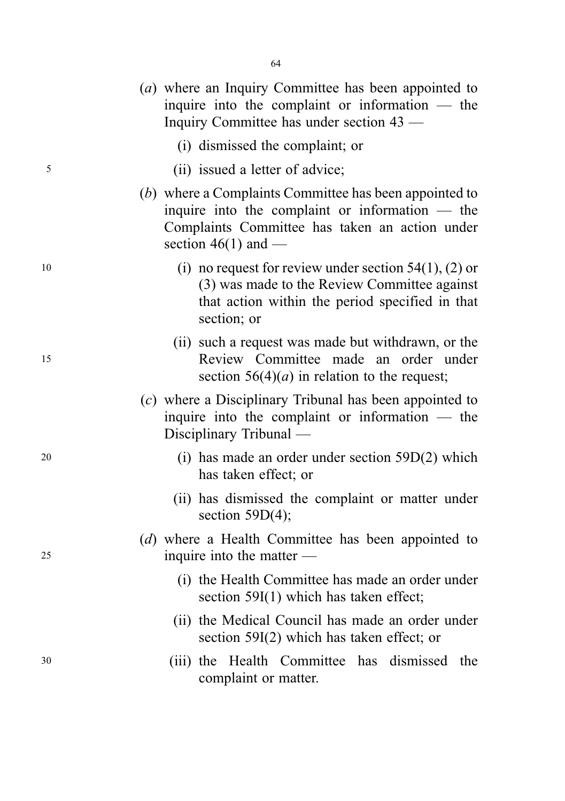|    | (a) where an Inquiry Committee has been appointed to<br>inquire into the complaint or information $-$ the<br>Inquiry Committee has under section 43 —                                  |
|----|----------------------------------------------------------------------------------------------------------------------------------------------------------------------------------------|
|    | (i) dismissed the complaint; or                                                                                                                                                        |
| 5  | (ii) issued a letter of advice;                                                                                                                                                        |
|    | (b) where a Complaints Committee has been appointed to<br>inquire into the complaint or information $-$ the<br>Complaints Committee has taken an action under<br>section $46(1)$ and — |
| 10 | (i) no request for review under section $54(1)$ , (2) or<br>(3) was made to the Review Committee against<br>that action within the period specified in that<br>section; or             |
| 15 | (ii) such a request was made but withdrawn, or the<br>Review Committee made an order under<br>section $56(4)(a)$ in relation to the request;                                           |
|    | (c) where a Disciplinary Tribunal has been appointed to<br>inquire into the complaint or information $-$ the<br>Disciplinary Tribunal —                                                |
| 20 | (i) has made an order under section $59D(2)$ which<br>has taken effect; or                                                                                                             |
|    | (ii) has dismissed the complaint or matter under<br>section $59D(4)$ ;                                                                                                                 |
| 25 | (d) where a Health Committee has been appointed to<br>inquire into the matter $-$                                                                                                      |
|    | (i) the Health Committee has made an order under<br>section 59I(1) which has taken effect;                                                                                             |
|    | (ii) the Medical Council has made an order under<br>section $59I(2)$ which has taken effect; or                                                                                        |
| 30 | (iii) the Health Committee has dismissed<br>the<br>complaint or matter.                                                                                                                |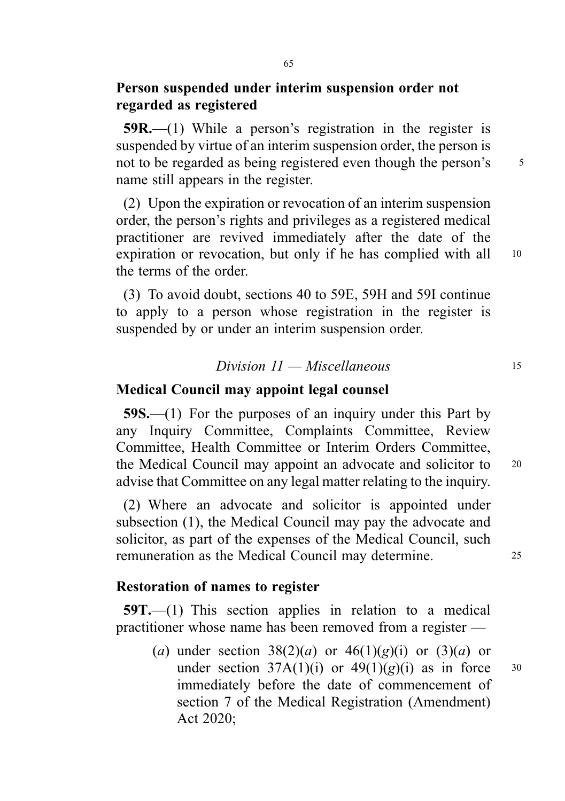# Person suspended under interim suspension order not regarded as registered

59R.—(1) While a person's registration in the register is suspended by virtue of an interim suspension order, the person is not to be regarded as being registered even though the person's 5 name still appears in the register.

(2) Upon the expiration or revocation of an interim suspension order, the person's rights and privileges as a registered medical practitioner are revived immediately after the date of the expiration or revocation, but only if he has complied with all 10 the terms of the order.

(3) To avoid doubt, sections 40 to 59E, 59H and 59I continue to apply to a person whose registration in the register is suspended by or under an interim suspension order.

#### $Division\ 11 - Miscellaneous$  15

#### Medical Council may appoint legal counsel

59S.—(1) For the purposes of an inquiry under this Part by any Inquiry Committee, Complaints Committee, Review Committee, Health Committee or Interim Orders Committee, the Medical Council may appoint an advocate and solicitor to 20 advise that Committee on any legal matter relating to the inquiry.

(2) Where an advocate and solicitor is appointed under subsection (1), the Medical Council may pay the advocate and solicitor, as part of the expenses of the Medical Council, such remuneration as the Medical Council may determine. <sup>25</sup>

#### Restoration of names to register

59T.—(1) This section applies in relation to a medical practitioner whose name has been removed from a register —

(a) under section  $38(2)(a)$  or  $46(1)(g)(i)$  or  $(3)(a)$  or under section  $37A(1)(i)$  or  $49(1)(g)(i)$  as in force 30 immediately before the date of commencement of section 7 of the Medical Registration (Amendment) Act 2020;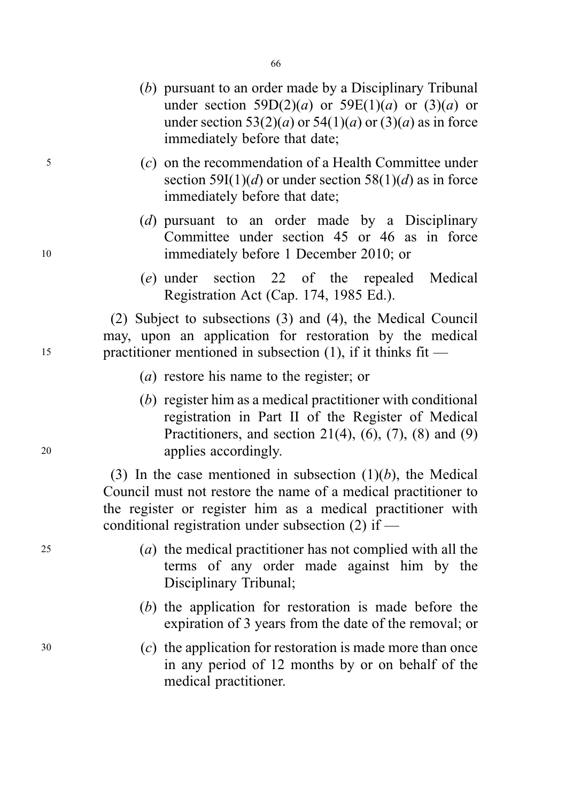- (b) pursuant to an order made by a Disciplinary Tribunal under section  $59D(2)(a)$  or  $59E(1)(a)$  or  $(3)(a)$  or under section  $53(2)(a)$  or  $54(1)(a)$  or  $(3)(a)$  as in force immediately before that date;
- <sup>5</sup> (c) on the recommendation of a Health Committee under section 59I(1)(d) or under section 58(1)(d) as in force immediately before that date;
- (d) pursuant to an order made by a Disciplinary Committee under section 45 or 46 as in force <sup>10</sup> immediately before 1 December 2010; or
	- (e) under section 22 of the repealed Medical Registration Act (Cap. 174, 1985 Ed.).

(2) Subject to subsections (3) and (4), the Medical Council may, upon an application for restoration by the medical <sup>15</sup> practitioner mentioned in subsection (1), if it thinks fit —

- (a) restore his name to the register; or
- (b) register him as a medical practitioner with conditional registration in Part II of the Register of Medical Practitioners, and section 21(4),  $(6)$ ,  $(7)$ ,  $(8)$  and  $(9)$ <sup>20</sup> applies accordingly.

(3) In the case mentioned in subsection  $(1)(b)$ , the Medical Council must not restore the name of a medical practitioner to the register or register him as a medical practitioner with conditional registration under subsection (2) if —

- <sup>25</sup> (a) the medical practitioner has not complied with all the terms of any order made against him by the Disciplinary Tribunal;
	- (b) the application for restoration is made before the expiration of 3 years from the date of the removal; or
- <sup>30</sup> (c) the application for restoration is made more than once in any period of 12 months by or on behalf of the medical practitioner.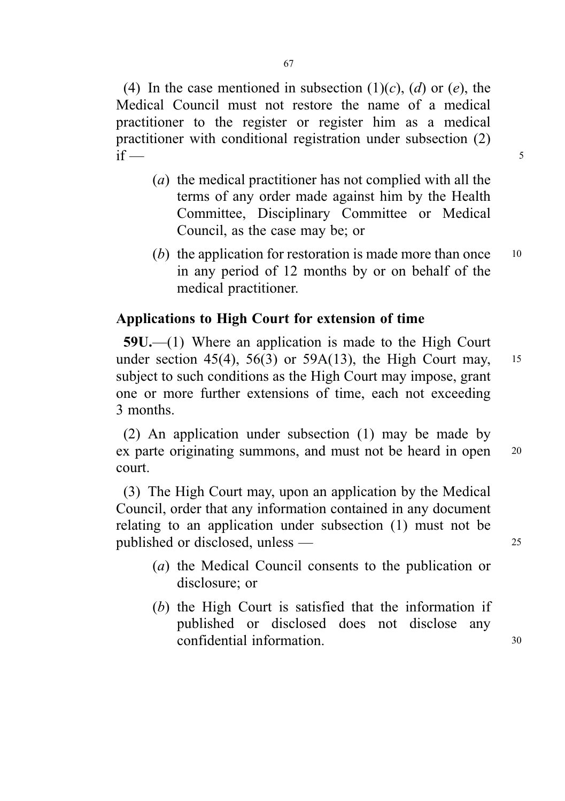(4) In the case mentioned in subsection  $(1)(c)$ ,  $(d)$  or  $(e)$ , the Medical Council must not restore the name of a medical practitioner to the register or register him as a medical practitioner with conditional registration under subsection (2) if  $\overline{\phantom{a}}$  5

- (a) the medical practitioner has not complied with all the terms of any order made against him by the Health Committee, Disciplinary Committee or Medical Council, as the case may be; or
- (b) the application for restoration is made more than once  $10$ in any period of 12 months by or on behalf of the medical practitioner.

# Applications to High Court for extension of time

59U.—(1) Where an application is made to the High Court under section 45(4), 56(3) or 59A(13), the High Court may,  $15$ subject to such conditions as the High Court may impose, grant one or more further extensions of time, each not exceeding 3 months.

(2) An application under subsection (1) may be made by ex parte originating summons, and must not be heard in open 20 court.

(3) The High Court may, upon an application by the Medical Council, order that any information contained in any document relating to an application under subsection (1) must not be published or disclosed, unless — 25

- (a) the Medical Council consents to the publication or disclosure; or
- (b) the High Court is satisfied that the information if published or disclosed does not disclose any confidential information. 30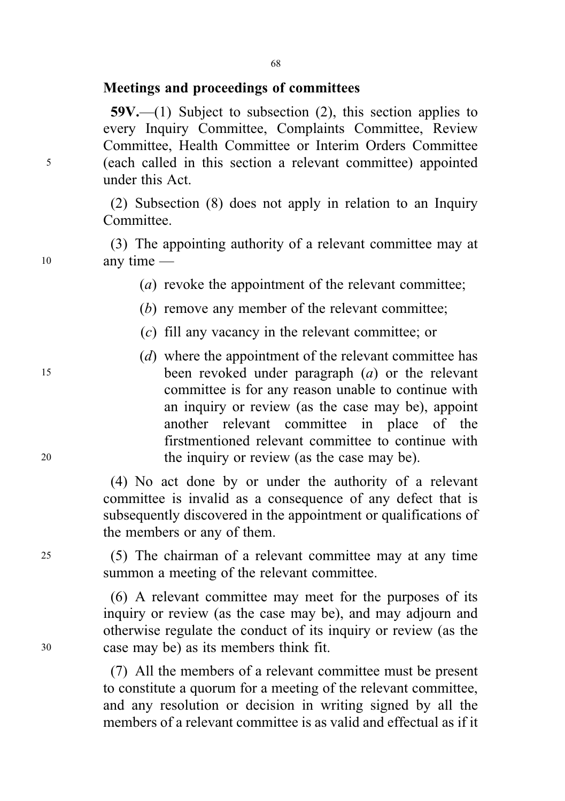# Meetings and proceedings of committees

 $59V$ ,—(1) Subject to subsection (2), this section applies to every Inquiry Committee, Complaints Committee, Review Committee, Health Committee or Interim Orders Committee <sup>5</sup> (each called in this section a relevant committee) appointed under this Act.

> (2) Subsection (8) does not apply in relation to an Inquiry Committee.

(3) The appointing authority of a relevant committee may at <sup>10</sup> any time —

(a) revoke the appointment of the relevant committee:

(b) remove any member of the relevant committee;

(c) fill any vacancy in the relevant committee; or

(*d*) where the appointment of the relevant committee has <sup>15</sup> been revoked under paragraph (a) or the relevant committee is for any reason unable to continue with an inquiry or review (as the case may be), appoint another relevant committee in place of the firstmentioned relevant committee to continue with <sup>20</sup> the inquiry or review (as the case may be).

> (4) No act done by or under the authority of a relevant committee is invalid as a consequence of any defect that is subsequently discovered in the appointment or qualifications of the members or any of them.

<sup>25</sup> (5) The chairman of a relevant committee may at any time summon a meeting of the relevant committee.

(6) A relevant committee may meet for the purposes of its inquiry or review (as the case may be), and may adjourn and otherwise regulate the conduct of its inquiry or review (as the <sup>30</sup> case may be) as its members think fit.

> (7) All the members of a relevant committee must be present to constitute a quorum for a meeting of the relevant committee, and any resolution or decision in writing signed by all the members of a relevant committee is as valid and effectual as if it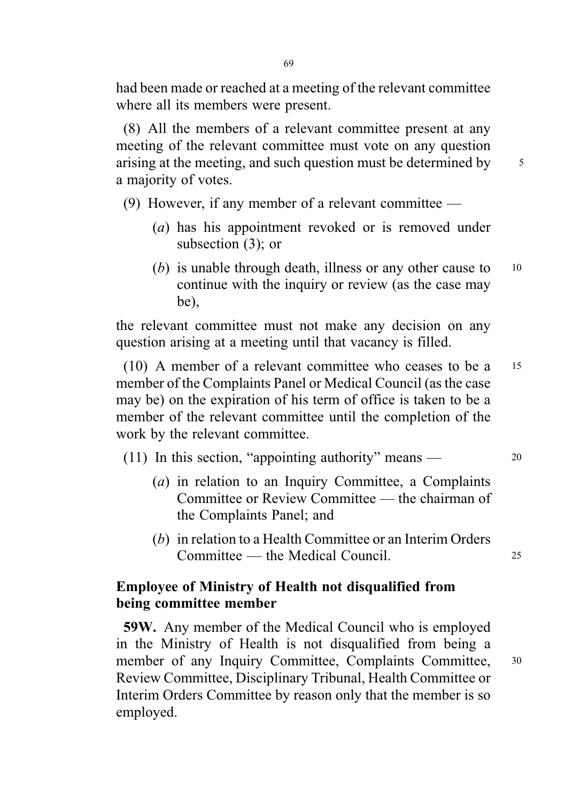had been made or reached at a meeting of the relevant committee where all its members were present.

(8) All the members of a relevant committee present at any meeting of the relevant committee must vote on any question arising at the meeting, and such question must be determined by  $\frac{5}{5}$ a majority of votes.

(9) However, if any member of a relevant committee —

- (a) has his appointment revoked or is removed under subsection (3); or
- (b) is unable through death, illness or any other cause to  $10$ continue with the inquiry or review (as the case may be),

the relevant committee must not make any decision on any question arising at a meeting until that vacancy is filled.

(10) A member of a relevant committee who ceases to be a <sup>15</sup> member of the Complaints Panel or Medical Council (as the case may be) on the expiration of his term of office is taken to be a member of the relevant committee until the completion of the work by the relevant committee.

- (11) In this section, "appointing authority" means <sup>20</sup>
	- (a) in relation to an Inquiry Committee, a Complaints Committee or Review Committee — the chairman of the Complaints Panel; and
	- (b) in relation to a Health Committee or an Interim Orders Committee — the Medical Council. <sup>25</sup>

# Employee of Ministry of Health not disqualified from being committee member

59W. Any member of the Medical Council who is employed in the Ministry of Health is not disqualified from being a member of any Inquiry Committee, Complaints Committee, 30 Review Committee, Disciplinary Tribunal, Health Committee or Interim Orders Committee by reason only that the member is so employed.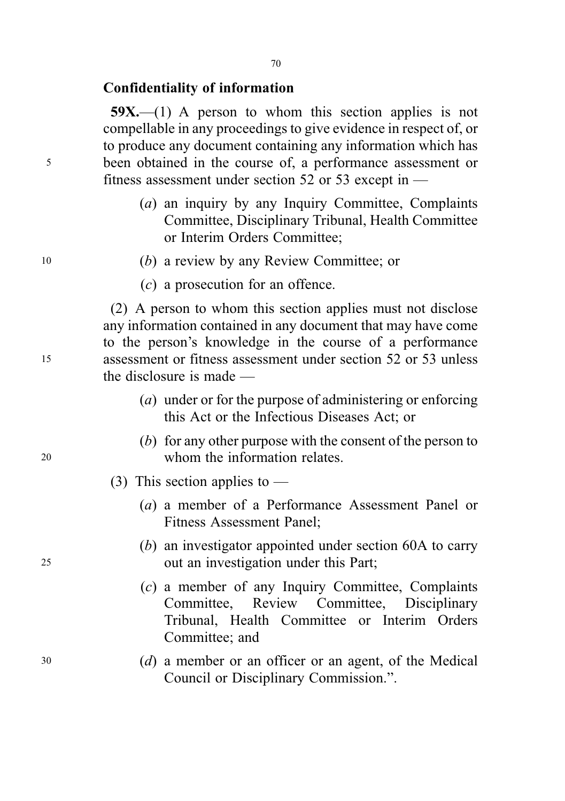## Confidentiality of information

 $59X$ ,—(1) A person to whom this section applies is not compellable in any proceedings to give evidence in respect of, or to produce any document containing any information which has <sup>5</sup> been obtained in the course of, a performance assessment or fitness assessment under section 52 or 53 except in —

- (a) an inquiry by any Inquiry Committee, Complaints Committee, Disciplinary Tribunal, Health Committee or Interim Orders Committee;
- <sup>10</sup> (b) a review by any Review Committee; or
	- (c) a prosecution for an offence.

(2) A person to whom this section applies must not disclose any information contained in any document that may have come to the person's knowledge in the course of a performance <sup>15</sup> assessment or fitness assessment under section 52 or 53 unless the disclosure is made —

- (a) under or for the purpose of administering or enforcing this Act or the Infectious Diseases Act; or
- (b) for any other purpose with the consent of the person to <sup>20</sup> whom the information relates.
	- (3) This section applies to  $-$ 
		- (a) a member of a Performance Assessment Panel or Fitness Assessment Panel;
- (b) an investigator appointed under section 60A to carry <sup>25</sup> out an investigation under this Part;
	- (c) a member of any Inquiry Committee, Complaints Committee, Review Committee, Disciplinary Tribunal, Health Committee or Interim Orders Committee; and
- <sup>30</sup> (d) a member or an officer or an agent, of the Medical Council or Disciplinary Commission.".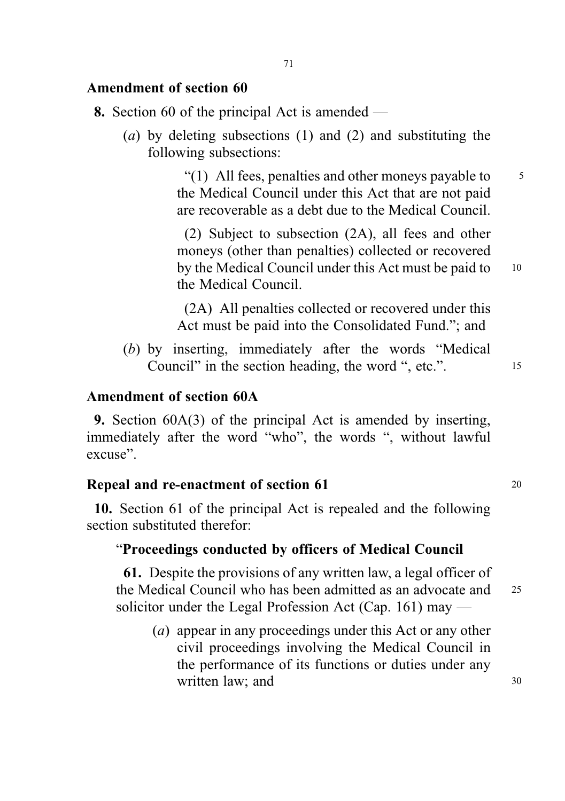## Amendment of section 60

- 8. Section 60 of the principal Act is amended
	- (a) by deleting subsections (1) and (2) and substituting the following subsections:

"(1) All fees, penalties and other moneys payable to  $\frac{5}{5}$ the Medical Council under this Act that are not paid are recoverable as a debt due to the Medical Council.

(2) Subject to subsection (2A), all fees and other moneys (other than penalties) collected or recovered by the Medical Council under this Act must be paid to 10 the Medical Council.

(2A) All penalties collected or recovered under this Act must be paid into the Consolidated Fund."; and

(b) by inserting, immediately after the words "Medical Council" in the section heading, the word ", etc.".

# Amendment of section 60A

9. Section 60A(3) of the principal Act is amended by inserting, immediately after the word "who", the words ", without lawful excuse".

#### Repeal and re-enactment of section 61 20

10. Section 61 of the principal Act is repealed and the following section substituted therefor:

## "Proceedings conducted by officers of Medical Council

61. Despite the provisions of any written law, a legal officer of the Medical Council who has been admitted as an advocate and <sup>25</sup> solicitor under the Legal Profession Act (Cap. 161) may —

(a) appear in any proceedings under this Act or any other civil proceedings involving the Medical Council in the performance of its functions or duties under any written law; and 30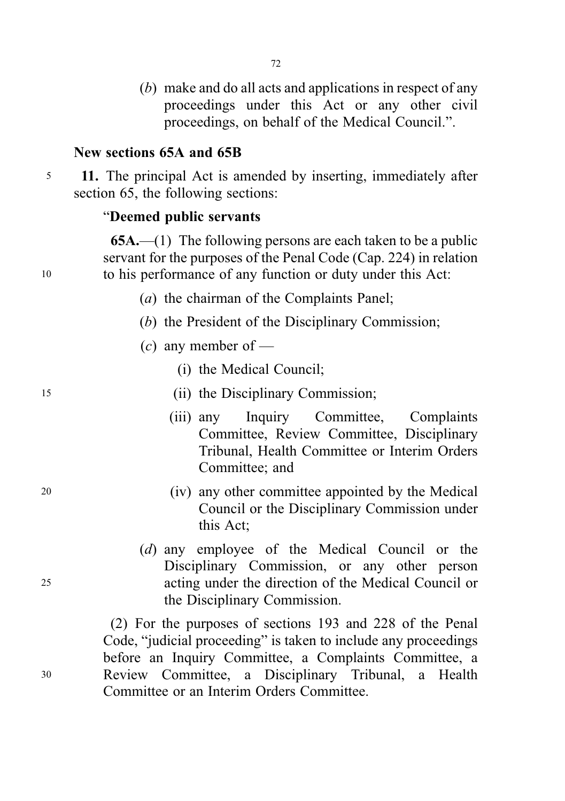(b) make and do all acts and applications in respect of any proceedings under this Act or any other civil proceedings, on behalf of the Medical Council.".

## New sections 65A and 65B

<sup>5</sup> 11. The principal Act is amended by inserting, immediately after section 65, the following sections:

## "Deemed public servants

 $65A$ ,—(1) The following persons are each taken to be a public servant for the purposes of the Penal Code (Cap. 224) in relation <sup>10</sup> to his performance of any function or duty under this Act:

- (a) the chairman of the Complaints Panel;
- (b) the President of the Disciplinary Commission;
- $(c)$  any member of
	- (i) the Medical Council;
- <sup>15</sup> (ii) the Disciplinary Commission;
	- (iii) any Inquiry Committee, Complaints Committee, Review Committee, Disciplinary Tribunal, Health Committee or Interim Orders Committee; and
- <sup>20</sup> (iv) any other committee appointed by the Medical Council or the Disciplinary Commission under this Act;
- (d) any employee of the Medical Council or the Disciplinary Commission, or any other person <sup>25</sup> acting under the direction of the Medical Council or the Disciplinary Commission.

(2) For the purposes of sections 193 and 228 of the Penal Code, "judicial proceeding" is taken to include any proceedings before an Inquiry Committee, a Complaints Committee, a <sup>30</sup> Review Committee, a Disciplinary Tribunal, a Health Committee or an Interim Orders Committee.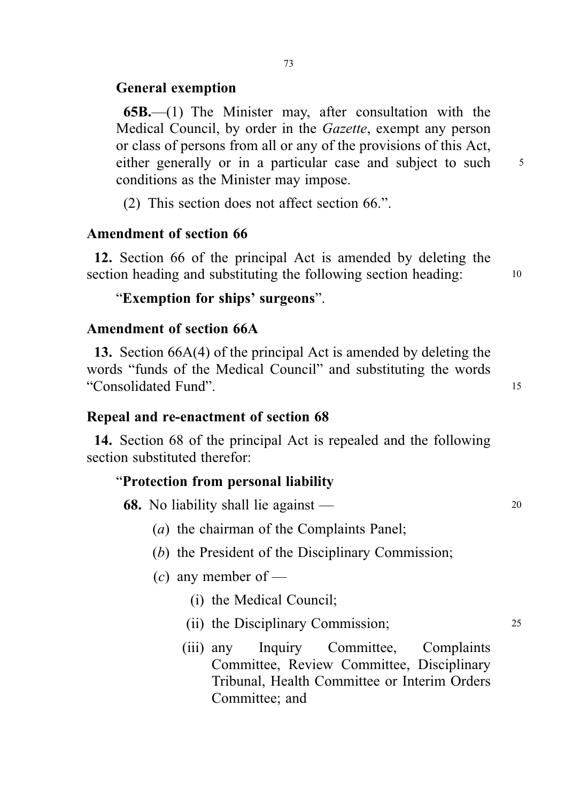# General exemption

65B.—(1) The Minister may, after consultation with the Medical Council, by order in the Gazette, exempt any person or class of persons from all or any of the provisions of this Act, either generally or in a particular case and subject to such 5 conditions as the Minister may impose.

(2) This section does not affect section 66.".

# Amendment of section 66

12. Section 66 of the principal Act is amended by deleting the section heading and substituting the following section heading: 10

# "Exemption for ships' surgeons".

## Amendment of section 66A

13. Section 66A(4) of the principal Act is amended by deleting the words "funds of the Medical Council" and substituting the words "Consolidated Fund". <sup>15</sup>

# Repeal and re-enactment of section 68

14. Section 68 of the principal Act is repealed and the following section substituted therefor:

## "Protection from personal liability

68. No liability shall lie against — 20

- (a) the chairman of the Complaints Panel;
- (b) the President of the Disciplinary Commission;
- (c) any member of
	- (i) the Medical Council;
	- (ii) the Disciplinary Commission; 25
	- (iii) any Inquiry Committee, Complaints Committee, Review Committee, Disciplinary Tribunal, Health Committee or Interim Orders Committee; and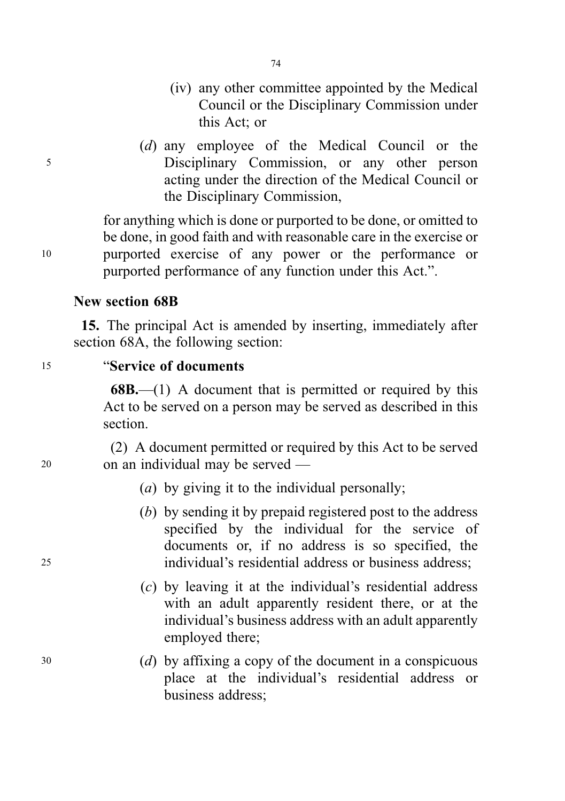- (iv) any other committee appointed by the Medical Council or the Disciplinary Commission under this Act; or
- (d) any employee of the Medical Council or the <sup>5</sup> Disciplinary Commission, or any other person acting under the direction of the Medical Council or the Disciplinary Commission,

for anything which is done or purported to be done, or omitted to be done, in good faith and with reasonable care in the exercise or <sup>10</sup> purported exercise of any power or the performance or purported performance of any function under this Act.".

# New section 68B

15. The principal Act is amended by inserting, immediately after section 68A, the following section:

## <sup>15</sup> "Service of documents

68B.—(1) A document that is permitted or required by this Act to be served on a person may be served as described in this section.

(2) A document permitted or required by this Act to be served <sup>20</sup> on an individual may be served —

- (a) by giving it to the individual personally;
- (b) by sending it by prepaid registered post to the address specified by the individual for the service of documents or, if no address is so specified, the <sup>25</sup> individual's residential address or business address;
	- (c) by leaving it at the individual's residential address with an adult apparently resident there, or at the individual's business address with an adult apparently employed there;
- <sup>30</sup> (d) by affixing a copy of the document in a conspicuous place at the individual's residential address or business address;

74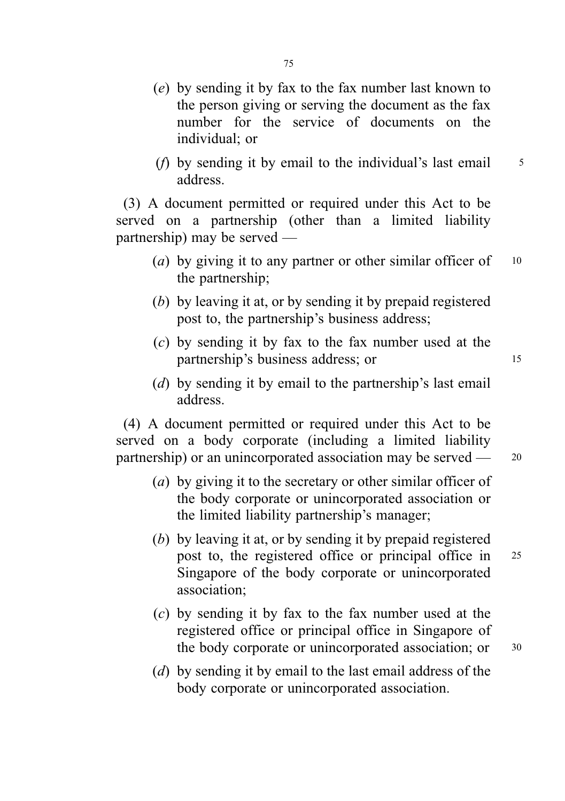- (e) by sending it by fax to the fax number last known to the person giving or serving the document as the fax number for the service of documents on the individual; or
- (*f*) by sending it by email to the individual's last email  $\frac{5}{5}$ address.

(3) A document permitted or required under this Act to be served on a partnership (other than a limited liability partnership) may be served —

- (a) by giving it to any partner or other similar officer of  $10$ the partnership;
- (b) by leaving it at, or by sending it by prepaid registered post to, the partnership's business address;
- (c) by sending it by fax to the fax number used at the partnership's business address; or 15
- (d) by sending it by email to the partnership's last email address.

(4) A document permitted or required under this Act to be served on a body corporate (including a limited liability partnership) or an unincorporated association may be served — 20

- (a) by giving it to the secretary or other similar officer of the body corporate or unincorporated association or the limited liability partnership's manager;
- (b) by leaving it at, or by sending it by prepaid registered post to, the registered office or principal office in <sup>25</sup> Singapore of the body corporate or unincorporated association;
- (c) by sending it by fax to the fax number used at the registered office or principal office in Singapore of the body corporate or unincorporated association; or 30
- (d) by sending it by email to the last email address of the body corporate or unincorporated association.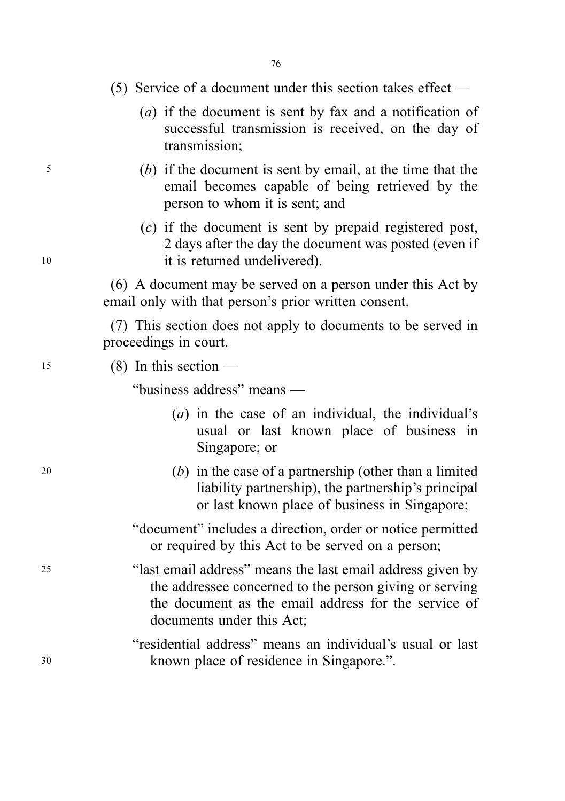## (5) Service of a document under this section takes effect —

- (a) if the document is sent by fax and a notification of successful transmission is received, on the day of transmission;
- <sup>5</sup> (b) if the document is sent by email, at the time that the email becomes capable of being retrieved by the person to whom it is sent; and
- (c) if the document is sent by prepaid registered post, 2 days after the day the document was posted (even if <sup>10</sup> it is returned undelivered).

(6) A document may be served on a person under this Act by email only with that person's prior written consent.

(7) This section does not apply to documents to be served in proceedings in court.

 $15$  (8) In this section —

"business address" means —

- (a) in the case of an individual, the individual's usual or last known place of business in Singapore; or
- <sup>20</sup> (b) in the case of a partnership (other than a limited liability partnership), the partnership's principal or last known place of business in Singapore;
	- "document" includes a direction, order or notice permitted or required by this Act to be served on a person;
- <sup>25</sup> "last email address" means the last email address given by the addressee concerned to the person giving or serving the document as the email address for the service of documents under this Act;
- "residential address" means an individual's usual or last <sup>30</sup> known place of residence in Singapore.".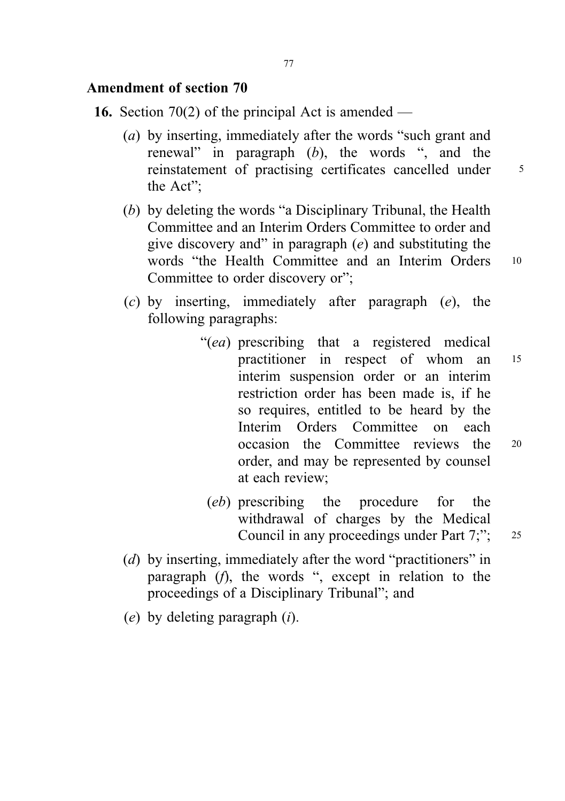# Amendment of section 70

- **16.** Section 70(2) of the principal Act is amended
	- (a) by inserting, immediately after the words "such grant and renewal" in paragraph (b), the words ", and the reinstatement of practising certificates cancelled under 5 the Act";
	- (b) by deleting the words "a Disciplinary Tribunal, the Health Committee and an Interim Orders Committee to order and give discovery and" in paragraph  $(e)$  and substituting the words "the Health Committee and an Interim Orders 10 Committee to order discovery or";
	- (c) by inserting, immediately after paragraph (e), the following paragraphs:
		- "(ea) prescribing that a registered medical practitioner in respect of whom an <sup>15</sup> interim suspension order or an interim restriction order has been made is, if he so requires, entitled to be heard by the Interim Orders Committee on each occasion the Committee reviews the <sup>20</sup> order, and may be represented by counsel at each review;
			- (eb) prescribing the procedure for the withdrawal of charges by the Medical Council in any proceedings under Part 7;"; 25
	- (d) by inserting, immediately after the word "practitioners" in paragraph (f), the words ", except in relation to the proceedings of a Disciplinary Tribunal"; and
	- $(e)$  by deleting paragraph  $(i)$ .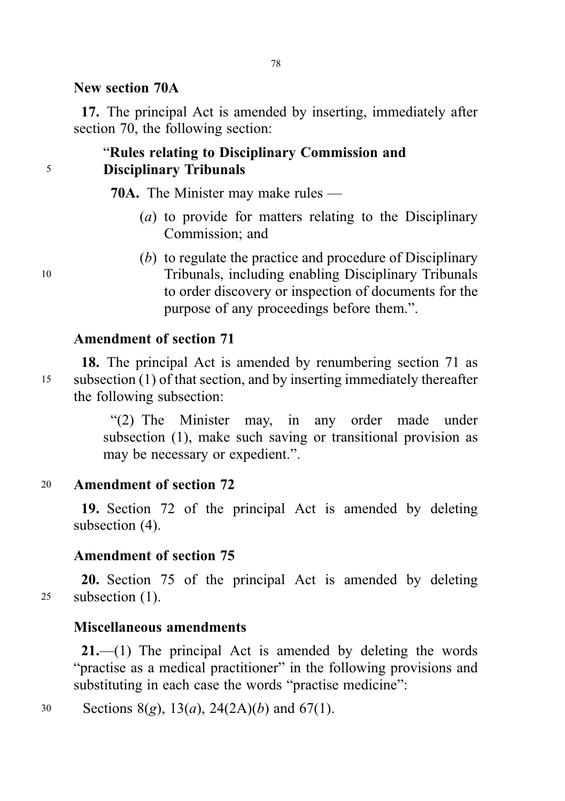## New section 70A

17. The principal Act is amended by inserting, immediately after section 70, the following section:

# "Rules relating to Disciplinary Commission and <sup>5</sup> Disciplinary Tribunals

70A. The Minister may make rules —

- (a) to provide for matters relating to the Disciplinary Commission; and
- (b) to regulate the practice and procedure of Disciplinary <sup>10</sup> Tribunals, including enabling Disciplinary Tribunals to order discovery or inspection of documents for the purpose of any proceedings before them.".

## Amendment of section 71

18. The principal Act is amended by renumbering section 71 as <sup>15</sup> subsection (1) of that section, and by inserting immediately thereafter the following subsection:

> "(2) The Minister may, in any order made under subsection (1), make such saving or transitional provision as may be necessary or expedient.".

## <sup>20</sup> Amendment of section 72

19. Section 72 of the principal Act is amended by deleting subsection (4).

## Amendment of section 75

20. Section 75 of the principal Act is amended by deleting <sup>25</sup> subsection (1).

## Miscellaneous amendments

21.—(1) The principal Act is amended by deleting the words "practise as a medical practitioner" in the following provisions and substituting in each case the words "practise medicine":

30 Sections 8(g),  $13(a)$ ,  $24(2A)(b)$  and  $67(1)$ .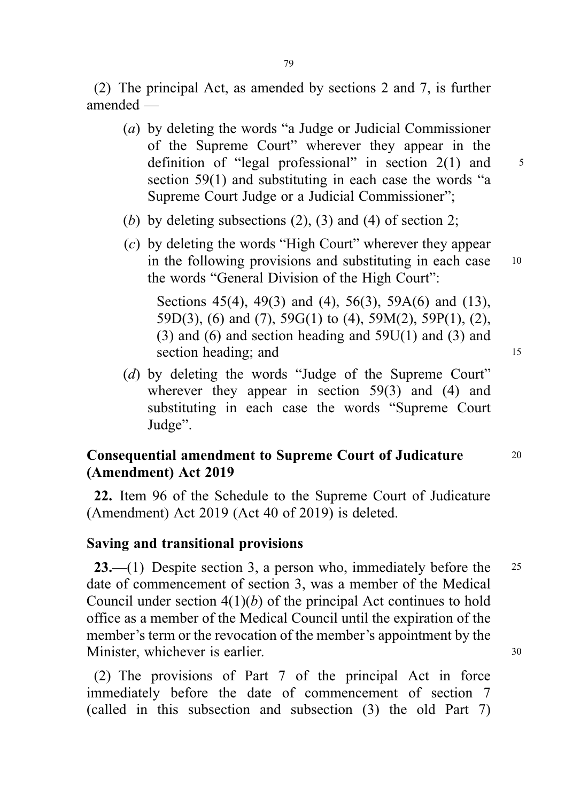(2) The principal Act, as amended by sections 2 and 7, is further amended —

- (a) by deleting the words "a Judge or Judicial Commissioner of the Supreme Court" wherever they appear in the definition of "legal professional" in section  $2(1)$  and  $5$ section 59(1) and substituting in each case the words "a Supreme Court Judge or a Judicial Commissioner";
- (b) by deleting subsections  $(2)$ ,  $(3)$  and  $(4)$  of section 2;
- (c) by deleting the words "High Court" wherever they appear in the following provisions and substituting in each case 10 the words "General Division of the High Court":

Sections 45(4), 49(3) and (4), 56(3), 59A(6) and (13), 59D(3), (6) and (7), 59G(1) to (4), 59M(2), 59P(1), (2),  $(3)$  and  $(6)$  and section heading and  $59U(1)$  and  $(3)$  and section heading; and 15

(d) by deleting the words "Judge of the Supreme Court" wherever they appear in section 59(3) and (4) and substituting in each case the words "Supreme Court Judge".

# Consequential amendment to Supreme Court of Judicature <sup>20</sup> (Amendment) Act 2019

22. Item 96 of the Schedule to the Supreme Court of Judicature (Amendment) Act 2019 (Act 40 of 2019) is deleted.

## Saving and transitional provisions

**23.**—(1) Despite section 3, a person who, immediately before the  $25$ date of commencement of section 3, was a member of the Medical Council under section  $4(1)(b)$  of the principal Act continues to hold office as a member of the Medical Council until the expiration of the member's term or the revocation of the member's appointment by the Minister, whichever is earlier. 30

(2) The provisions of Part 7 of the principal Act in force immediately before the date of commencement of section 7 (called in this subsection and subsection (3) the old Part 7)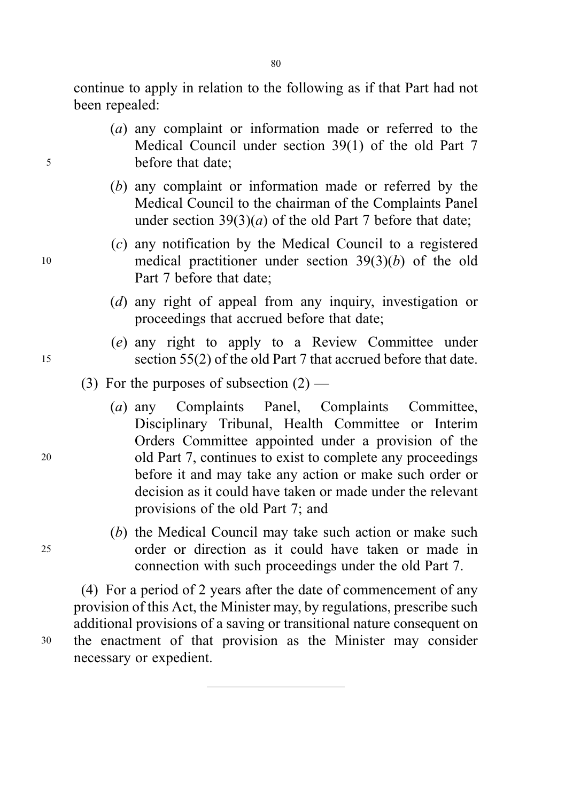continue to apply in relation to the following as if that Part had not been repealed:

- (a) any complaint or information made or referred to the Medical Council under section 39(1) of the old Part 7 <sup>5</sup> before that date;
	- (b) any complaint or information made or referred by the Medical Council to the chairman of the Complaints Panel under section  $39(3)(a)$  of the old Part 7 before that date;
- (c) any notification by the Medical Council to a registered <sup>10</sup> medical practitioner under section 39(3)(b) of the old Part 7 before that date;
	- (d) any right of appeal from any inquiry, investigation or proceedings that accrued before that date;
- (e) any right to apply to a Review Committee under <sup>15</sup> section 55(2) of the old Part 7 that accrued before that date.

# (3) For the purposes of subsection  $(2)$  —

- (a) any Complaints Panel, Complaints Committee, Disciplinary Tribunal, Health Committee or Interim Orders Committee appointed under a provision of the <sup>20</sup> old Part 7, continues to exist to complete any proceedings before it and may take any action or make such order or decision as it could have taken or made under the relevant provisions of the old Part 7; and
- (b) the Medical Council may take such action or make such <sup>25</sup> order or direction as it could have taken or made in connection with such proceedings under the old Part 7.

(4) For a period of 2 years after the date of commencement of any provision of this Act, the Minister may, by regulations, prescribe such additional provisions of a saving or transitional nature consequent on <sup>30</sup> the enactment of that provision as the Minister may consider necessary or expedient.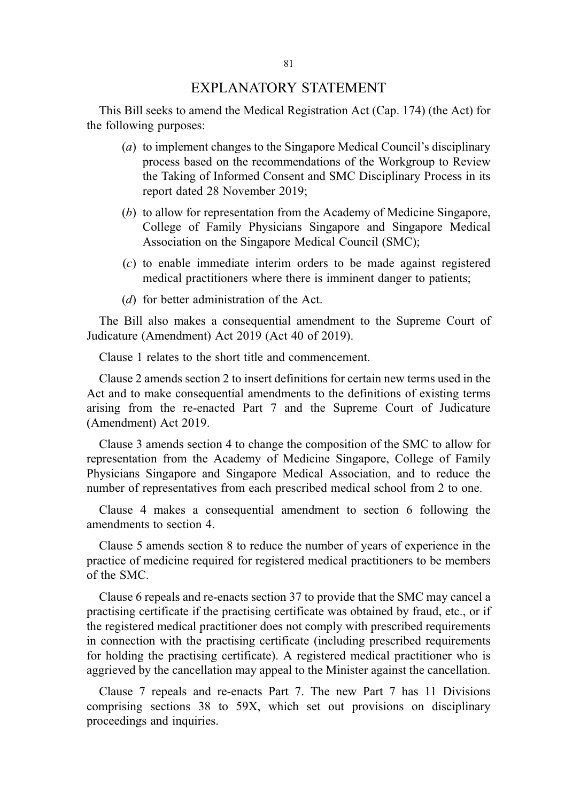## EXPLANATORY STATEMENT

This Bill seeks to amend the Medical Registration Act (Cap. 174) (the Act) for the following purposes:

- (a) to implement changes to the Singapore Medical Council's disciplinary process based on the recommendations of the Workgroup to Review the Taking of Informed Consent and SMC Disciplinary Process in its report dated 28 November 2019;
- (b) to allow for representation from the Academy of Medicine Singapore, College of Family Physicians Singapore and Singapore Medical Association on the Singapore Medical Council (SMC);
- (c) to enable immediate interim orders to be made against registered medical practitioners where there is imminent danger to patients;
- (d) for better administration of the Act.

The Bill also makes a consequential amendment to the Supreme Court of Judicature (Amendment) Act 2019 (Act 40 of 2019).

Clause 1 relates to the short title and commencement.

Clause 2 amends section 2 to insert definitions for certain new terms used in the Act and to make consequential amendments to the definitions of existing terms arising from the re-enacted Part 7 and the Supreme Court of Judicature (Amendment) Act 2019.

Clause 3 amends section 4 to change the composition of the SMC to allow for representation from the Academy of Medicine Singapore, College of Family Physicians Singapore and Singapore Medical Association, and to reduce the number of representatives from each prescribed medical school from 2 to one.

Clause 4 makes a consequential amendment to section 6 following the amendments to section 4.

Clause 5 amends section 8 to reduce the number of years of experience in the practice of medicine required for registered medical practitioners to be members of the SMC.

Clause 6 repeals and re-enacts section 37 to provide that the SMC may cancel a practising certificate if the practising certificate was obtained by fraud, etc., or if the registered medical practitioner does not comply with prescribed requirements in connection with the practising certificate (including prescribed requirements for holding the practising certificate). A registered medical practitioner who is aggrieved by the cancellation may appeal to the Minister against the cancellation.

Clause 7 repeals and re-enacts Part 7. The new Part 7 has 11 Divisions comprising sections 38 to 59X, which set out provisions on disciplinary proceedings and inquiries.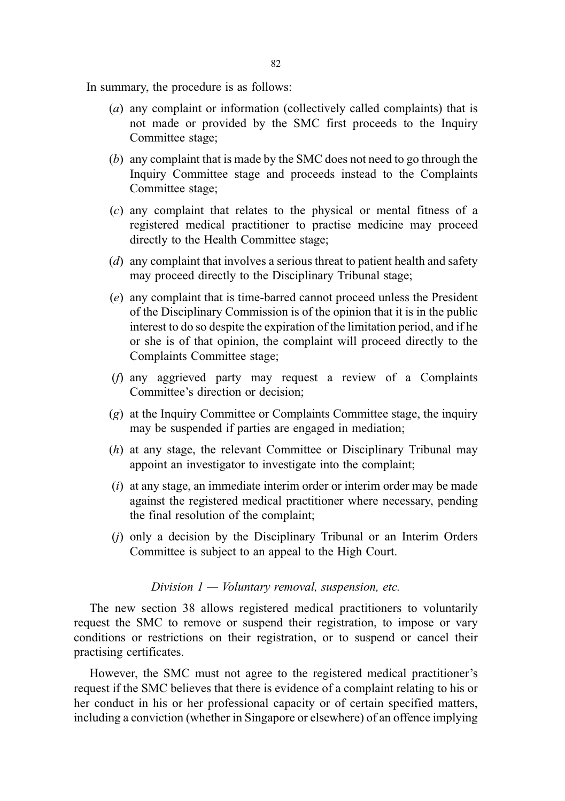In summary, the procedure is as follows:

- (a) any complaint or information (collectively called complaints) that is not made or provided by the SMC first proceeds to the Inquiry Committee stage;
- (b) any complaint that is made by the SMC does not need to go through the Inquiry Committee stage and proceeds instead to the Complaints Committee stage;
- (c) any complaint that relates to the physical or mental fitness of a registered medical practitioner to practise medicine may proceed directly to the Health Committee stage;
- (d) any complaint that involves a serious threat to patient health and safety may proceed directly to the Disciplinary Tribunal stage;
- (e) any complaint that is time-barred cannot proceed unless the President of the Disciplinary Commission is of the opinion that it is in the public interest to do so despite the expiration of the limitation period, and if he or she is of that opinion, the complaint will proceed directly to the Complaints Committee stage;
- (f) any aggrieved party may request a review of a Complaints Committee's direction or decision;
- (g) at the Inquiry Committee or Complaints Committee stage, the inquiry may be suspended if parties are engaged in mediation;
- (h) at any stage, the relevant Committee or Disciplinary Tribunal may appoint an investigator to investigate into the complaint;
- $(i)$  at any stage, an immediate interim order or interim order may be made against the registered medical practitioner where necessary, pending the final resolution of the complaint;
- (j) only a decision by the Disciplinary Tribunal or an Interim Orders Committee is subject to an appeal to the High Court.

## Division  $1 -$  Voluntary removal, suspension, etc.

The new section 38 allows registered medical practitioners to voluntarily request the SMC to remove or suspend their registration, to impose or vary conditions or restrictions on their registration, or to suspend or cancel their practising certificates.

However, the SMC must not agree to the registered medical practitioner's request if the SMC believes that there is evidence of a complaint relating to his or her conduct in his or her professional capacity or of certain specified matters, including a conviction (whether in Singapore or elsewhere) of an offence implying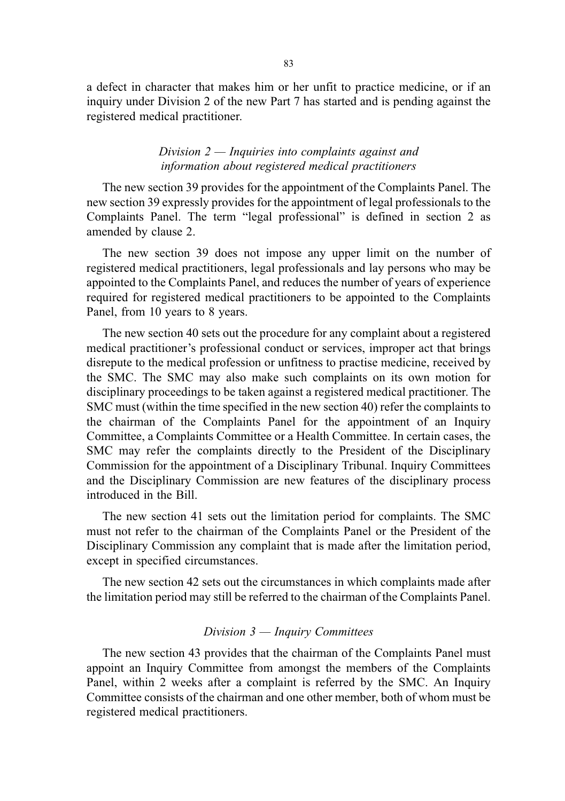a defect in character that makes him or her unfit to practice medicine, or if an inquiry under Division 2 of the new Part 7 has started and is pending against the registered medical practitioner.

## Division  $2$  — Inquiries into complaints against and information about registered medical practitioners

The new section 39 provides for the appointment of the Complaints Panel. The new section 39 expressly provides for the appointment of legal professionals to the Complaints Panel. The term "legal professional" is defined in section 2 as amended by clause 2.

The new section 39 does not impose any upper limit on the number of registered medical practitioners, legal professionals and lay persons who may be appointed to the Complaints Panel, and reduces the number of years of experience required for registered medical practitioners to be appointed to the Complaints Panel, from 10 years to 8 years.

The new section 40 sets out the procedure for any complaint about a registered medical practitioner's professional conduct or services, improper act that brings disrepute to the medical profession or unfitness to practise medicine, received by the SMC. The SMC may also make such complaints on its own motion for disciplinary proceedings to be taken against a registered medical practitioner. The SMC must (within the time specified in the new section 40) refer the complaints to the chairman of the Complaints Panel for the appointment of an Inquiry Committee, a Complaints Committee or a Health Committee. In certain cases, the SMC may refer the complaints directly to the President of the Disciplinary Commission for the appointment of a Disciplinary Tribunal. Inquiry Committees and the Disciplinary Commission are new features of the disciplinary process introduced in the Bill.

The new section 41 sets out the limitation period for complaints. The SMC must not refer to the chairman of the Complaints Panel or the President of the Disciplinary Commission any complaint that is made after the limitation period, except in specified circumstances.

The new section 42 sets out the circumstances in which complaints made after the limitation period may still be referred to the chairman of the Complaints Panel.

### Division 3 — Inquiry Committees

The new section 43 provides that the chairman of the Complaints Panel must appoint an Inquiry Committee from amongst the members of the Complaints Panel, within 2 weeks after a complaint is referred by the SMC. An Inquiry Committee consists of the chairman and one other member, both of whom must be registered medical practitioners.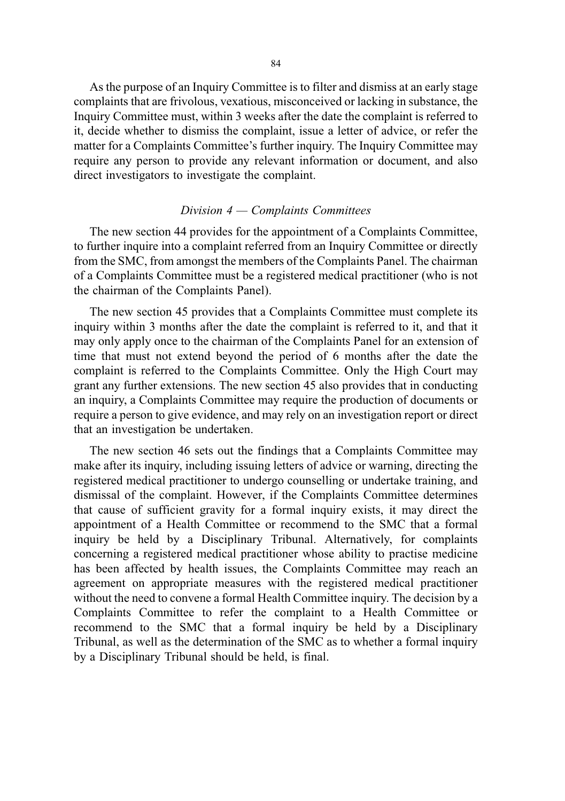As the purpose of an Inquiry Committee is to filter and dismiss at an early stage complaints that are frivolous, vexatious, misconceived or lacking in substance, the Inquiry Committee must, within 3 weeks after the date the complaint is referred to it, decide whether to dismiss the complaint, issue a letter of advice, or refer the matter for a Complaints Committee's further inquiry. The Inquiry Committee may require any person to provide any relevant information or document, and also direct investigators to investigate the complaint.

### Division 4 — Complaints Committees

The new section 44 provides for the appointment of a Complaints Committee, to further inquire into a complaint referred from an Inquiry Committee or directly from the SMC, from amongst the members of the Complaints Panel. The chairman of a Complaints Committee must be a registered medical practitioner (who is not the chairman of the Complaints Panel).

The new section 45 provides that a Complaints Committee must complete its inquiry within 3 months after the date the complaint is referred to it, and that it may only apply once to the chairman of the Complaints Panel for an extension of time that must not extend beyond the period of 6 months after the date the complaint is referred to the Complaints Committee. Only the High Court may grant any further extensions. The new section 45 also provides that in conducting an inquiry, a Complaints Committee may require the production of documents or require a person to give evidence, and may rely on an investigation report or direct that an investigation be undertaken.

The new section 46 sets out the findings that a Complaints Committee may make after its inquiry, including issuing letters of advice or warning, directing the registered medical practitioner to undergo counselling or undertake training, and dismissal of the complaint. However, if the Complaints Committee determines that cause of sufficient gravity for a formal inquiry exists, it may direct the appointment of a Health Committee or recommend to the SMC that a formal inquiry be held by a Disciplinary Tribunal. Alternatively, for complaints concerning a registered medical practitioner whose ability to practise medicine has been affected by health issues, the Complaints Committee may reach an agreement on appropriate measures with the registered medical practitioner without the need to convene a formal Health Committee inquiry. The decision by a Complaints Committee to refer the complaint to a Health Committee or recommend to the SMC that a formal inquiry be held by a Disciplinary Tribunal, as well as the determination of the SMC as to whether a formal inquiry by a Disciplinary Tribunal should be held, is final.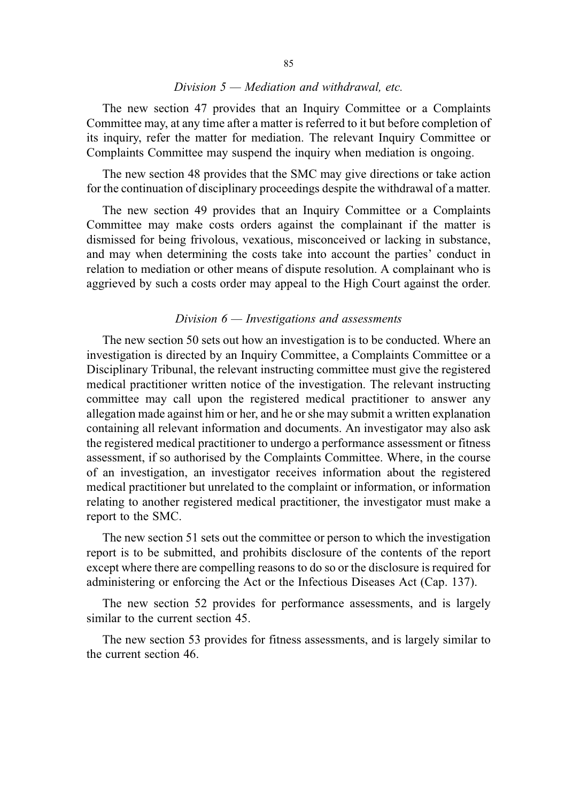## Division 5 — Mediation and withdrawal, etc.

The new section 47 provides that an Inquiry Committee or a Complaints Committee may, at any time after a matter is referred to it but before completion of its inquiry, refer the matter for mediation. The relevant Inquiry Committee or Complaints Committee may suspend the inquiry when mediation is ongoing.

The new section 48 provides that the SMC may give directions or take action for the continuation of disciplinary proceedings despite the withdrawal of a matter.

The new section 49 provides that an Inquiry Committee or a Complaints Committee may make costs orders against the complainant if the matter is dismissed for being frivolous, vexatious, misconceived or lacking in substance, and may when determining the costs take into account the parties' conduct in relation to mediation or other means of dispute resolution. A complainant who is aggrieved by such a costs order may appeal to the High Court against the order.

## Division  $6$  — Investigations and assessments

The new section 50 sets out how an investigation is to be conducted. Where an investigation is directed by an Inquiry Committee, a Complaints Committee or a Disciplinary Tribunal, the relevant instructing committee must give the registered medical practitioner written notice of the investigation. The relevant instructing committee may call upon the registered medical practitioner to answer any allegation made against him or her, and he or she may submit a written explanation containing all relevant information and documents. An investigator may also ask the registered medical practitioner to undergo a performance assessment or fitness assessment, if so authorised by the Complaints Committee. Where, in the course of an investigation, an investigator receives information about the registered medical practitioner but unrelated to the complaint or information, or information relating to another registered medical practitioner, the investigator must make a report to the SMC.

The new section 51 sets out the committee or person to which the investigation report is to be submitted, and prohibits disclosure of the contents of the report except where there are compelling reasons to do so or the disclosure is required for administering or enforcing the Act or the Infectious Diseases Act (Cap. 137).

The new section 52 provides for performance assessments, and is largely similar to the current section 45.

The new section 53 provides for fitness assessments, and is largely similar to the current section 46.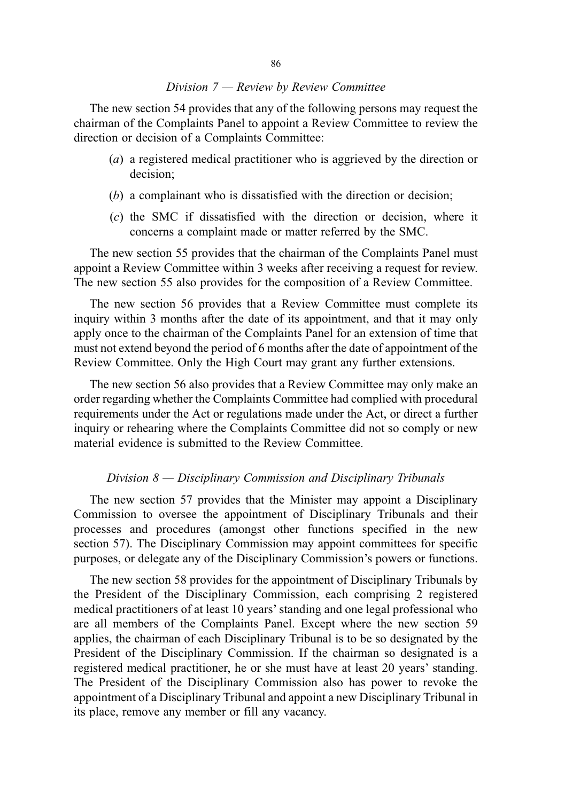### Division 7 — Review by Review Committee

The new section 54 provides that any of the following persons may request the chairman of the Complaints Panel to appoint a Review Committee to review the direction or decision of a Complaints Committee:

- (a) a registered medical practitioner who is aggrieved by the direction or decision;
- (b) a complainant who is dissatisfied with the direction or decision;
- (c) the SMC if dissatisfied with the direction or decision, where it concerns a complaint made or matter referred by the SMC.

The new section 55 provides that the chairman of the Complaints Panel must appoint a Review Committee within 3 weeks after receiving a request for review. The new section 55 also provides for the composition of a Review Committee.

The new section 56 provides that a Review Committee must complete its inquiry within 3 months after the date of its appointment, and that it may only apply once to the chairman of the Complaints Panel for an extension of time that must not extend beyond the period of 6 months after the date of appointment of the Review Committee. Only the High Court may grant any further extensions.

The new section 56 also provides that a Review Committee may only make an order regarding whether the Complaints Committee had complied with procedural requirements under the Act or regulations made under the Act, or direct a further inquiry or rehearing where the Complaints Committee did not so comply or new material evidence is submitted to the Review Committee.

#### Division 8 — Disciplinary Commission and Disciplinary Tribunals

The new section 57 provides that the Minister may appoint a Disciplinary Commission to oversee the appointment of Disciplinary Tribunals and their processes and procedures (amongst other functions specified in the new section 57). The Disciplinary Commission may appoint committees for specific purposes, or delegate any of the Disciplinary Commission's powers or functions.

The new section 58 provides for the appointment of Disciplinary Tribunals by the President of the Disciplinary Commission, each comprising 2 registered medical practitioners of at least 10 years'standing and one legal professional who are all members of the Complaints Panel. Except where the new section 59 applies, the chairman of each Disciplinary Tribunal is to be so designated by the President of the Disciplinary Commission. If the chairman so designated is a registered medical practitioner, he or she must have at least 20 years' standing. The President of the Disciplinary Commission also has power to revoke the appointment of a Disciplinary Tribunal and appoint a new Disciplinary Tribunal in its place, remove any member or fill any vacancy.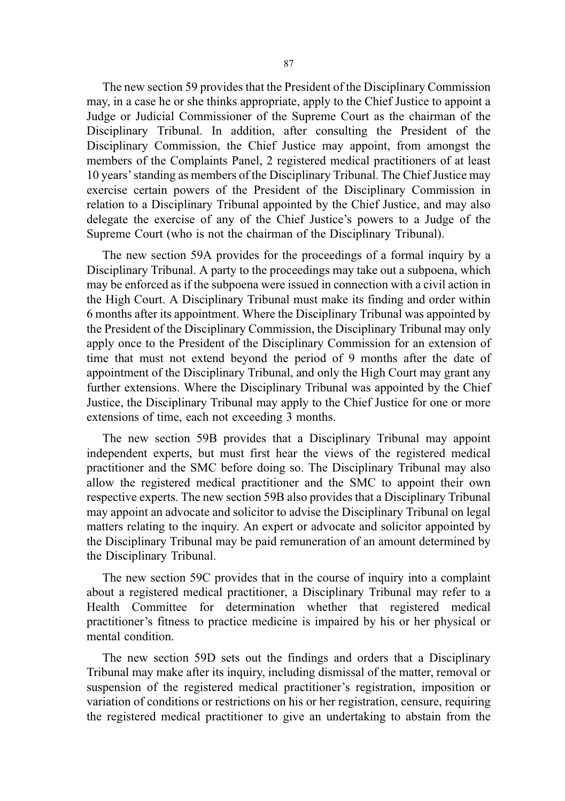The new section 59 provides that the President of the Disciplinary Commission may, in a case he or she thinks appropriate, apply to the Chief Justice to appoint a Judge or Judicial Commissioner of the Supreme Court as the chairman of the Disciplinary Tribunal. In addition, after consulting the President of the Disciplinary Commission, the Chief Justice may appoint, from amongst the members of the Complaints Panel, 2 registered medical practitioners of at least 10 years'standing as members of the Disciplinary Tribunal. The Chief Justice may exercise certain powers of the President of the Disciplinary Commission in relation to a Disciplinary Tribunal appointed by the Chief Justice, and may also delegate the exercise of any of the Chief Justice's powers to a Judge of the Supreme Court (who is not the chairman of the Disciplinary Tribunal).

The new section 59A provides for the proceedings of a formal inquiry by a Disciplinary Tribunal. A party to the proceedings may take out a subpoena, which may be enforced as if the subpoena were issued in connection with a civil action in the High Court. A Disciplinary Tribunal must make its finding and order within 6 months after its appointment. Where the Disciplinary Tribunal was appointed by the President of the Disciplinary Commission, the Disciplinary Tribunal may only apply once to the President of the Disciplinary Commission for an extension of time that must not extend beyond the period of 9 months after the date of appointment of the Disciplinary Tribunal, and only the High Court may grant any further extensions. Where the Disciplinary Tribunal was appointed by the Chief Justice, the Disciplinary Tribunal may apply to the Chief Justice for one or more extensions of time, each not exceeding 3 months.

The new section 59B provides that a Disciplinary Tribunal may appoint independent experts, but must first hear the views of the registered medical practitioner and the SMC before doing so. The Disciplinary Tribunal may also allow the registered medical practitioner and the SMC to appoint their own respective experts. The new section 59B also provides that a Disciplinary Tribunal may appoint an advocate and solicitor to advise the Disciplinary Tribunal on legal matters relating to the inquiry. An expert or advocate and solicitor appointed by the Disciplinary Tribunal may be paid remuneration of an amount determined by the Disciplinary Tribunal.

The new section 59C provides that in the course of inquiry into a complaint about a registered medical practitioner, a Disciplinary Tribunal may refer to a Health Committee for determination whether that registered medical practitioner's fitness to practice medicine is impaired by his or her physical or mental condition.

The new section 59D sets out the findings and orders that a Disciplinary Tribunal may make after its inquiry, including dismissal of the matter, removal or suspension of the registered medical practitioner's registration, imposition or variation of conditions or restrictions on his or her registration, censure, requiring the registered medical practitioner to give an undertaking to abstain from the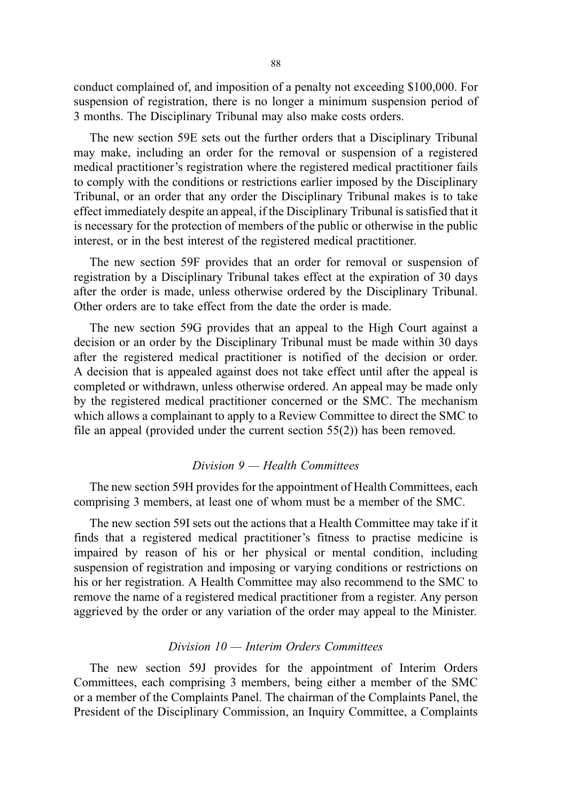conduct complained of, and imposition of a penalty not exceeding \$100,000. For suspension of registration, there is no longer a minimum suspension period of 3 months. The Disciplinary Tribunal may also make costs orders.

The new section 59E sets out the further orders that a Disciplinary Tribunal may make, including an order for the removal or suspension of a registered medical practitioner's registration where the registered medical practitioner fails to comply with the conditions or restrictions earlier imposed by the Disciplinary Tribunal, or an order that any order the Disciplinary Tribunal makes is to take effect immediately despite an appeal, if the Disciplinary Tribunal is satisfied that it is necessary for the protection of members of the public or otherwise in the public interest, or in the best interest of the registered medical practitioner.

The new section 59F provides that an order for removal or suspension of registration by a Disciplinary Tribunal takes effect at the expiration of 30 days after the order is made, unless otherwise ordered by the Disciplinary Tribunal. Other orders are to take effect from the date the order is made.

The new section 59G provides that an appeal to the High Court against a decision or an order by the Disciplinary Tribunal must be made within 30 days after the registered medical practitioner is notified of the decision or order. A decision that is appealed against does not take effect until after the appeal is completed or withdrawn, unless otherwise ordered. An appeal may be made only by the registered medical practitioner concerned or the SMC. The mechanism which allows a complainant to apply to a Review Committee to direct the SMC to file an appeal (provided under the current section 55(2)) has been removed.

## Division 9 — Health Committees

The new section 59H provides for the appointment of Health Committees, each comprising 3 members, at least one of whom must be a member of the SMC.

The new section 59I sets out the actions that a Health Committee may take if it finds that a registered medical practitioner's fitness to practise medicine is impaired by reason of his or her physical or mental condition, including suspension of registration and imposing or varying conditions or restrictions on his or her registration. A Health Committee may also recommend to the SMC to remove the name of a registered medical practitioner from a register. Any person aggrieved by the order or any variation of the order may appeal to the Minister.

#### Division 10 — Interim Orders Committees

The new section 59J provides for the appointment of Interim Orders Committees, each comprising 3 members, being either a member of the SMC or a member of the Complaints Panel. The chairman of the Complaints Panel, the President of the Disciplinary Commission, an Inquiry Committee, a Complaints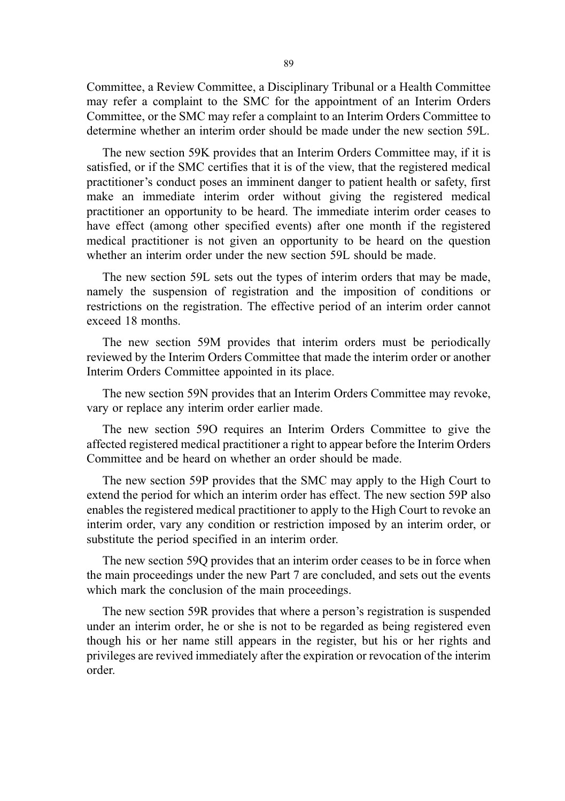Committee, a Review Committee, a Disciplinary Tribunal or a Health Committee may refer a complaint to the SMC for the appointment of an Interim Orders Committee, or the SMC may refer a complaint to an Interim Orders Committee to determine whether an interim order should be made under the new section 59L.

The new section 59K provides that an Interim Orders Committee may, if it is satisfied, or if the SMC certifies that it is of the view, that the registered medical practitioner's conduct poses an imminent danger to patient health or safety, first make an immediate interim order without giving the registered medical practitioner an opportunity to be heard. The immediate interim order ceases to have effect (among other specified events) after one month if the registered medical practitioner is not given an opportunity to be heard on the question whether an interim order under the new section 59L should be made.

The new section 59L sets out the types of interim orders that may be made, namely the suspension of registration and the imposition of conditions or restrictions on the registration. The effective period of an interim order cannot exceed 18 months.

The new section 59M provides that interim orders must be periodically reviewed by the Interim Orders Committee that made the interim order or another Interim Orders Committee appointed in its place.

The new section 59N provides that an Interim Orders Committee may revoke, vary or replace any interim order earlier made.

The new section 59O requires an Interim Orders Committee to give the affected registered medical practitioner a right to appear before the Interim Orders Committee and be heard on whether an order should be made.

The new section 59P provides that the SMC may apply to the High Court to extend the period for which an interim order has effect. The new section 59P also enables the registered medical practitioner to apply to the High Court to revoke an interim order, vary any condition or restriction imposed by an interim order, or substitute the period specified in an interim order.

The new section 59Q provides that an interim order ceases to be in force when the main proceedings under the new Part 7 are concluded, and sets out the events which mark the conclusion of the main proceedings.

The new section 59R provides that where a person's registration is suspended under an interim order, he or she is not to be regarded as being registered even though his or her name still appears in the register, but his or her rights and privileges are revived immediately after the expiration or revocation of the interim order.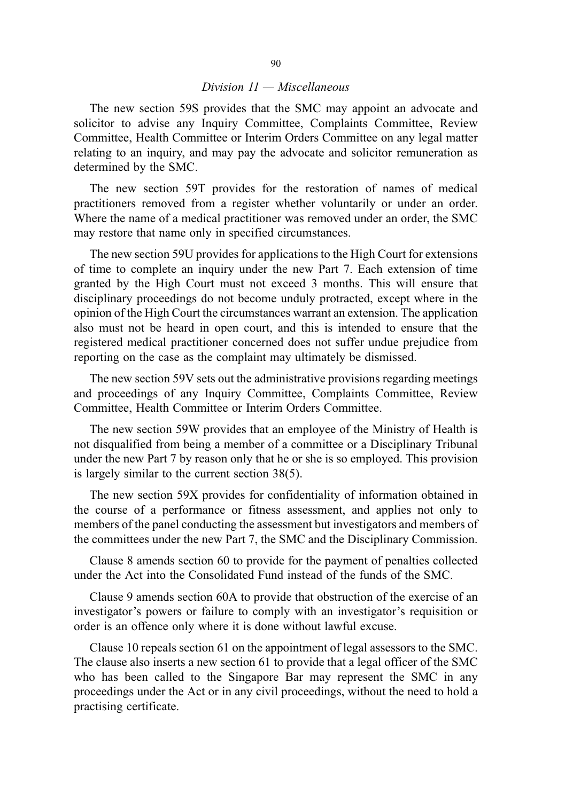### Division 11 — Miscellaneous

The new section 59S provides that the SMC may appoint an advocate and solicitor to advise any Inquiry Committee, Complaints Committee, Review Committee, Health Committee or Interim Orders Committee on any legal matter relating to an inquiry, and may pay the advocate and solicitor remuneration as determined by the SMC.

The new section 59T provides for the restoration of names of medical practitioners removed from a register whether voluntarily or under an order. Where the name of a medical practitioner was removed under an order, the SMC may restore that name only in specified circumstances.

The new section 59U provides for applications to the High Court for extensions of time to complete an inquiry under the new Part 7. Each extension of time granted by the High Court must not exceed 3 months. This will ensure that disciplinary proceedings do not become unduly protracted, except where in the opinion of the High Court the circumstances warrant an extension. The application also must not be heard in open court, and this is intended to ensure that the registered medical practitioner concerned does not suffer undue prejudice from reporting on the case as the complaint may ultimately be dismissed.

The new section 59V sets out the administrative provisions regarding meetings and proceedings of any Inquiry Committee, Complaints Committee, Review Committee, Health Committee or Interim Orders Committee.

The new section 59W provides that an employee of the Ministry of Health is not disqualified from being a member of a committee or a Disciplinary Tribunal under the new Part 7 by reason only that he or she is so employed. This provision is largely similar to the current section 38(5).

The new section 59X provides for confidentiality of information obtained in the course of a performance or fitness assessment, and applies not only to members of the panel conducting the assessment but investigators and members of the committees under the new Part 7, the SMC and the Disciplinary Commission.

Clause 8 amends section 60 to provide for the payment of penalties collected under the Act into the Consolidated Fund instead of the funds of the SMC.

Clause 9 amends section 60A to provide that obstruction of the exercise of an investigator's powers or failure to comply with an investigator's requisition or order is an offence only where it is done without lawful excuse.

Clause 10 repeals section 61 on the appointment of legal assessors to the SMC. The clause also inserts a new section 61 to provide that a legal officer of the SMC who has been called to the Singapore Bar may represent the SMC in any proceedings under the Act or in any civil proceedings, without the need to hold a practising certificate.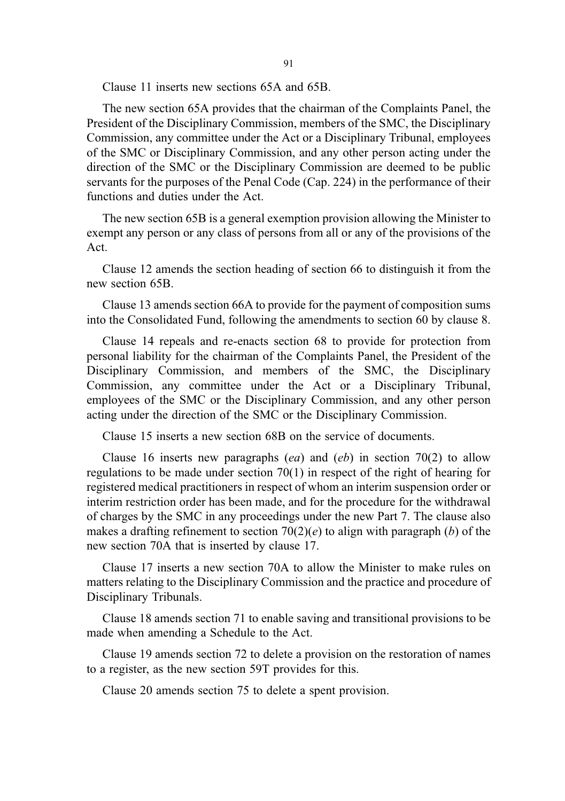Clause 11 inserts new sections 65A and 65B.

The new section 65A provides that the chairman of the Complaints Panel, the President of the Disciplinary Commission, members of the SMC, the Disciplinary Commission, any committee under the Act or a Disciplinary Tribunal, employees of the SMC or Disciplinary Commission, and any other person acting under the direction of the SMC or the Disciplinary Commission are deemed to be public servants for the purposes of the Penal Code (Cap. 224) in the performance of their functions and duties under the Act.

The new section 65B is a general exemption provision allowing the Minister to exempt any person or any class of persons from all or any of the provisions of the Act.

Clause 12 amends the section heading of section 66 to distinguish it from the new section 65B.

Clause 13 amends section 66A to provide for the payment of composition sums into the Consolidated Fund, following the amendments to section 60 by clause 8.

Clause 14 repeals and re-enacts section 68 to provide for protection from personal liability for the chairman of the Complaints Panel, the President of the Disciplinary Commission, and members of the SMC, the Disciplinary Commission, any committee under the Act or a Disciplinary Tribunal, employees of the SMC or the Disciplinary Commission, and any other person acting under the direction of the SMC or the Disciplinary Commission.

Clause 15 inserts a new section 68B on the service of documents.

Clause 16 inserts new paragraphs (ea) and (eb) in section 70(2) to allow regulations to be made under section 70(1) in respect of the right of hearing for registered medical practitioners in respect of whom an interim suspension order or interim restriction order has been made, and for the procedure for the withdrawal of charges by the SMC in any proceedings under the new Part 7. The clause also makes a drafting refinement to section  $70(2)(e)$  to align with paragraph (b) of the new section 70A that is inserted by clause 17.

Clause 17 inserts a new section 70A to allow the Minister to make rules on matters relating to the Disciplinary Commission and the practice and procedure of Disciplinary Tribunals.

Clause 18 amends section 71 to enable saving and transitional provisions to be made when amending a Schedule to the Act.

Clause 19 amends section 72 to delete a provision on the restoration of names to a register, as the new section 59T provides for this.

Clause 20 amends section 75 to delete a spent provision.